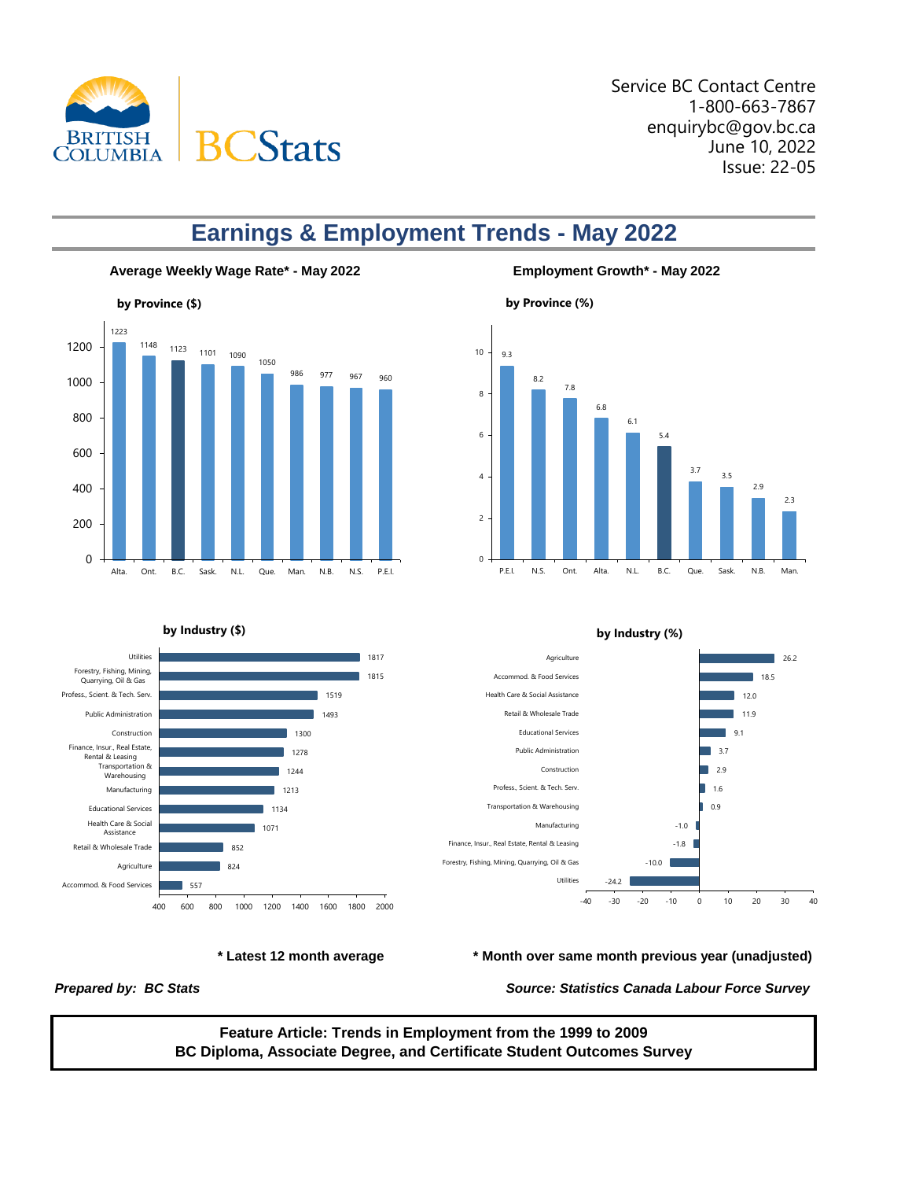

Service BC Contact Centre 1-800-663-7867 enquirybc@gov.bc.ca June 10, 2022 Issue: 22-05

# **Earnings & Employment Trends - May 2022**





### **by Industry (\$)**



#### **by Industry (%)**





*Prepared by: BC Stats Source: Statistics Canada Labour Force Survey*

**Feature Article: Trends in Employment from the 1999 to 2009 BC Diploma, Associate Degree, and Certificate Student Outcomes Survey**

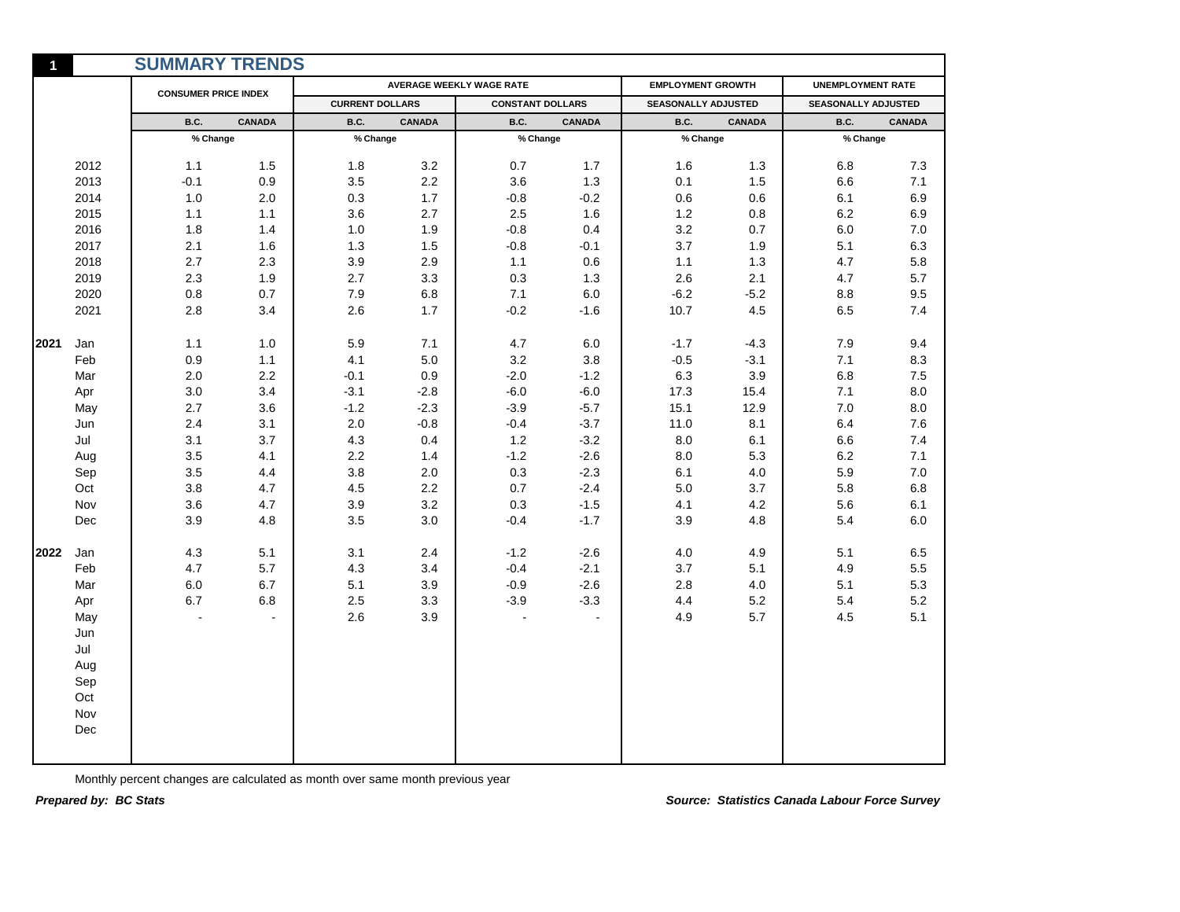|      |      | <b>SUMMARY TRENDS</b>       |               |                        |               |                          |               |                            |               |                          |               |
|------|------|-----------------------------|---------------|------------------------|---------------|--------------------------|---------------|----------------------------|---------------|--------------------------|---------------|
|      |      | <b>CONSUMER PRICE INDEX</b> |               |                        |               | AVERAGE WEEKLY WAGE RATE |               | <b>EMPLOYMENT GROWTH</b>   |               | <b>UNEMPLOYMENT RATE</b> |               |
|      |      |                             |               | <b>CURRENT DOLLARS</b> |               | <b>CONSTANT DOLLARS</b>  |               | <b>SEASONALLY ADJUSTED</b> |               | SEASONALLY ADJUSTED      |               |
|      |      | B.C.                        | <b>CANADA</b> | B.C.                   | <b>CANADA</b> | B.C.                     | <b>CANADA</b> | <b>B.C.</b>                | <b>CANADA</b> | B.C.                     | <b>CANADA</b> |
|      |      | % Change                    |               | % Change               |               | % Change                 |               | % Change                   |               | % Change                 |               |
|      | 2012 | 1.1                         | 1.5           | 1.8                    | 3.2           | 0.7                      | 1.7           | 1.6                        | 1.3           | 6.8                      | 7.3           |
|      | 2013 | $-0.1$                      | 0.9           | 3.5                    | 2.2           | 3.6                      | 1.3           | 0.1                        | 1.5           | 6.6                      | 7.1           |
|      | 2014 | $1.0$                       | 2.0           | 0.3                    | 1.7           | $-0.8$                   | $-0.2$        | 0.6                        | 0.6           | 6.1                      | 6.9           |
|      | 2015 | 1.1                         | 1.1           | 3.6                    | 2.7           | $2.5\,$                  | 1.6           | $1.2\,$                    | 0.8           | 6.2                      | 6.9           |
|      | 2016 | 1.8                         | 1.4           | 1.0                    | 1.9           | $-0.8$                   | 0.4           | $3.2\,$                    | 0.7           | 6.0                      | 7.0           |
|      | 2017 | 2.1                         | 1.6           | 1.3                    | $1.5$         | $-0.8$                   | $-0.1$        | $3.7\,$                    | 1.9           | 5.1                      | 6.3           |
|      | 2018 | 2.7                         | 2.3           | 3.9                    | 2.9           | 1.1                      | 0.6           | 1.1                        | 1.3           | 4.7                      | 5.8           |
|      | 2019 | 2.3                         | 1.9           | 2.7                    | 3.3           | 0.3                      | 1.3           | 2.6                        | 2.1           | 4.7                      | 5.7           |
|      | 2020 | $0.8\,$                     | 0.7           | 7.9                    | 6.8           | 7.1                      | 6.0           | $-6.2$                     | $-5.2$        | 8.8                      | 9.5           |
|      | 2021 | 2.8                         | 3.4           | 2.6                    | 1.7           | $-0.2$                   | $-1.6$        | 10.7                       | 4.5           | 6.5                      | 7.4           |
| 2021 | Jan  | 1.1                         | 1.0           | 5.9                    | 7.1           | 4.7                      | 6.0           | $-1.7$                     | $-4.3$        | 7.9                      | 9.4           |
|      | Feb  | 0.9                         | 1.1           | 4.1                    | $5.0\,$       | 3.2                      | 3.8           | $-0.5$                     | $-3.1$        | 7.1                      | 8.3           |
|      | Mar  | 2.0                         | 2.2           | $-0.1$                 | 0.9           | $-2.0$                   | $-1.2$        | 6.3                        | 3.9           | 6.8                      | 7.5           |
|      | Apr  | 3.0                         | 3.4           | $-3.1$                 | $-2.8$        | $-6.0$                   | $-6.0$        | 17.3                       | 15.4          | 7.1                      | 8.0           |
|      | May  | 2.7                         | 3.6           | $-1.2$                 | $-2.3$        | $-3.9$                   | $-5.7$        | 15.1                       | 12.9          | $7.0$                    | 8.0           |
|      | Jun  | $2.4\,$                     | 3.1           | 2.0                    | $-0.8$        | $-0.4$                   | $-3.7$        | 11.0                       | 8.1           | 6.4                      | 7.6           |
|      | Jul  | 3.1                         | 3.7           | 4.3                    | 0.4           | $1.2$                    | $-3.2$        | 8.0                        | 6.1           | 6.6                      | 7.4           |
|      | Aug  | 3.5                         | 4.1           | 2.2                    | 1.4           | $-1.2$                   | $-2.6$        | 8.0                        | 5.3           | 6.2                      | 7.1           |
|      | Sep  | 3.5                         | 4.4           | 3.8                    | 2.0           | 0.3                      | $-2.3$        | 6.1                        | 4.0           | 5.9                      | 7.0           |
|      | Oct  | 3.8                         | 4.7           | 4.5                    | 2.2           | 0.7                      | $-2.4$        | 5.0                        | 3.7           | 5.8                      | 6.8           |
|      | Nov  | 3.6                         | 4.7           | 3.9                    | 3.2           | 0.3                      | $-1.5$        | 4.1                        | 4.2           | 5.6                      | 6.1           |
|      | Dec  | 3.9                         | 4.8           | 3.5                    | 3.0           | $-0.4$                   | $-1.7$        | 3.9                        | 4.8           | 5.4                      | 6.0           |
| 2022 | Jan  | 4.3                         | 5.1           | 3.1                    | 2.4           | $-1.2$                   | $-2.6$        | 4.0                        | 4.9           | 5.1                      | 6.5           |
|      | Feb  | 4.7                         | 5.7           | 4.3                    | 3.4           | $-0.4$                   | $-2.1$        | 3.7                        | 5.1           | 4.9                      | 5.5           |
|      | Mar  | $6.0\,$                     | 6.7           | 5.1                    | 3.9           | $-0.9$                   | $-2.6$        | 2.8                        | 4.0           | 5.1                      | 5.3           |
|      | Apr  | 6.7                         | $6.8\,$       | $2.5\,$                | 3.3           | $-3.9$                   | $-3.3$        | 4.4                        | $5.2\,$       | 5.4                      | 5.2           |
|      | May  |                             |               | 2.6                    | 3.9           |                          | ÷.            | 4.9                        | 5.7           | 4.5                      | 5.1           |
|      | Jun  |                             |               |                        |               |                          |               |                            |               |                          |               |
|      | Jul  |                             |               |                        |               |                          |               |                            |               |                          |               |
|      | Aug  |                             |               |                        |               |                          |               |                            |               |                          |               |
|      | Sep  |                             |               |                        |               |                          |               |                            |               |                          |               |
|      | Oct  |                             |               |                        |               |                          |               |                            |               |                          |               |
|      | Nov  |                             |               |                        |               |                          |               |                            |               |                          |               |
|      | Dec  |                             |               |                        |               |                          |               |                            |               |                          |               |
|      |      |                             |               |                        |               |                          |               |                            |               |                          |               |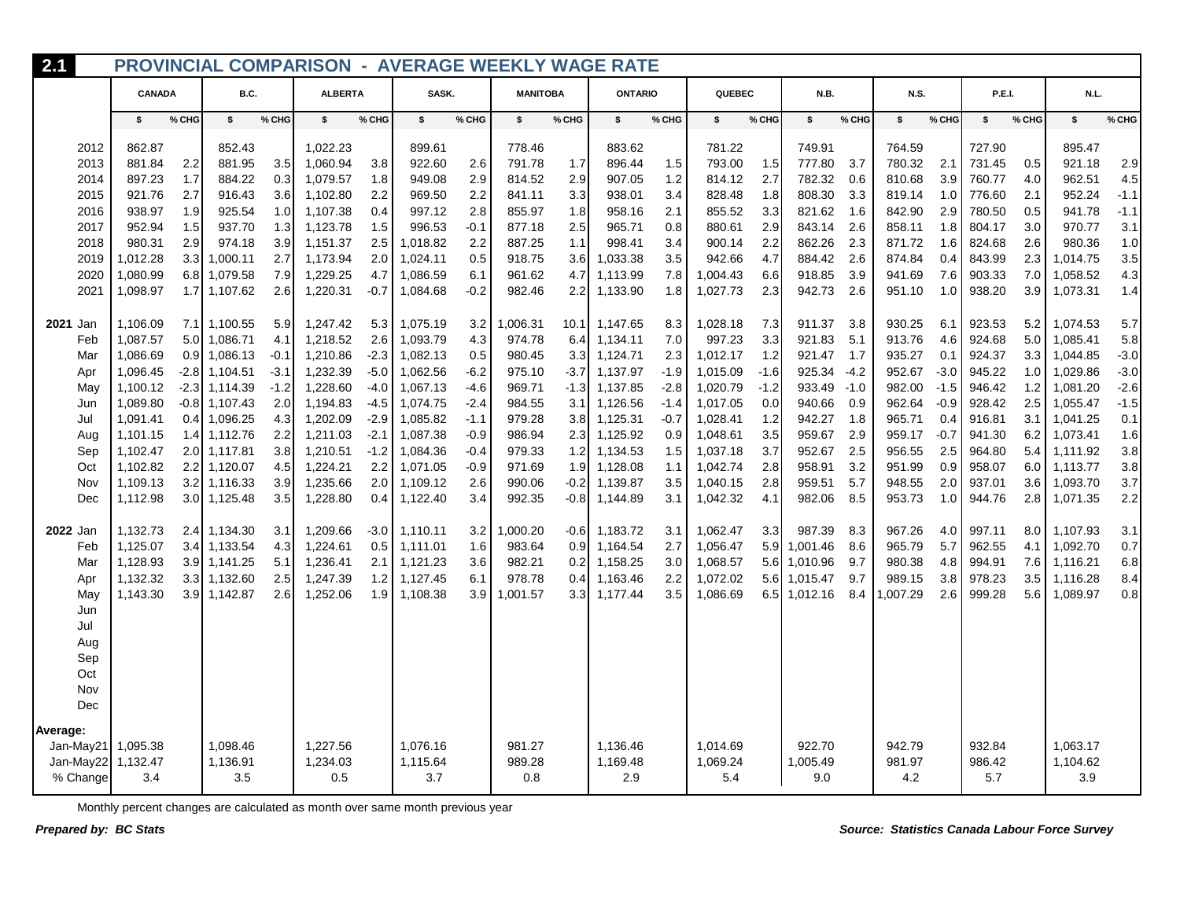| 2.1                |                      |            |                      |            | <b>PROVINCIAL COMPARISON - AVERAGE WEEKLY WAGE RATE</b> |               |                      |               |                  |                  |                      |            |                      |            |                  |            |                  |            |                  |            |                      |            |
|--------------------|----------------------|------------|----------------------|------------|---------------------------------------------------------|---------------|----------------------|---------------|------------------|------------------|----------------------|------------|----------------------|------------|------------------|------------|------------------|------------|------------------|------------|----------------------|------------|
|                    | <b>CANADA</b>        |            | B.C.                 |            | <b>ALBERTA</b>                                          |               | SASK.                |               | <b>MANITOBA</b>  |                  | <b>ONTARIO</b>       |            | QUEBEC               |            | N.B.             |            | <b>N.S.</b>      |            | P.E.I.           |            | N.L.                 |            |
|                    | \$                   | % CHG      | s.                   | % CHG      | \$                                                      | % CHG         | \$                   | % CHG         | \$               | % CHG            | \$                   | % CHG      | s.                   | % CHG      | \$               | % CHG      | \$               | % CHG      | \$               | % CHG      | \$                   | % CHG      |
| 2012               | 862.87               |            | 852.43               |            | 1,022.23                                                |               | 899.61               |               | 778.46           |                  | 883.62               |            | 781.22               |            | 749.91           |            | 764.59           |            | 727.90           |            | 895.47               |            |
| 2013               | 881.84               | 2.2        | 881.95               | 3.5        | 1,060.94                                                | 3.8           | 922.60               | 2.6           | 791.78           | 1.7              | 896.44               | 1.5        | 793.00               | 1.5        | 777.80           | 3.7        | 780.32           | 2.1        | 731.45           | 0.5        | 921.18               | 2.9        |
| 2014               | 897.23               | 1.7        | 884.22               | 0.3        | 1,079.57                                                | 1.8           | 949.08               | 2.9           | 814.52           | 2.9              | 907.05               | 1.2        | 814.12               | 2.7        | 782.32           | 0.6        | 810.68           | 3.9        | 760.77           | 4.0        | 962.51               | 4.5        |
| 2015               | 921.76               | 2.7        | 916.43               | 3.6        | 1,102.80                                                | 2.2           | 969.50               | 2.2           | 841.11           | 3.3              | 938.01               | 3.4        | 828.48               | 1.8        | 808.30           | 3.3        | 819.14           | 1.0        | 776.60           | 2.1        | 952.24               | $-1.1$     |
| 2016               | 938.97               | 1.9        | 925.54               | 1.0        | 1,107.38                                                | 0.4           | 997.12               | 2.8           | 855.97           | 1.8              | 958.16               | 2.1        | 855.52               | 3.3        | 821.62           | 1.6        | 842.90           | 2.9        | 780.50           | 0.5        | 941.78               | $-1.1$     |
| 2017               | 952.94               | 1.5        | 937.70               | 1.3        | 1,123.78                                                | 1.5           | 996.53               | $-0.1$        | 877.18           | 2.5              | 965.71               | 0.8        | 880.61               | 2.9        | 843.14           | 2.6        | 858.11           | 1.8        | 804.17           | 3.0        | 970.77               | 3.1        |
| 2018               | 980.31               | 2.9        | 974.18               | 3.9        | 1,151.37                                                | 2.5           | 1,018.82             | 2.2           | 887.25           | 1.1              | 998.41               | 3.4<br>3.5 | 900.14<br>942.66     | 2.2        | 862.26           | 2.3        | 871.72           | 1.6        | 824.68           | 2.6        | 980.36               | 1.0        |
| 2019               | 1,012.28             | 3.3        | 1,000.11             | 2.7        | 1,173.94<br>1,229.25                                    | 2.0           | 1,024.11             | 0.5           | 918.75           | 3.6              | 1,033.38             |            |                      | 4.7        | 884.42<br>918.85 | 2.6<br>3.9 | 874.84           | 0.4        | 843.99           | 2.3        | 1,014.75             | 3.5        |
| 2020<br>2021       | 1,080.99<br>1,098.97 | 6.8<br>1.7 | 1,079.58<br>1,107.62 | 7.9<br>2.6 | 1,220.31                                                | 4.7<br>$-0.7$ | 1,086.59<br>1,084.68 | 6.1<br>$-0.2$ | 961.62<br>982.46 | 4.7<br>2.2       | 1,113.99<br>1,133.90 | 7.8<br>1.8 | 1,004.43<br>1,027.73 | 6.6<br>2.3 | 942.73           | 2.6        | 941.69<br>951.10 | 7.6<br>1.0 | 903.33<br>938.20 | 7.0<br>3.9 | 1,058.52<br>1,073.31 | 4.3<br>1.4 |
|                    |                      |            |                      |            |                                                         |               |                      |               |                  |                  |                      |            |                      |            |                  |            |                  |            |                  |            |                      |            |
| <b>2021 Jan</b>    | 1,106.09             |            | 7.1 1,100.55         | 5.9        | 1,247.42                                                | 5.3           | 1,075.19             | 3.2           | 1,006.31         |                  | 10.1 1,147.65        | 8.3        | 1,028.18             | 7.3        | 911.37           | -3.8       | 930.25           | 6.7        | 923.53           | 5.2        | 1,074.53             | 5.7        |
| Feb                | 1,087.57             | 5.0        | 1,086.71             | 4.1        | 1,218.52                                                | 2.6           | 1,093.79             | 4.3           | 974.78           |                  | $6.4$ 1,134.11       | 7.0        | 997.23               | 3.3        | 921.83           | 5.1        | 913.76           | 4.6        | 924.68           | 5.0        | 1,085.41             | 5.8        |
| Mar                | 1,086.69             | 0.9        | 1,086.13             | $-0.1$     | 1,210.86                                                | $-2.3$        | 1.082.13             | 0.5           | 980.45           |                  | 3.3 1.124.71         | 2.3        | 1.012.17             | 1.2        | 921.47           | 1.7        | 935.27           | 0.1        | 924.37           | 3.3        | 1.044.85             | $-3.0$     |
| Apr                | 1,096.45             | $-2.8$     | 1,104.51             | $-3.1$     | 1,232.39                                                | -5.0          | 1,062.56             | $-6.2$        | 975.10           |                  | $-3.7$ 1,137.97      | $-1.9$     | 1,015.09             | $-1.6$     | 925.34           | $-4.2$     | 952.67           | $-3.0$     | 945.22           | 1.0        | 1,029.86             | $-3.0$     |
| May                | 1,100.12             | $-2.3$     | 1,114.39             | $-1.2$     | 1,228.60                                                | -4.0          | 1.067.13             | $-4.6$        | 969.71           |                  | $-1.3$ 1,137.85      | $-2.8$     | 1.020.79             | $-1.2$     | 933.49           | $-1.0$     | 982.00           | $-1.5$     | 946.42           | 1.2        | 1,081.20             | $-2.6$     |
| Jun                | 1,089.80             | $-0.8$     | 1,107.43             | 2.0        | 1,194.83                                                | -4.5          | 1,074.75             | $-2.4$        | 984.55           | 3.1              | 1,126.56             | -1.4       | 1,017.05             | 0.0        | 940.66           | 0.9        | 962.64           | $-0.9$     | 928.42           | 2.5        | 1,055.47             | $-1.5$     |
| Jul                | 1,091.41             | 0.4        | 1,096.25             | 4.3        | 1,202.09                                                | $-2.9$        | 1,085.82             | $-1.1$        | 979.28           |                  | 3.8 1,125.31         | $-0.7$     | 1,028.41             | 1.2        | 942.27           | 1.8        | 965.71           | 0.4        | 916.81           | 3.1        | 1,041.25             | 0.1        |
| Aug                | 1,101.15             | 1.4        | 1,112.76             | 2.2        | 1,211.03                                                | $-2.1$        | 1,087.38             | $-0.9$        | 986.94           |                  | 2.3 1,125.92         | 0.9        | 1,048.61             | 3.5        | 959.67           | 2.9        | 959.17           | $-0.7$     | 941.30           | 6.2        | 1,073.41             | 1.6        |
| Sep                | 1,102.47             | 2.0        | 1,117.81             | 3.8        | 1,210.51                                                | $-1.2$        | 1,084.36             | $-0.4$        | 979.33           |                  | 1.2 1,134.53         | 1.5        | 1,037.18             | 3.7        | 952.67           | 2.5        | 956.55           | 2.5        | 964.80           | 5.4        | 1,111.92             | 3.8        |
| Oct                | 1,102.82             |            | 2.2 1,120.07         | 4.5        | 1,224.21                                                | 2.2           | 1,071.05             | $-0.9$        | 971.69           |                  | $1.9$ 1.128.08       | 1.1        | 1,042.74             | 2.8        | 958.91           | 3.2        | 951.99           | 0.9        | 958.07           | 6.0        | 1,113.77             | 3.8        |
| Nov                | 1,109.13             | 3.2        | 1,116.33             | 3.9        | 1,235.66                                                | 2.0           | 1,109.12             | 2.6           | 990.06           | $-0.2$           | 1,139.87             | 3.5        | 1,040.15             | 2.8        | 959.51           | 5.7        | 948.55           | 2.0        | 937.01           | 3.6        | 1,093.70             | 3.7        |
| Dec                | 1,112.98             |            | 3.0 1,125.48         | 3.5        | 1,228.80                                                | 0.4           | 1,122.40             | 3.4           | 992.35           |                  | $-0.8$ 1,144.89      | 3.1        | 1,042.32             | 4.1        | 982.06           | 8.5        | 953.73           | 1.0        | 944.76           | 2.8        | 1,071.35             | 2.2        |
| 2022 Jan           | 1,132.73             |            | 2.4 1,134.30         | 3.1        | 1,209.66                                                | $-3.0$        | 1,110.11             | 3.2           | 1,000.20         |                  | $-0.6$ 1,183.72      | 3.1        | 1,062.47             | 3.3        | 987.39           | 8.3        | 967.26           | 4.0        | 997.11           | 8.0        | 1,107.93             | 3.1        |
| Feb                | 1,125.07             |            | 3.4 1,133.54         | 4.3        | 1,224.61                                                | 0.5           | 1,111.01             | 1.6           | 983.64           |                  | $0.9$ 1,164.54       | 2.7        | 1,056.47             |            | 5.9 1,001.46     | 8.6        | 965.79           | 5.7        | 962.55           | 4.1        | 1,092.70             | 0.7        |
| Mar                | 1,128.93             | 3.9        | 1,141.25             | 5.1        | 1,236.41                                                | 2.1           | 1,121.23             | 3.6           | 982.21           | 0.2              | 1,158.25             | 3.0        | 1,068.57             | 5.6        | 1,010.96         | 9.7        | 980.38           | 4.8        | 994.91           | 7.6        | 1,116.21             | 6.8        |
| Apr                | 1,132.32             | 3.3        | 1,132.60             | 2.5        | 1,247.39                                                | 1.2           | 1,127.45             | 6.1           | 978.78           |                  | $0.4$ 1,163.46       | 2.2        | 1,072.02             | 5.6        | 1,015.47         | 9.7        | 989.15           | 3.8        | 978.23           | 3.5        | 1,116.28             | 8.4        |
| May                | 1,143.30             | 3.9        | 1,142.87             | 2.6        | 1,252.06                                                | 1.9           | 1,108.38             | 3.9           | 1,001.57         | 3.3 <sub>l</sub> | 1,177.44             | 3.5        | 1,086.69             |            | 6.5 1.012.16     | 8.4        | ,007.29          | 2.6        | 999.28           | 5.6        | 1,089.97             | 0.8        |
| Jun                |                      |            |                      |            |                                                         |               |                      |               |                  |                  |                      |            |                      |            |                  |            |                  |            |                  |            |                      |            |
| Jul                |                      |            |                      |            |                                                         |               |                      |               |                  |                  |                      |            |                      |            |                  |            |                  |            |                  |            |                      |            |
| Aug                |                      |            |                      |            |                                                         |               |                      |               |                  |                  |                      |            |                      |            |                  |            |                  |            |                  |            |                      |            |
| Sep                |                      |            |                      |            |                                                         |               |                      |               |                  |                  |                      |            |                      |            |                  |            |                  |            |                  |            |                      |            |
| Oct                |                      |            |                      |            |                                                         |               |                      |               |                  |                  |                      |            |                      |            |                  |            |                  |            |                  |            |                      |            |
| Nov                |                      |            |                      |            |                                                         |               |                      |               |                  |                  |                      |            |                      |            |                  |            |                  |            |                  |            |                      |            |
| Dec                |                      |            |                      |            |                                                         |               |                      |               |                  |                  |                      |            |                      |            |                  |            |                  |            |                  |            |                      |            |
| Average:           |                      |            |                      |            |                                                         |               |                      |               |                  |                  |                      |            |                      |            |                  |            |                  |            |                  |            |                      |            |
| Jan-May21 1,095.38 |                      |            | 1,098.46             |            | 1,227.56                                                |               | 1,076.16             |               | 981.27           |                  | 1,136.46             |            | 1,014.69             |            | 922.70           |            | 942.79           |            | 932.84           |            | 1,063.17             |            |
| Jan-May22 1,132.47 |                      |            | 1,136.91             |            | 1,234.03                                                |               | 1,115.64             |               | 989.28           |                  | 1,169.48             |            | 1,069.24             |            | 1,005.49         |            | 981.97           |            | 986.42           |            | 1,104.62             |            |
| % Change           | 3.4                  |            | 3.5                  |            | 0.5                                                     |               | 3.7                  |               | 0.8              |                  | 2.9                  |            | 5.4                  |            | 9.0              |            | 4.2              |            | 5.7              |            | 3.9                  |            |
|                    |                      |            |                      |            |                                                         |               |                      |               |                  |                  |                      |            |                      |            |                  |            |                  |            |                  |            |                      |            |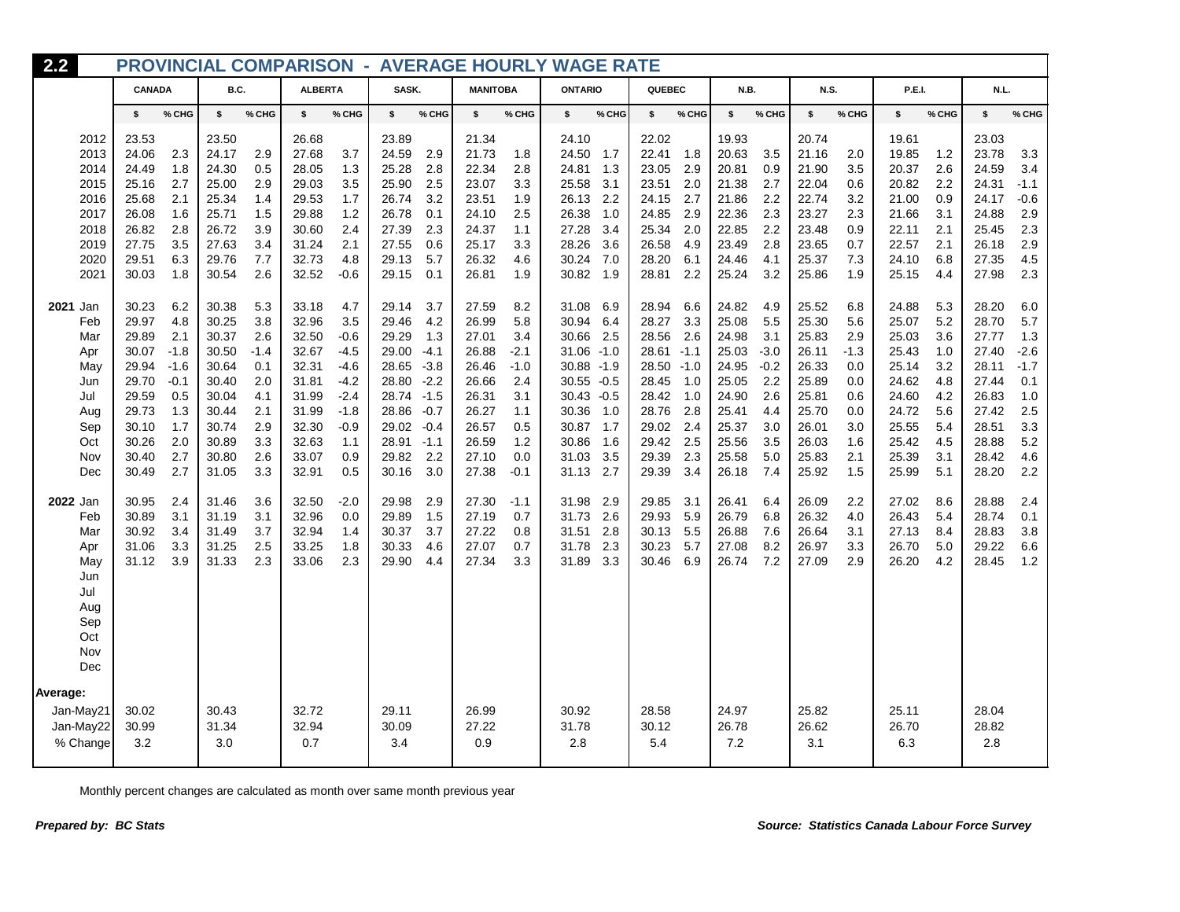| 2.2          |                |                  |                |            |                |                  |                |                  |                 |               | <b>PROVINCIAL COMPARISON - AVERAGE HOURLY WAGE RATE</b> |            |                |               |                |               |                |            |                |            |                |               |
|--------------|----------------|------------------|----------------|------------|----------------|------------------|----------------|------------------|-----------------|---------------|---------------------------------------------------------|------------|----------------|---------------|----------------|---------------|----------------|------------|----------------|------------|----------------|---------------|
|              | CANADA         |                  | B.C.           |            | <b>ALBERTA</b> |                  | SASK.          |                  | <b>MANITOBA</b> |               | <b>ONTARIO</b>                                          |            | QUEBEC         |               | N.B.           |               | <b>N.S.</b>    |            | P.E.I.         |            | N.L.           |               |
|              | \$             | % CHG            | \$             | % CHG      | \$             | % CHG            | \$             | % CHG            | \$              | % CHG         | \$                                                      | % CHG      | \$             | % CHG         | \$             | % CHG         | \$             | % CHG      | \$             | % CHG      | \$             | % CHG         |
| 2012         | 23.53          |                  | 23.50          |            | 26.68          |                  | 23.89          |                  | 21.34           |               | 24.10                                                   |            | 22.02          |               | 19.93          |               | 20.74          |            | 19.61          |            | 23.03          |               |
| 2013         | 24.06          | 2.3              | 24.17          | 2.9        | 27.68          | 3.7              | 24.59          | 2.9              | 21.73           | 1.8           | 24.50                                                   | 1.7        | 22.41          | 1.8           | 20.63          | 3.5           | 21.16          | 2.0        | 19.85          | 1.2        | 23.78          | 3.3           |
| 2014         | 24.49<br>25.16 | 1.8<br>2.7       | 24.30          | 0.5<br>2.9 | 28.05<br>29.03 | 1.3<br>3.5       | 25.28<br>25.90 | 2.8<br>2.5       | 22.34<br>23.07  | 2.8<br>3.3    | 24.81<br>25.58                                          | 1.3<br>3.1 | 23.05<br>23.51 | 2.9<br>2.0    | 20.81<br>21.38 | 0.9<br>2.7    | 21.90<br>22.04 | 3.5<br>0.6 | 20.37<br>20.82 | 2.6<br>2.2 | 24.59<br>24.31 | 3.4<br>$-1.1$ |
| 2015<br>2016 | 25.68          | 2.1              | 25.00<br>25.34 | 1.4        | 29.53          | 1.7              | 26.74          | 3.2              | 23.51           | 1.9           | 26.13                                                   | 2.2        | 24.15          | 2.7           | 21.86          | 2.2           | 22.74          | 3.2        | 21.00          | 0.9        | 24.17          | $-0.6$        |
| 2017         | 26.08          | 1.6              | 25.71          | 1.5        | 29.88          | 1.2              | 26.78          | 0.1              | 24.10           | 2.5           | 26.38                                                   | 1.0        | 24.85          | 2.9           | 22.36          | 2.3           | 23.27          | 2.3        | 21.66          | 3.1        | 24.88          | 2.9           |
| 2018         | 26.82          | 2.8              | 26.72          | 3.9        | 30.60          | 2.4              | 27.39          | 2.3              | 24.37           | 1.1           | 27.28                                                   | 3.4        | 25.34          | 2.0           | 22.85          | 2.2           | 23.48          | 0.9        | 22.11          | 2.1        | 25.45          | 2.3           |
| 2019         | 27.75          | 3.5              | 27.63          | 3.4        | 31.24          | 2.1              | 27.55          | 0.6              | 25.17           | 3.3           | 28.26                                                   | 3.6        | 26.58          | 4.9           | 23.49          | 2.8           | 23.65          | 0.7        | 22.57          | 2.1        | 26.18          | 2.9           |
| 2020         | 29.51          | 6.3              | 29.76          | 7.7        | 32.73          | 4.8              | 29.13          | 5.7              | 26.32           | 4.6           | 30.24                                                   | 7.0        | 28.20          | 6.1           | 24.46          | 4.1           | 25.37          | 7.3        | 24.10          | 6.8        | 27.35          | 4.5           |
| 2021         | 30.03          | 1.8              | 30.54          | 2.6        | 32.52          | $-0.6$           | 29.15          | 0.1              | 26.81           | 1.9           | 30.82 1.9                                               |            | 28.81          | 2.2           | 25.24          | 3.2           | 25.86          | 1.9        | 25.15          | 4.4        | 27.98          | 2.3           |
| 2021 Jan     | 30.23          | 6.2              | 30.38          | 5.3        | 33.18          | 4.7              | 29.14          | 3.7              | 27.59           | 8.2           | 31.08                                                   | 6.9        | 28.94          | 6.6           | 24.82          | 4.9           | 25.52          | 6.8        | 24.88          | 5.3        | 28.20          | 6.0           |
| Feb          | 29.97          | 4.8              | 30.25          | 3.8        | 32.96          | 3.5              | 29.46          | 4.2              | 26.99           | 5.8           | 30.94                                                   | 6.4        | 28.27          | 3.3           | 25.08          | 5.5           | 25.30          | 5.6        | 25.07          | 5.2        | 28.70          | 5.7           |
| Mar          | 29.89          | 2.1              | 30.37          | 2.6        | 32.50          | $-0.6$           | 29.29          | 1.3              | 27.01           | 3.4           | 30.66                                                   | 2.5        | 28.56          | 2.6           | 24.98          | 3.1           | 25.83          | 2.9        | 25.03          | 3.6        | 27.77          | 1.3           |
| Apr          | 30.07          | $-1.8$           | 30.50          | $-1.4$     | 32.67          | $-4.5$           | 29.00          | $-4.1$           | 26.88           | $-2.1$        | $31.06 - 1.0$                                           |            | 28.61          | $-1.1$        | 25.03          | $-3.0$        | 26.11          | $-1.3$     | 25.43          | 1.0        | 27.40          | $-2.6$        |
| May<br>Jun   | 29.94<br>29.70 | $-1.6$<br>$-0.1$ | 30.64<br>30.40 | 0.1<br>2.0 | 32.31<br>31.81 | $-4.6$<br>$-4.2$ | 28.65<br>28.80 | $-3.8$<br>$-2.2$ | 26.46<br>26.66  | $-1.0$<br>2.4 | 30.88 -1.9<br>$30.55 - 0.5$                             |            | 28.50<br>28.45 | $-1.0$<br>1.0 | 24.95<br>25.05 | $-0.2$<br>2.2 | 26.33<br>25.89 | 0.0<br>0.0 | 25.14<br>24.62 | 3.2<br>4.8 | 28.11<br>27.44 | $-1.7$<br>0.1 |
| Jul          | 29.59          | 0.5              | 30.04          | 4.1        | 31.99          | $-2.4$           | 28.74          | $-1.5$           | 26.31           | 3.1           | $30.43 - 0.5$                                           |            | 28.42          | 1.0           | 24.90          | 2.6           | 25.81          | 0.6        | 24.60          | 4.2        | 26.83          | 1.0           |
| Aug          | 29.73          | 1.3              | 30.44          | 2.1        | 31.99          | $-1.8$           | 28.86          | $-0.7$           | 26.27           | 1.1           | 30.36                                                   | 1.0        | 28.76          | 2.8           | 25.41          | 4.4           | 25.70          | 0.0        | 24.72          | 5.6        | 27.42          | 2.5           |
| Sep          | 30.10          | 1.7              | 30.74          | 2.9        | 32.30          | $-0.9$           | 29.02          | $-0.4$           | 26.57           | 0.5           | 30.87                                                   | 1.7        | 29.02          | 2.4           | 25.37          | 3.0           | 26.01          | 3.0        | 25.55          | 5.4        | 28.51          | 3.3           |
| Oct          | 30.26          | 2.0              | 30.89          | 3.3        | 32.63          | 1.1              | 28.91          | $-1.1$           | 26.59           | 1.2           | 30.86                                                   | 1.6        | 29.42          | 2.5           | 25.56          | 3.5           | 26.03          | 1.6        | 25.42          | 4.5        | 28.88          | 5.2           |
| Nov          | 30.40          | 2.7              | 30.80          | 2.6        | 33.07          | 0.9              | 29.82          | 2.2              | 27.10           | 0.0           | 31.03                                                   | 3.5        | 29.39          | 2.3           | 25.58          | 5.0           | 25.83          | 2.1        | 25.39          | 3.1        | 28.42          | 4.6           |
| Dec          | 30.49          | 2.7              | 31.05          | 3.3        | 32.91          | 0.5              | 30.16          | 3.0              | 27.38           | $-0.1$        | 31.13                                                   | 2.7        | 29.39          | 3.4           | 26.18          | 7.4           | 25.92          | 1.5        | 25.99          | 5.1        | 28.20          | 2.2           |
| 2022 Jan     | 30.95          | 2.4              | 31.46          | 3.6        | 32.50          | $-2.0$           | 29.98          | 2.9              | 27.30           | $-1.1$        | 31.98                                                   | 2.9        | 29.85          | 3.1           | 26.41          | 6.4           | 26.09          | 2.2        | 27.02          | 8.6        | 28.88          | 2.4           |
| Feb          | 30.89          | 3.1              | 31.19          | 3.1        | 32.96          | 0.0              | 29.89          | 1.5              | 27.19           | 0.7           | 31.73                                                   | 2.6        | 29.93          | 5.9           | 26.79          | 6.8           | 26.32          | 4.0        | 26.43          | 5.4        | 28.74          | 0.1           |
| Mar          | 30.92          | 3.4              | 31.49          | 3.7        | 32.94          | 1.4              | 30.37          | 3.7              | 27.22           | 0.8           | 31.51                                                   | 2.8        | 30.13          | 5.5           | 26.88          | 7.6           | 26.64          | 3.1        | 27.13          | 8.4        | 28.83          | 3.8           |
| Apr          | 31.06<br>31.12 | 3.3<br>3.9       | 31.25<br>31.33 | 2.5<br>2.3 | 33.25<br>33.06 | 1.8<br>2.3       | 30.33<br>29.90 | 4.6              | 27.07<br>27.34  | 0.7<br>3.3    | 31.78<br>31.89                                          | 2.3<br>3.3 | 30.23<br>30.46 | 5.7<br>6.9    | 27.08<br>26.74 | 8.2<br>7.2    | 26.97<br>27.09 | 3.3<br>2.9 | 26.70<br>26.20 | 5.0<br>4.2 | 29.22<br>28.45 | 6.6<br>1.2    |
| May<br>Jun   |                |                  |                |            |                |                  |                | 4.4              |                 |               |                                                         |            |                |               |                |               |                |            |                |            |                |               |
| Jul          |                |                  |                |            |                |                  |                |                  |                 |               |                                                         |            |                |               |                |               |                |            |                |            |                |               |
| Aug          |                |                  |                |            |                |                  |                |                  |                 |               |                                                         |            |                |               |                |               |                |            |                |            |                |               |
| Sep          |                |                  |                |            |                |                  |                |                  |                 |               |                                                         |            |                |               |                |               |                |            |                |            |                |               |
| Oct          |                |                  |                |            |                |                  |                |                  |                 |               |                                                         |            |                |               |                |               |                |            |                |            |                |               |
| Nov          |                |                  |                |            |                |                  |                |                  |                 |               |                                                         |            |                |               |                |               |                |            |                |            |                |               |
| Dec          |                |                  |                |            |                |                  |                |                  |                 |               |                                                         |            |                |               |                |               |                |            |                |            |                |               |
| Average:     |                |                  |                |            |                |                  |                |                  |                 |               |                                                         |            |                |               |                |               |                |            |                |            |                |               |
| Jan-May21    | 30.02          |                  | 30.43          |            | 32.72          |                  | 29.11          |                  | 26.99           |               | 30.92                                                   |            | 28.58          |               | 24.97          |               | 25.82          |            | 25.11          |            | 28.04          |               |
| Jan-May22    | 30.99          |                  | 31.34          |            | 32.94          |                  | 30.09          |                  | 27.22           |               | 31.78                                                   |            | 30.12          |               | 26.78          |               | 26.62          |            | 26.70          |            | 28.82          |               |
| % Change     | 3.2            |                  | 3.0            |            | 0.7            |                  | 3.4            |                  | 0.9             |               | 2.8                                                     |            | 5.4            |               | 7.2            |               | 3.1            |            | 6.3            |            | 2.8            |               |
|              |                |                  |                |            |                |                  |                |                  |                 |               |                                                         |            |                |               |                |               |                |            |                |            |                |               |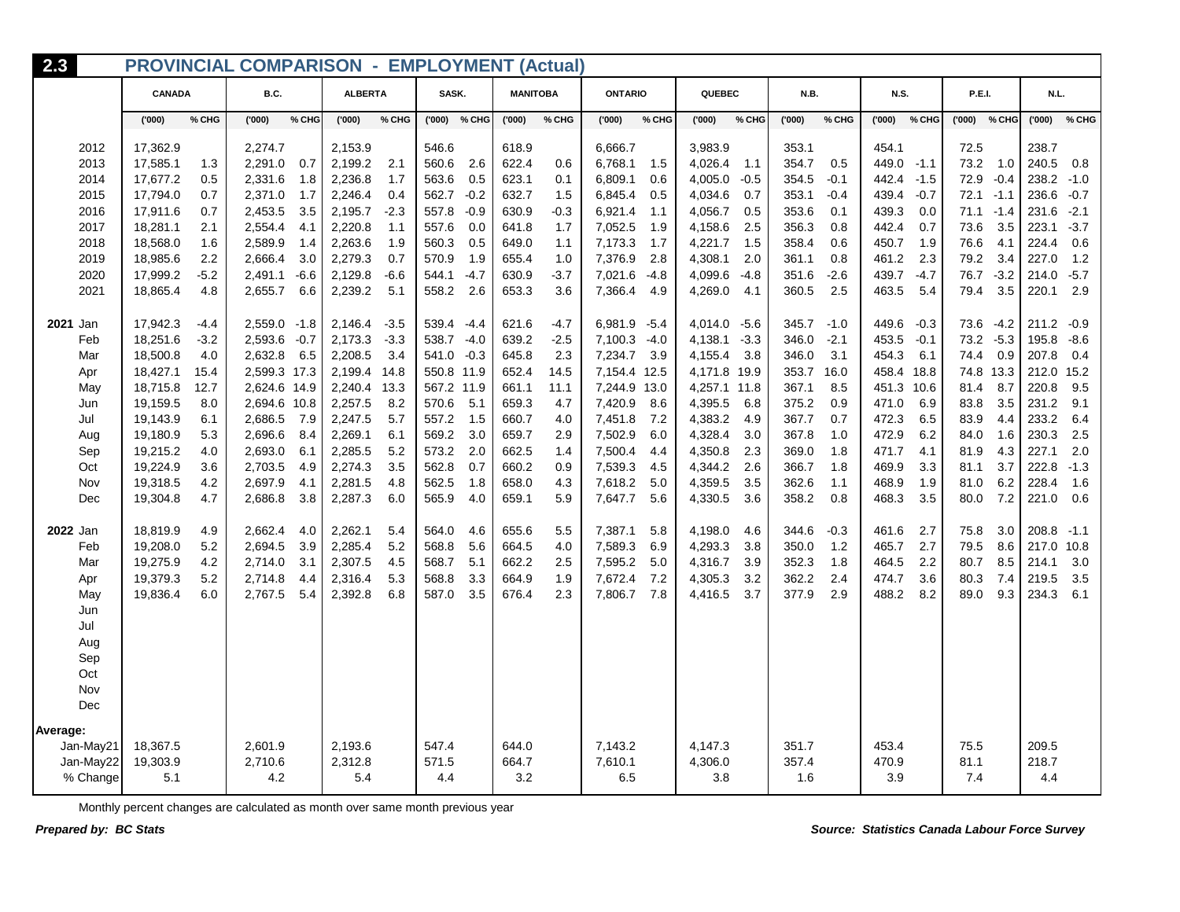| 2.3             | <b>PROVINCIAL COMPARISON - EMPLOYMENT (Actual)</b> |        |              |        |                |        |            |              |                 |        |                |        |              |        |       |        |             |        |               |              |       |        |
|-----------------|----------------------------------------------------|--------|--------------|--------|----------------|--------|------------|--------------|-----------------|--------|----------------|--------|--------------|--------|-------|--------|-------------|--------|---------------|--------------|-------|--------|
|                 | <b>CANADA</b>                                      |        | B.C.         |        | <b>ALBERTA</b> |        | SASK.      |              | <b>MANITOBA</b> |        | <b>ONTARIO</b> |        | QUEBEC       |        | N.B.  |        | <b>N.S.</b> |        | <b>P.E.I.</b> |              | N.L.  |        |
|                 | (000)                                              | % CHG  | (000)        | % CHG  | (000)          | % CHG  |            | ('000) % CHG | (000)           | % CHG  | (000)          | % CHG  | (000)'       | % CHG  | (000) | % CHG  | (000)       | % CHG  |               | ('000) % CHG | (000) | % CHG  |
| 2012            | 17,362.9                                           |        | 2,274.7      |        | 2,153.9        |        | 546.6      |              | 618.9           |        | 6,666.7        |        | 3,983.9      |        | 353.1 |        | 454.1       |        | 72.5          |              | 238.7 |        |
| 2013            | 17,585.1                                           | 1.3    | 2,291.0      | 0.7    | 2,199.2        | 2.1    | 560.6      | 2.6          | 622.4           | 0.6    | 6,768.1        | - 1.5  | 4,026.4      | 1.1    | 354.7 | 0.5    | 449.0       | $-1.1$ | 73.2          | 1.0          | 240.5 | 0.8    |
| 2014            | 17,677.2                                           | 0.5    | 2,331.6      | 1.8    | 2,236.8        | 1.7    | 563.6      | 0.5          | 623.1           | 0.1    | 6,809.1        | 0.6    | 4,005.0      | $-0.5$ | 354.5 | $-0.1$ | 442.4       | $-1.5$ | 72.9          | $-0.4$       | 238.2 | $-1.0$ |
| 2015            | 17,794.0                                           | 0.7    | 2,371.0      | 1.7    | 2,246.4        | 0.4    | 562.7      | $-0.2$       | 632.7           | 1.5    | 6,845.4        | 0.5    | 4,034.6      | 0.7    | 353.1 | $-0.4$ | 439.4       | $-0.7$ | 72.1          | $-1.1$       | 236.6 | $-0.7$ |
| 2016            | 17,911.6                                           | 0.7    | 2,453.5      | 3.5    | 2,195.7        | $-2.3$ | 557.8      | $-0.9$       | 630.9           | -0.3   | 6,921.4        | 1.1    | 4,056.7      | 0.5    | 353.6 | 0.1    | 439.3       | 0.0    | 71.1          | $-1.4$       | 231.6 | $-2.1$ |
| 2017            | 18,281.1                                           | 2.1    | 2,554.4      | 4.1    | 2,220.8        | 1.1    | 557.6      | 0.0          | 641.8           | 1.7    | 7,052.5        | - 1.9  | 4,158.6      | 2.5    | 356.3 | 0.8    | 442.4       | 0.7    | 73.6          | 3.5          | 223.1 | $-3.7$ |
| 2018            | 18,568.0                                           | 1.6    | 2,589.9      | 1.4    | 2,263.6        | 1.9    | 560.3      | 0.5          | 649.0           | 1.1    | 7,173.3        | - 1.7  | 4,221.7      | 1.5    | 358.4 | 0.6    | 450.7       | 1.9    | 76.6          | 4.1          | 224.4 | 0.6    |
| 2019            | 18,985.6                                           | 2.2    | 2,666.4      | 3.0    | 2,279.3        | 0.7    | 570.9      | 1.9          | 655.4           | 1.0    | 7,376.9        | 2.8    | 4,308.1      | 2.0    | 361.1 | 0.8    | 461.2       | 2.3    | 79.2          | 3.4          | 227.0 | 1.2    |
| 2020            | 17,999.2                                           | $-5.2$ | 2,491.1      | $-6.6$ | 2,129.8        | $-6.6$ | 544.1      | $-4.7$       | 630.9           | $-3.7$ | 7,021.6        | $-4.8$ | 4,099.6      | $-4.8$ | 351.6 | $-2.6$ | 439.7       | $-4.7$ | 76.7          | $-3.2$       | 214.0 | $-5.7$ |
| 2021            | 18,865.4                                           | 4.8    | 2,655.7      | 6.6    | 2,239.2        | 5.1    | 558.2      | 2.6          | 653.3           | 3.6    | 7,366.4        | - 4.9  | 4,269.0      | 4.1    | 360.5 | 2.5    | 463.5       | 5.4    | 79.4          | 3.5          | 220.1 | 2.9    |
| <b>2021 Jan</b> | 17,942.3                                           | -4.4   | 2,559.0      | $-1.8$ | 2,146.4        | $-3.5$ | 539.4      | $-4.4$       | 621.6           | -4.7   | 6,981.9 -5.4   |        | 4,014.0      | $-5.6$ | 345.7 | $-1.0$ | 449.6       | $-0.3$ | 73.6          | $-4.2$       | 211.2 | $-0.9$ |
| Feb             | 18,251.6                                           | $-3.2$ | 2,593.6      | $-0.7$ | 2,173.3        | $-3.3$ | 538.7      | $-4.0$       | 639.2           | $-2.5$ | 7,100.3 -4.0   |        | 4,138.1      | $-3.3$ | 346.0 | $-2.1$ | 453.5       | $-0.1$ | 73.2          | $-5.3$       | 195.8 | $-8.6$ |
| Mar             | 18,500.8                                           | 4.0    | 2,632.8      | 6.5    | 2,208.5        | 3.4    | 541.0      | $-0.3$       | 645.8           | 2.3    | 7,234.7 3.9    |        | 4,155.4      | 3.8    | 346.0 | 3.1    | 454.3       | 6.1    | 74.4          | 0.9          | 207.8 | 0.4    |
| Apr             | 18,427.1                                           | 15.4   | 2,599.3 17.3 |        | 2,199.4        | 14.8   | 550.8 11.9 |              | 652.4           | 14.5   | 7,154.4 12.5   |        | 4,171.8      | 19.9   | 353.7 | 16.0   | 458.4       | 18.8   |               | 74.8 13.3    | 212.0 | 15.2   |
| May             | 18,715.8                                           | 12.7   | 2,624.6 14.9 |        | 2,240.4        | 13.3   | 567.2 11.9 |              | 661.1           | 11.1   | 7,244.9 13.0   |        | 4,257.1 11.8 |        | 367.1 | 8.5    | 451.3       | 10.6   | 81.4          | 8.7          | 220.8 | 9.5    |
| Jun             | 19,159.5                                           | 8.0    | 2,694.6 10.8 |        | 2,257.5        | 8.2    | 570.6      | 5.1          | 659.3           | 4.7    | 7,420.9        | 8.6    | 4,395.5      | 6.8    | 375.2 | 0.9    | 471.0       | 6.9    | 83.8          | 3.5          | 231.2 | 9.1    |
| Jul             | 19,143.9                                           | 6.1    | 2,686.5      | 7.9    | 2,247.5        | 5.7    | 557.2      | 1.5          | 660.7           | 4.0    | 7,451.8        | 7.2    | 4,383.2      | 4.9    | 367.7 | 0.7    | 472.3       | 6.5    | 83.9          | 4.4          | 233.2 | 6.4    |
| Aug             | 19,180.9                                           | 5.3    | 2,696.6      | 8.4    | 2,269.1        | 6.1    | 569.2      | 3.0          | 659.7           | 2.9    | 7,502.9        | 6.0    | 4,328.4      | 3.0    | 367.8 | 1.0    | 472.9       | 6.2    | 84.0          | 1.6          | 230.3 | 2.5    |
| Sep             | 19,215.2                                           | 4.0    | 2,693.0      | 6.1    | 2,285.5        | 5.2    | 573.2      | 2.0          | 662.5           | 1.4    | 7,500.4        | 4.4    | 4,350.8      | 2.3    | 369.0 | 1.8    | 471.7       | 4.1    | 81.9          | 4.3          | 227.1 | 2.0    |
| Oct             | 19,224.9                                           | 3.6    | 2,703.5      | 4.9    | 2,274.3        | 3.5    | 562.8      | 0.7          | 660.2           | 0.9    | 7,539.3        | 4.5    | 4,344.2      | 2.6    | 366.7 | 1.8    | 469.9       | 3.3    | 81.1          | 3.7          | 222.8 | $-1.3$ |
| Nov             | 19,318.5                                           | 4.2    | 2,697.9      | 4.1    | 2,281.5        | 4.8    | 562.5      | 1.8          | 658.0           | 4.3    | 7,618.2        | 5.0    | 4,359.5      | 3.5    | 362.6 | 1.1    | 468.9       | 1.9    | 81.0          | 6.2          | 228.4 | 1.6    |
| Dec             | 19,304.8                                           | 4.7    | 2,686.8      | 3.8    | 2,287.3        | 6.0    | 565.9      | 4.0          | 659.1           | 5.9    | 7,647.7        | 5.6    | 4,330.5      | 3.6    | 358.2 | 0.8    | 468.3       | 3.5    | 80.0          | 7.2          | 221.0 | 0.6    |
| 2022 Jan        | 18,819.9                                           | 4.9    | 2,662.4      | 4.0    | 2,262.1        | 5.4    | 564.0      | 4.6          | 655.6           | 5.5    | 7,387.1        | 5.8    | 4,198.0      | 4.6    | 344.6 | $-0.3$ | 461.6       | 2.7    | 75.8          | 3.0          | 208.8 | $-1.1$ |
| Feb             | 19,208.0                                           | 5.2    | 2,694.5      | 3.9    | 2,285.4        | 5.2    | 568.8      | 5.6          | 664.5           | 4.0    | 7,589.3        | 6.9    | 4,293.3      | 3.8    | 350.0 | 1.2    | 465.7       | 2.7    | 79.5          | 8.6          | 217.0 | 10.8   |
| Mar             | 19,275.9                                           | 4.2    | 2,714.0      | 3.1    | 2,307.5        | 4.5    | 568.7      | 5.1          | 662.2           | 2.5    | 7,595.2        | 5.0    | 4,316.7      | 3.9    | 352.3 | 1.8    | 464.5       | 2.2    | 80.7          | 8.5          | 214.1 | 3.0    |
| Apr             | 19,379.3                                           | 5.2    | 2,714.8      | 4.4    | 2,316.4        | 5.3    | 568.8      | 3.3          | 664.9           | 1.9    | 7,672.4        | 7.2    | 4,305.3      | 3.2    | 362.2 | 2.4    | 474.7       | 3.6    | 80.3          | 7.4          | 219.5 | 3.5    |
| May             | 19,836.4                                           | 6.0    | 2,767.5      | 5.4    | 2,392.8        | 6.8    | 587.0      | 3.5          | 676.4           | 2.3    | 7,806.7        | 7.8    | 4,416.5      | 3.7    | 377.9 | 2.9    | 488.2       | 8.2    | 89.0          | 9.3          | 234.3 | 6.1    |
| Jun             |                                                    |        |              |        |                |        |            |              |                 |        |                |        |              |        |       |        |             |        |               |              |       |        |
| Jul             |                                                    |        |              |        |                |        |            |              |                 |        |                |        |              |        |       |        |             |        |               |              |       |        |
| Aug             |                                                    |        |              |        |                |        |            |              |                 |        |                |        |              |        |       |        |             |        |               |              |       |        |
| Sep             |                                                    |        |              |        |                |        |            |              |                 |        |                |        |              |        |       |        |             |        |               |              |       |        |
| Oct             |                                                    |        |              |        |                |        |            |              |                 |        |                |        |              |        |       |        |             |        |               |              |       |        |
| Nov             |                                                    |        |              |        |                |        |            |              |                 |        |                |        |              |        |       |        |             |        |               |              |       |        |
| Dec             |                                                    |        |              |        |                |        |            |              |                 |        |                |        |              |        |       |        |             |        |               |              |       |        |
| Average:        |                                                    |        |              |        |                |        |            |              |                 |        |                |        |              |        |       |        |             |        |               |              |       |        |
| Jan-May21       | 18,367.5                                           |        | 2,601.9      |        | 2,193.6        |        | 547.4      |              | 644.0           |        | 7,143.2        |        | 4,147.3      |        | 351.7 |        | 453.4       |        | 75.5          |              | 209.5 |        |
| Jan-May22       | 19,303.9                                           |        | 2,710.6      |        | 2,312.8        |        | 571.5      |              | 664.7           |        | 7,610.1        |        | 4,306.0      |        | 357.4 |        | 470.9       |        | 81.1          |              | 218.7 |        |
| % Change        | 5.1                                                |        | 4.2          |        | 5.4            |        | 4.4        |              | 3.2             |        | 6.5            |        | 3.8          |        | 1.6   |        | 3.9         |        | 7.4           |              | 4.4   |        |
|                 |                                                    |        |              |        |                |        |            |              |                 |        |                |        |              |        |       |        |             |        |               |              |       |        |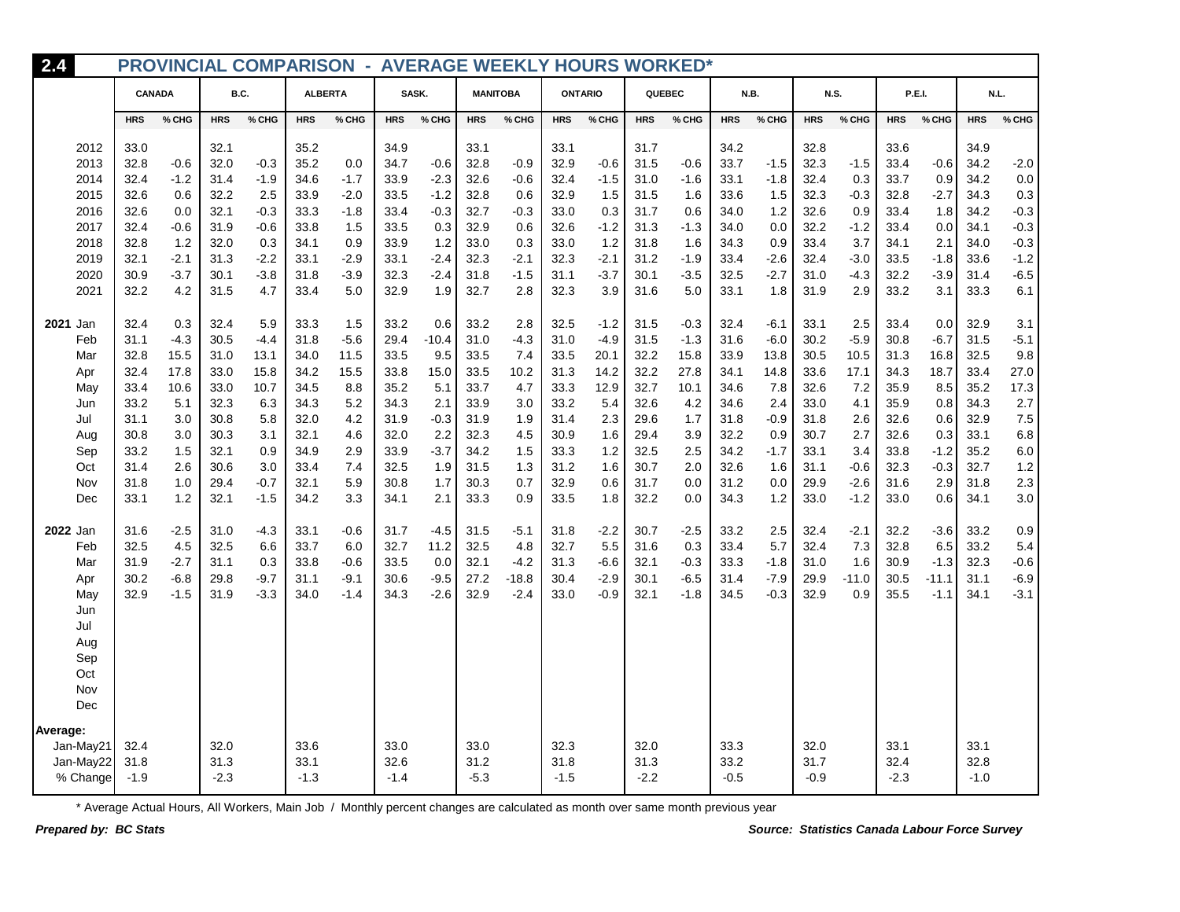| 2.4       |            |        |            |        |                | <b>PROVINCIAL COMPARISON - AVERAGE WEEKLY HOURS WORKED*</b> |            |         |            |                 |            |                |            |        |            |        |            |             |               |         |            |         |
|-----------|------------|--------|------------|--------|----------------|-------------------------------------------------------------|------------|---------|------------|-----------------|------------|----------------|------------|--------|------------|--------|------------|-------------|---------------|---------|------------|---------|
|           | CANADA     |        | B.C.       |        | <b>ALBERTA</b> |                                                             |            | SASK.   |            | <b>MANITOBA</b> |            | <b>ONTARIO</b> |            | QUEBEC |            | N.B.   |            | <b>N.S.</b> | <b>P.E.I.</b> |         |            | N.L.    |
|           | <b>HRS</b> | % CHG  | <b>HRS</b> | % CHG  | <b>HRS</b>     | % CHG                                                       | <b>HRS</b> | % CHG   | <b>HRS</b> | % CHG           | <b>HRS</b> | % CHG          | <b>HRS</b> | % CHG  | <b>HRS</b> | % CHG  | <b>HRS</b> | % CHG       | <b>HRS</b>    | % CHG   | <b>HRS</b> | % CHG   |
| 2012      | 33.0       |        | 32.1       |        | 35.2           |                                                             | 34.9       |         | 33.1       |                 | 33.1       |                | 31.7       |        | 34.2       |        | 32.8       |             | 33.6          |         | 34.9       |         |
| 2013      | 32.8       | $-0.6$ | 32.0       | $-0.3$ | 35.2           | 0.0                                                         | 34.7       | $-0.6$  | 32.8       | $-0.9$          | 32.9       | $-0.6$         | 31.5       | $-0.6$ | 33.7       | $-1.5$ | 32.3       | $-1.5$      | 33.4          | $-0.6$  | 34.2       | $-2.0$  |
| 2014      | 32.4       | $-1.2$ | 31.4       | $-1.9$ | 34.6           | $-1.7$                                                      | 33.9       | $-2.3$  | 32.6       | $-0.6$          | 32.4       | $-1.5$         | 31.0       | $-1.6$ | 33.1       | $-1.8$ | 32.4       | 0.3         | 33.7          | 0.9     | 34.2       | 0.0     |
| 2015      | 32.6       | 0.6    | 32.2       | 2.5    | 33.9           | $-2.0$                                                      | 33.5       | $-1.2$  | 32.8       | 0.6             | 32.9       | 1.5            | 31.5       | 1.6    | 33.6       | 1.5    | 32.3       | $-0.3$      | 32.8          | $-2.7$  | 34.3       | 0.3     |
| 2016      | 32.6       | 0.0    | 32.1       | $-0.3$ | 33.3           | $-1.8$                                                      | 33.4       | $-0.3$  | 32.7       | $-0.3$          | 33.0       | 0.3            | 31.7       | 0.6    | 34.0       | 1.2    | 32.6       | 0.9         | 33.4          | 1.8     | 34.2       | $-0.3$  |
| 2017      | 32.4       | $-0.6$ | 31.9       | $-0.6$ | 33.8           | 1.5                                                         | 33.5       | 0.3     | 32.9       | 0.6             | 32.6       | $-1.2$         | 31.3       | $-1.3$ | 34.0       | 0.0    | 32.2       | $-1.2$      | 33.4          | 0.0     | 34.1       | $-0.3$  |
| 2018      | 32.8       | 1.2    | 32.0       | 0.3    | 34.1           | 0.9                                                         | 33.9       | 1.2     | 33.0       | 0.3             | 33.0       | 1.2            | 31.8       | 1.6    | 34.3       | 0.9    | 33.4       | 3.7         | 34.1          | 2.1     | 34.0       | $-0.3$  |
| 2019      | 32.1       | $-2.1$ | 31.3       | $-2.2$ | 33.1           | $-2.9$                                                      | 33.1       | $-2.4$  | 32.3       | $-2.1$          | 32.3       | $-2.1$         | 31.2       | $-1.9$ | 33.4       | $-2.6$ | 32.4       | $-3.0$      | 33.5          | $-1.8$  | 33.6       | $-1.2$  |
| 2020      | 30.9       | $-3.7$ | 30.1       | $-3.8$ | 31.8           | $-3.9$                                                      | 32.3       | $-2.4$  | 31.8       | $-1.5$          | 31.1       | $-3.7$         | 30.1       | $-3.5$ | 32.5       | $-2.7$ | 31.0       | $-4.3$      | 32.2          | $-3.9$  | 31.4       | $-6.5$  |
| 2021      | 32.2       | 4.2    | 31.5       | 4.7    | 33.4           | 5.0                                                         | 32.9       | 1.9     | 32.7       | 2.8             | 32.3       | 3.9            | 31.6       | 5.0    | 33.1       | 1.8    | 31.9       | 2.9         | 33.2          | 3.1     | 33.3       | 6.1     |
| 2021 Jan  | 32.4       | 0.3    | 32.4       | 5.9    | 33.3           | 1.5                                                         | 33.2       | 0.6     | 33.2       | 2.8             | 32.5       | $-1.2$         | 31.5       | $-0.3$ | 32.4       | $-6.1$ | 33.1       | 2.5         | 33.4          | 0.0     | 32.9       | 3.1     |
| Feb       | 31.1       | $-4.3$ | 30.5       | $-4.4$ | 31.8           | $-5.6$                                                      | 29.4       | $-10.4$ | 31.0       | $-4.3$          | 31.0       | $-4.9$         | 31.5       | $-1.3$ | 31.6       | $-6.0$ | 30.2       | $-5.9$      | 30.8          | $-6.7$  | 31.5       | $-5.1$  |
| Mar       | 32.8       | 15.5   | 31.0       | 13.1   | 34.0           | 11.5                                                        | 33.5       | 9.5     | 33.5       | 7.4             | 33.5       | 20.1           | 32.2       | 15.8   | 33.9       | 13.8   | 30.5       | 10.5        | 31.3          | 16.8    | 32.5       | $9.8\,$ |
| Apr       | 32.4       | 17.8   | 33.0       | 15.8   | 34.2           | 15.5                                                        | 33.8       | 15.0    | 33.5       | 10.2            | 31.3       | 14.2           | 32.2       | 27.8   | 34.1       | 14.8   | 33.6       | 17.1        | 34.3          | 18.7    | 33.4       | 27.0    |
| May       | 33.4       | 10.6   | 33.0       | 10.7   | 34.5           | 8.8                                                         | 35.2       | 5.1     | 33.7       | 4.7             | 33.3       | 12.9           | 32.7       | 10.1   | 34.6       | 7.8    | 32.6       | 7.2         | 35.9          | 8.5     | 35.2       | 17.3    |
| Jun       | 33.2       | 5.1    | 32.3       | 6.3    | 34.3           | 5.2                                                         | 34.3       | 2.1     | 33.9       | 3.0             | 33.2       | 5.4            | 32.6       | 4.2    | 34.6       | 2.4    | 33.0       | 4.1         | 35.9          | 0.8     | 34.3       | 2.7     |
| Jul       | 31.1       | 3.0    | 30.8       | 5.8    | 32.0           | 4.2                                                         | 31.9       | $-0.3$  | 31.9       | 1.9             | 31.4       | 2.3            | 29.6       | 1.7    | 31.8       | $-0.9$ | 31.8       | 2.6         | 32.6          | 0.6     | 32.9       | 7.5     |
| Aug       | 30.8       | 3.0    | 30.3       | 3.1    | 32.1           | 4.6                                                         | 32.0       | 2.2     | 32.3       | 4.5             | 30.9       | 1.6            | 29.4       | 3.9    | 32.2       | 0.9    | 30.7       | 2.7         | 32.6          | 0.3     | 33.1       | $6.8\,$ |
| Sep       | 33.2       | 1.5    | 32.1       | 0.9    | 34.9           | 2.9                                                         | 33.9       | $-3.7$  | 34.2       | 1.5             | 33.3       | 1.2            | 32.5       | 2.5    | 34.2       | $-1.7$ | 33.1       | 3.4         | 33.8          | $-1.2$  | 35.2       | $6.0\,$ |
| Oct       | 31.4       | 2.6    | 30.6       | 3.0    | 33.4           | 7.4                                                         | 32.5       | 1.9     | 31.5       | 1.3             | 31.2       | 1.6            | 30.7       | 2.0    | 32.6       | 1.6    | 31.1       | $-0.6$      | 32.3          | $-0.3$  | 32.7       | 1.2     |
| Nov       | 31.8       | 1.0    | 29.4       | $-0.7$ | 32.1           | 5.9                                                         | 30.8       | 1.7     | 30.3       | 0.7             | 32.9       | 0.6            | 31.7       | 0.0    | 31.2       | 0.0    | 29.9       | $-2.6$      | 31.6          | 2.9     | 31.8       | 2.3     |
| Dec       | 33.1       | 1.2    | 32.1       | $-1.5$ | 34.2           | 3.3                                                         | 34.1       | 2.1     | 33.3       | 0.9             | 33.5       | 1.8            | 32.2       | 0.0    | 34.3       | 1.2    | 33.0       | $-1.2$      | 33.0          | 0.6     | 34.1       | 3.0     |
| 2022 Jan  | 31.6       | $-2.5$ | 31.0       | $-4.3$ | 33.1           | $-0.6$                                                      | 31.7       | $-4.5$  | 31.5       | $-5.1$          | 31.8       | $-2.2$         | 30.7       | $-2.5$ | 33.2       | 2.5    | 32.4       | $-2.1$      | 32.2          | $-3.6$  | 33.2       | 0.9     |
| Feb       | 32.5       | 4.5    | 32.5       | 6.6    | 33.7           | 6.0                                                         | 32.7       | 11.2    | 32.5       | 4.8             | 32.7       | 5.5            | 31.6       | 0.3    | 33.4       | 5.7    | 32.4       | 7.3         | 32.8          | 6.5     | 33.2       | 5.4     |
| Mar       | 31.9       | $-2.7$ | 31.1       | 0.3    | 33.8           | $-0.6$                                                      | 33.5       | 0.0     | 32.1       | $-4.2$          | 31.3       | $-6.6$         | 32.1       | $-0.3$ | 33.3       | $-1.8$ | 31.0       | 1.6         | 30.9          | $-1.3$  | 32.3       | $-0.6$  |
| Apr       | 30.2       | $-6.8$ | 29.8       | $-9.7$ | 31.1           | $-9.1$                                                      | 30.6       | $-9.5$  | 27.2       | $-18.8$         | 30.4       | $-2.9$         | 30.1       | $-6.5$ | 31.4       | $-7.9$ | 29.9       | $-11.0$     | 30.5          | $-11.1$ | 31.1       | $-6.9$  |
| May       | 32.9       | $-1.5$ | 31.9       | $-3.3$ | 34.0           | $-1.4$                                                      | 34.3       | $-2.6$  | 32.9       | $-2.4$          | 33.0       | $-0.9$         | 32.1       | $-1.8$ | 34.5       | $-0.3$ | 32.9       | 0.9         | 35.5          | $-1.1$  | 34.1       | $-3.1$  |
| Jun       |            |        |            |        |                |                                                             |            |         |            |                 |            |                |            |        |            |        |            |             |               |         |            |         |
| Jul       |            |        |            |        |                |                                                             |            |         |            |                 |            |                |            |        |            |        |            |             |               |         |            |         |
| Aug       |            |        |            |        |                |                                                             |            |         |            |                 |            |                |            |        |            |        |            |             |               |         |            |         |
| Sep       |            |        |            |        |                |                                                             |            |         |            |                 |            |                |            |        |            |        |            |             |               |         |            |         |
| Oct       |            |        |            |        |                |                                                             |            |         |            |                 |            |                |            |        |            |        |            |             |               |         |            |         |
| Nov       |            |        |            |        |                |                                                             |            |         |            |                 |            |                |            |        |            |        |            |             |               |         |            |         |
| Dec       |            |        |            |        |                |                                                             |            |         |            |                 |            |                |            |        |            |        |            |             |               |         |            |         |
| Average:  |            |        |            |        |                |                                                             |            |         |            |                 |            |                |            |        |            |        |            |             |               |         |            |         |
| Jan-May21 | 32.4       |        | 32.0       |        | 33.6           |                                                             | 33.0       |         | 33.0       |                 | 32.3       |                | 32.0       |        | 33.3       |        | 32.0       |             | 33.1          |         | 33.1       |         |
| Jan-May22 | 31.8       |        | 31.3       |        | 33.1           |                                                             | 32.6       |         | 31.2       |                 | 31.8       |                | 31.3       |        | 33.2       |        | 31.7       |             | 32.4          |         | 32.8       |         |
| % Change  | $-1.9$     |        | $-2.3$     |        | $-1.3$         |                                                             | $-1.4$     |         | $-5.3$     |                 | $-1.5$     |                | $-2.2$     |        | $-0.5$     |        | $-0.9$     |             | $-2.3$        |         | $-1.0$     |         |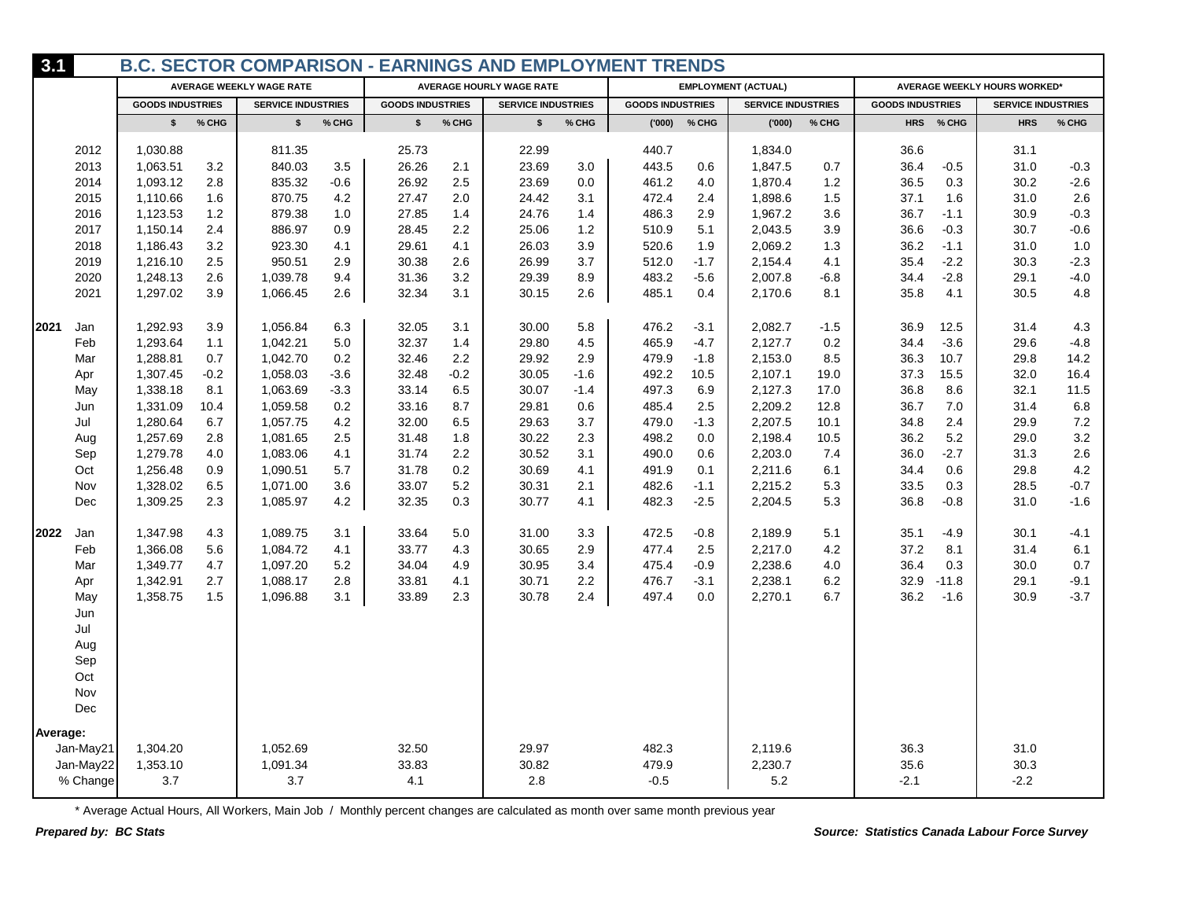| 3.1      |           |                         |        | <b>B.C. SECTOR COMPARISON - EARNINGS AND EMPLOYMENT TRENDS</b> |         |                         |        |                                 |         |                         |        |                            |        |                         |           |                              |         |
|----------|-----------|-------------------------|--------|----------------------------------------------------------------|---------|-------------------------|--------|---------------------------------|---------|-------------------------|--------|----------------------------|--------|-------------------------|-----------|------------------------------|---------|
|          |           |                         |        | <b>AVERAGE WEEKLY WAGE RATE</b>                                |         |                         |        | <b>AVERAGE HOURLY WAGE RATE</b> |         |                         |        | <b>EMPLOYMENT (ACTUAL)</b> |        |                         |           | AVERAGE WEEKLY HOURS WORKED* |         |
|          |           | <b>GOODS INDUSTRIES</b> |        | <b>SERVICE INDUSTRIES</b>                                      |         | <b>GOODS INDUSTRIES</b> |        | <b>SERVICE INDUSTRIES</b>       |         | <b>GOODS INDUSTRIES</b> |        | <b>SERVICE INDUSTRIES</b>  |        | <b>GOODS INDUSTRIES</b> |           | <b>SERVICE INDUSTRIES</b>    |         |
|          |           | $\mathsf{s}$            | % CHG  | \$                                                             | $%$ CHG | $\mathsf{s}$            | % CHG  | $\mathbf{s}$                    | % CHG   | (000)'                  | % CHG  | (000)'                     | % CHG  |                         | HRS % CHG | <b>HRS</b>                   | % CHG   |
|          | 2012      | 1,030.88                |        | 811.35                                                         |         | 25.73                   |        | 22.99                           |         | 440.7                   |        | 1,834.0                    |        | 36.6                    |           | 31.1                         |         |
|          | 2013      | 1,063.51                | 3.2    | 840.03                                                         | 3.5     | 26.26                   | 2.1    | 23.69                           | $3.0\,$ | 443.5                   | 0.6    | 1,847.5                    | 0.7    | 36.4                    | $-0.5$    | 31.0                         | $-0.3$  |
|          | 2014      | 1,093.12                | 2.8    | 835.32                                                         | $-0.6$  | 26.92                   | 2.5    | 23.69                           | 0.0     | 461.2                   | 4.0    | 1,870.4                    | 1.2    | 36.5                    | 0.3       | 30.2                         | $-2.6$  |
|          | 2015      | 1,110.66                | 1.6    | 870.75                                                         | 4.2     | 27.47                   | 2.0    | 24.42                           | 3.1     | 472.4                   | 2.4    | 1,898.6                    | 1.5    | 37.1                    | 1.6       | 31.0                         | 2.6     |
|          | 2016      | 1,123.53                | 1.2    | 879.38                                                         | 1.0     | 27.85                   | 1.4    | 24.76                           | 1.4     | 486.3                   | 2.9    | 1,967.2                    | 3.6    | 36.7                    | $-1.1$    | 30.9                         | $-0.3$  |
|          | 2017      | 1,150.14                | 2.4    | 886.97                                                         | 0.9     | 28.45                   | 2.2    | 25.06                           | 1.2     | 510.9                   | 5.1    | 2,043.5                    | 3.9    | 36.6                    | $-0.3$    | 30.7                         | $-0.6$  |
|          | 2018      | 1,186.43                | 3.2    | 923.30                                                         | 4.1     | 29.61                   | 4.1    | 26.03                           | 3.9     | 520.6                   | 1.9    | 2,069.2                    | 1.3    | 36.2                    | $-1.1$    | 31.0                         | 1.0     |
|          | 2019      | 1,216.10                | 2.5    | 950.51                                                         | 2.9     | 30.38                   | 2.6    | 26.99                           | 3.7     | 512.0                   | $-1.7$ | 2,154.4                    | 4.1    | 35.4                    | $-2.2$    | 30.3                         | $-2.3$  |
|          | 2020      | 1,248.13                | 2.6    | 1,039.78                                                       | 9.4     | 31.36                   | 3.2    | 29.39                           | 8.9     | 483.2                   | $-5.6$ | 2,007.8                    | $-6.8$ | 34.4                    | $-2.8$    | 29.1                         | $-4.0$  |
|          | 2021      | 1,297.02                | 3.9    | 1,066.45                                                       | 2.6     | 32.34                   | 3.1    | 30.15                           | 2.6     | 485.1                   | 0.4    | 2,170.6                    | 8.1    | 35.8                    | 4.1       | 30.5                         | 4.8     |
| 2021     | Jan       | 1,292.93                | 3.9    | 1,056.84                                                       | 6.3     | 32.05                   | 3.1    | 30.00                           | 5.8     | 476.2                   | $-3.1$ | 2,082.7                    | $-1.5$ | 36.9                    | 12.5      | 31.4                         | 4.3     |
|          | Feb       | 1,293.64                | 1.1    | 1,042.21                                                       | 5.0     | 32.37                   | 1.4    | 29.80                           | 4.5     | 465.9                   | -4.7   | 2,127.7                    | 0.2    | 34.4                    | $-3.6$    | 29.6                         | $-4.8$  |
|          | Mar       | 1,288.81                | 0.7    | 1,042.70                                                       | 0.2     | 32.46                   | 2.2    | 29.92                           | 2.9     | 479.9                   | $-1.8$ | 2,153.0                    | 8.5    | 36.3                    | 10.7      | 29.8                         | 14.2    |
|          | Apr       | 1,307.45                | $-0.2$ | 1,058.03                                                       | $-3.6$  | 32.48                   | $-0.2$ | 30.05                           | $-1.6$  | 492.2                   | 10.5   | 2,107.1                    | 19.0   | 37.3                    | 15.5      | 32.0                         | 16.4    |
|          | May       | 1,338.18                | 8.1    | 1,063.69                                                       | $-3.3$  | 33.14                   | 6.5    | 30.07                           | $-1.4$  | 497.3                   | 6.9    | 2,127.3                    | 17.0   | 36.8                    | 8.6       | 32.1                         | 11.5    |
|          | Jun       | 1,331.09                | 10.4   | 1,059.58                                                       | 0.2     | 33.16                   | 8.7    | 29.81                           | 0.6     | 485.4                   | 2.5    | 2,209.2                    | 12.8   | 36.7                    | 7.0       | 31.4                         | 6.8     |
|          | Jul       | 1,280.64                | 6.7    | 1,057.75                                                       | 4.2     | 32.00                   | 6.5    | 29.63                           | 3.7     | 479.0                   | $-1.3$ | 2,207.5                    | 10.1   | 34.8                    | 2.4       | 29.9                         | 7.2     |
|          | Aug       | 1,257.69                | 2.8    | 1,081.65                                                       | 2.5     | 31.48                   | 1.8    | 30.22                           | 2.3     | 498.2                   | 0.0    | 2,198.4                    | 10.5   | 36.2                    | 5.2       | 29.0                         | $3.2\,$ |
|          | Sep       | 1,279.78                | 4.0    | 1,083.06                                                       | 4.1     | 31.74                   | 2.2    | 30.52                           | 3.1     | 490.0                   | 0.6    | 2,203.0                    | 7.4    | 36.0                    | $-2.7$    | 31.3                         | $2.6\,$ |
|          | Oct       | 1,256.48                | 0.9    | 1,090.51                                                       | 5.7     | 31.78                   | 0.2    | 30.69                           | 4.1     | 491.9                   | 0.1    | 2,211.6                    | 6.1    | 34.4                    | 0.6       | 29.8                         | 4.2     |
|          | Nov       | 1,328.02                | 6.5    | 1,071.00                                                       | 3.6     | 33.07                   | 5.2    | 30.31                           | 2.1     | 482.6                   | $-1.1$ | 2,215.2                    | 5.3    | 33.5                    | 0.3       | 28.5                         | $-0.7$  |
|          | Dec       | 1,309.25                | 2.3    | 1,085.97                                                       | 4.2     | 32.35                   | 0.3    | 30.77                           | 4.1     | 482.3                   | $-2.5$ | 2,204.5                    | 5.3    | 36.8                    | $-0.8$    | 31.0                         | $-1.6$  |
| 2022     | Jan       | 1,347.98                | 4.3    | 1,089.75                                                       | 3.1     | 33.64                   | 5.0    | 31.00                           | 3.3     | 472.5                   | $-0.8$ | 2,189.9                    | 5.1    | 35.1                    | $-4.9$    | 30.1                         | $-4.1$  |
|          | Feb       | 1,366.08                | 5.6    | 1,084.72                                                       | 4.1     | 33.77                   | 4.3    | 30.65                           | 2.9     | 477.4                   | 2.5    | 2,217.0                    | 4.2    | 37.2                    | 8.1       | 31.4                         | 6.1     |
|          | Mar       | 1,349.77                | 4.7    | 1,097.20                                                       | 5.2     | 34.04                   | 4.9    | 30.95                           | 3.4     | 475.4                   | $-0.9$ | 2,238.6                    | 4.0    | 36.4                    | 0.3       | 30.0                         | 0.7     |
|          | Apr       | 1,342.91                | 2.7    | 1,088.17                                                       | 2.8     | 33.81                   | 4.1    | 30.71                           | 2.2     | 476.7                   | $-3.1$ | 2,238.1                    | 6.2    | 32.9                    | $-11.8$   | 29.1                         | $-9.1$  |
|          | May       | 1,358.75                | 1.5    | 1,096.88                                                       | 3.1     | 33.89                   | 2.3    | 30.78                           | 2.4     | 497.4                   | 0.0    | 2,270.1                    | 6.7    | 36.2                    | $-1.6$    | 30.9                         | $-3.7$  |
|          | Jun       |                         |        |                                                                |         |                         |        |                                 |         |                         |        |                            |        |                         |           |                              |         |
|          | Jul       |                         |        |                                                                |         |                         |        |                                 |         |                         |        |                            |        |                         |           |                              |         |
|          | Aug       |                         |        |                                                                |         |                         |        |                                 |         |                         |        |                            |        |                         |           |                              |         |
|          | Sep       |                         |        |                                                                |         |                         |        |                                 |         |                         |        |                            |        |                         |           |                              |         |
|          | Oct       |                         |        |                                                                |         |                         |        |                                 |         |                         |        |                            |        |                         |           |                              |         |
|          | Nov       |                         |        |                                                                |         |                         |        |                                 |         |                         |        |                            |        |                         |           |                              |         |
|          | Dec       |                         |        |                                                                |         |                         |        |                                 |         |                         |        |                            |        |                         |           |                              |         |
| Average: |           |                         |        |                                                                |         |                         |        |                                 |         |                         |        |                            |        |                         |           |                              |         |
|          | Jan-May21 | 1,304.20                |        | 1,052.69                                                       |         | 32.50                   |        | 29.97                           |         | 482.3                   |        | 2,119.6                    |        | 36.3                    |           | 31.0                         |         |
|          | Jan-May22 | 1,353.10                |        | 1,091.34                                                       |         | 33.83                   |        | 30.82                           |         | 479.9                   |        | 2,230.7                    |        | 35.6                    |           | 30.3                         |         |
|          | % Change  | 3.7                     |        | 3.7                                                            |         | 4.1                     |        | 2.8                             |         | $-0.5$                  |        | 5.2                        |        | $-2.1$                  |           | $-2.2$                       |         |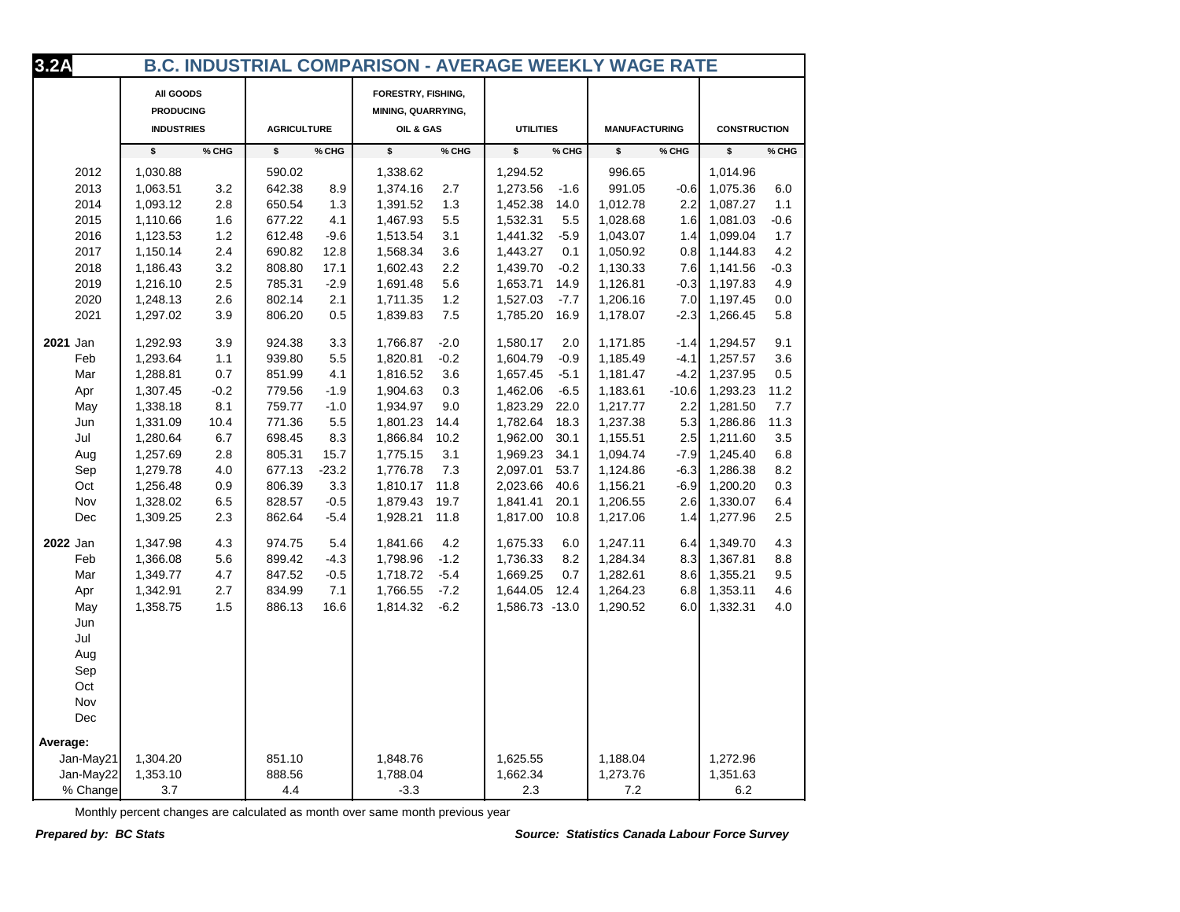| 3.2A      |                                                    |        |                    |         | <b>B.C. INDUSTRIAL COMPARISON - AVERAGE WEEKLY WAGE RATE</b> |        |                  |        |                      |         |                     |        |
|-----------|----------------------------------------------------|--------|--------------------|---------|--------------------------------------------------------------|--------|------------------|--------|----------------------|---------|---------------------|--------|
|           | All GOODS<br><b>PRODUCING</b><br><b>INDUSTRIES</b> |        | <b>AGRICULTURE</b> |         | FORESTRY, FISHING,<br>MINING, QUARRYING,<br>OIL & GAS        |        | <b>UTILITIES</b> |        | <b>MANUFACTURING</b> |         | <b>CONSTRUCTION</b> |        |
|           | \$                                                 | % CHG  | \$                 | % CHG   | \$                                                           | % CHG  | \$               | % CHG  | \$                   | % CHG   | \$                  | % CHG  |
| 2012      | 1,030.88                                           |        | 590.02             |         | 1,338.62                                                     |        | 1,294.52         |        | 996.65               |         | 1,014.96            |        |
| 2013      | 1,063.51                                           | 3.2    | 642.38             | 8.9     | 1,374.16                                                     | 2.7    | 1,273.56         | $-1.6$ | 991.05               | $-0.6$  | 1,075.36            | 6.0    |
| 2014      | 1,093.12                                           | 2.8    | 650.54             | 1.3     | 1,391.52                                                     | 1.3    | 1,452.38         | 14.0   | 1,012.78             | 2.2     | 1,087.27            | 1.1    |
| 2015      | 1,110.66                                           | 1.6    | 677.22             | 4.1     | 1,467.93                                                     | 5.5    | 1,532.31         | 5.5    | 1,028.68             | 1.6     | 1,081.03            | $-0.6$ |
| 2016      | 1,123.53                                           | 1.2    | 612.48             | $-9.6$  | 1,513.54                                                     | 3.1    | 1,441.32         | $-5.9$ | 1,043.07             | 1.4     | 1,099.04            | 1.7    |
| 2017      | 1,150.14                                           | 2.4    | 690.82             | 12.8    | 1,568.34                                                     | 3.6    | 1,443.27         | 0.1    | 1,050.92             | 0.8     | 1,144.83            | 4.2    |
| 2018      | 1,186.43                                           | 3.2    | 808.80             | 17.1    | 1,602.43                                                     | 2.2    | 1,439.70         | $-0.2$ | 1,130.33             | 7.6     | 1,141.56            | $-0.3$ |
| 2019      | 1,216.10                                           | 2.5    | 785.31             | $-2.9$  | 1,691.48                                                     | 5.6    | 1,653.71         | 14.9   | 1,126.81             | $-0.3$  | 1,197.83            | 4.9    |
| 2020      | 1,248.13                                           | 2.6    | 802.14             | 2.1     | 1,711.35                                                     | 1.2    | 1,527.03         | $-7.7$ | 1,206.16             | 7.0     | 1,197.45            | 0.0    |
| 2021      | 1,297.02                                           | 3.9    | 806.20             | 0.5     | 1,839.83                                                     | 7.5    | 1,785.20         | 16.9   | 1,178.07             | $-2.3$  | 1,266.45            | 5.8    |
|           |                                                    |        |                    |         |                                                              |        |                  |        |                      |         |                     |        |
| 2021 Jan  | 1,292.93                                           | 3.9    | 924.38             | 3.3     | 1,766.87                                                     | $-2.0$ | 1,580.17         | 2.0    | 1,171.85             | $-1.4$  | 1,294.57            | 9.1    |
| Feb       | 1,293.64                                           | 1.1    | 939.80             | 5.5     | 1,820.81                                                     | $-0.2$ | 1,604.79         | $-0.9$ | 1,185.49             | $-4.1$  | 1,257.57            | 3.6    |
| Mar       | 1,288.81                                           | 0.7    | 851.99             | 4.1     | 1,816.52                                                     | 3.6    | 1,657.45         | $-5.1$ | 1,181.47             | $-4.2$  | 1,237.95            | 0.5    |
| Apr       | 1,307.45                                           | $-0.2$ | 779.56             | $-1.9$  | 1,904.63                                                     | 0.3    | 1,462.06         | $-6.5$ | 1,183.61             | $-10.6$ | 1,293.23            | 11.2   |
| May       | 1,338.18                                           | 8.1    | 759.77             | $-1.0$  | 1,934.97                                                     | 9.0    | 1,823.29         | 22.0   | 1,217.77             | 2.2     | 1,281.50            | 7.7    |
| Jun       | 1,331.09                                           | 10.4   | 771.36             | 5.5     | 1,801.23                                                     | 14.4   | 1,782.64         | 18.3   | 1,237.38             | 5.3     | 1,286.86            | 11.3   |
| Jul       | 1,280.64                                           | 6.7    | 698.45             | 8.3     | 1,866.84                                                     | 10.2   | 1,962.00         | 30.1   | 1,155.51             | 2.5     | 1,211.60            | 3.5    |
| Aug       | 1,257.69                                           | 2.8    | 805.31             | 15.7    | 1,775.15                                                     | 3.1    | 1,969.23         | 34.1   | 1,094.74             | $-7.9$  | 1,245.40            | 6.8    |
| Sep       | 1,279.78                                           | 4.0    | 677.13             | $-23.2$ | 1,776.78                                                     | 7.3    | 2,097.01         | 53.7   | 1,124.86             | $-6.3$  | 1,286.38            | 8.2    |
| Oct       | 1,256.48                                           | 0.9    | 806.39             | 3.3     | 1,810.17                                                     | 11.8   | 2,023.66         | 40.6   | 1,156.21             | $-6.9$  | 1,200.20            | 0.3    |
| Nov       | 1,328.02                                           | 6.5    | 828.57             | $-0.5$  | 1,879.43                                                     | 19.7   | 1,841.41         | 20.1   | 1,206.55             | 2.6     | 1,330.07            | 6.4    |
| Dec       | 1,309.25                                           | 2.3    | 862.64             | $-5.4$  | 1,928.21                                                     | 11.8   | 1,817.00         | 10.8   | 1,217.06             | 1.4     | 1,277.96            | 2.5    |
| 2022 Jan  | 1,347.98                                           | 4.3    | 974.75             | 5.4     | 1,841.66                                                     | 4.2    | 1,675.33         | 6.0    | 1,247.11             | 6.4     | 1,349.70            | 4.3    |
| Feb       | 1,366.08                                           | 5.6    | 899.42             | $-4.3$  | 1,798.96                                                     | $-1.2$ | 1,736.33         | 8.2    | 1,284.34             | 8.3     | 1,367.81            | 8.8    |
| Mar       | 1,349.77                                           | 4.7    | 847.52             | $-0.5$  | 1,718.72                                                     | $-5.4$ | 1,669.25         | 0.7    | 1,282.61             | 8.6     | 1,355.21            | 9.5    |
| Apr       | 1,342.91                                           | 2.7    | 834.99             | 7.1     | 1,766.55                                                     | $-7.2$ | 1,644.05         | 12.4   | 1,264.23             | 6.8     | 1,353.11            | 4.6    |
| May       | 1,358.75                                           | 1.5    | 886.13             | 16.6    | 1,814.32                                                     | $-6.2$ | 1,586.73 -13.0   |        | 1,290.52             | 6.0     | 1,332.31            | 4.0    |
| Jun       |                                                    |        |                    |         |                                                              |        |                  |        |                      |         |                     |        |
| Jul       |                                                    |        |                    |         |                                                              |        |                  |        |                      |         |                     |        |
| Aug       |                                                    |        |                    |         |                                                              |        |                  |        |                      |         |                     |        |
| Sep       |                                                    |        |                    |         |                                                              |        |                  |        |                      |         |                     |        |
| Oct       |                                                    |        |                    |         |                                                              |        |                  |        |                      |         |                     |        |
| Nov       |                                                    |        |                    |         |                                                              |        |                  |        |                      |         |                     |        |
| Dec       |                                                    |        |                    |         |                                                              |        |                  |        |                      |         |                     |        |
| Average:  |                                                    |        |                    |         |                                                              |        |                  |        |                      |         |                     |        |
| Jan-May21 | 1,304.20                                           |        | 851.10             |         | 1,848.76                                                     |        | 1,625.55         |        | 1,188.04             |         | 1,272.96            |        |
| Jan-May22 | 1,353.10                                           |        | 888.56             |         | 1,788.04                                                     |        | 1,662.34         |        | 1,273.76             |         | 1,351.63            |        |
| % Change  | 3.7                                                |        | 4.4                |         | $-3.3$                                                       |        | 2.3              |        | $7.2\,$              |         | 6.2                 |        |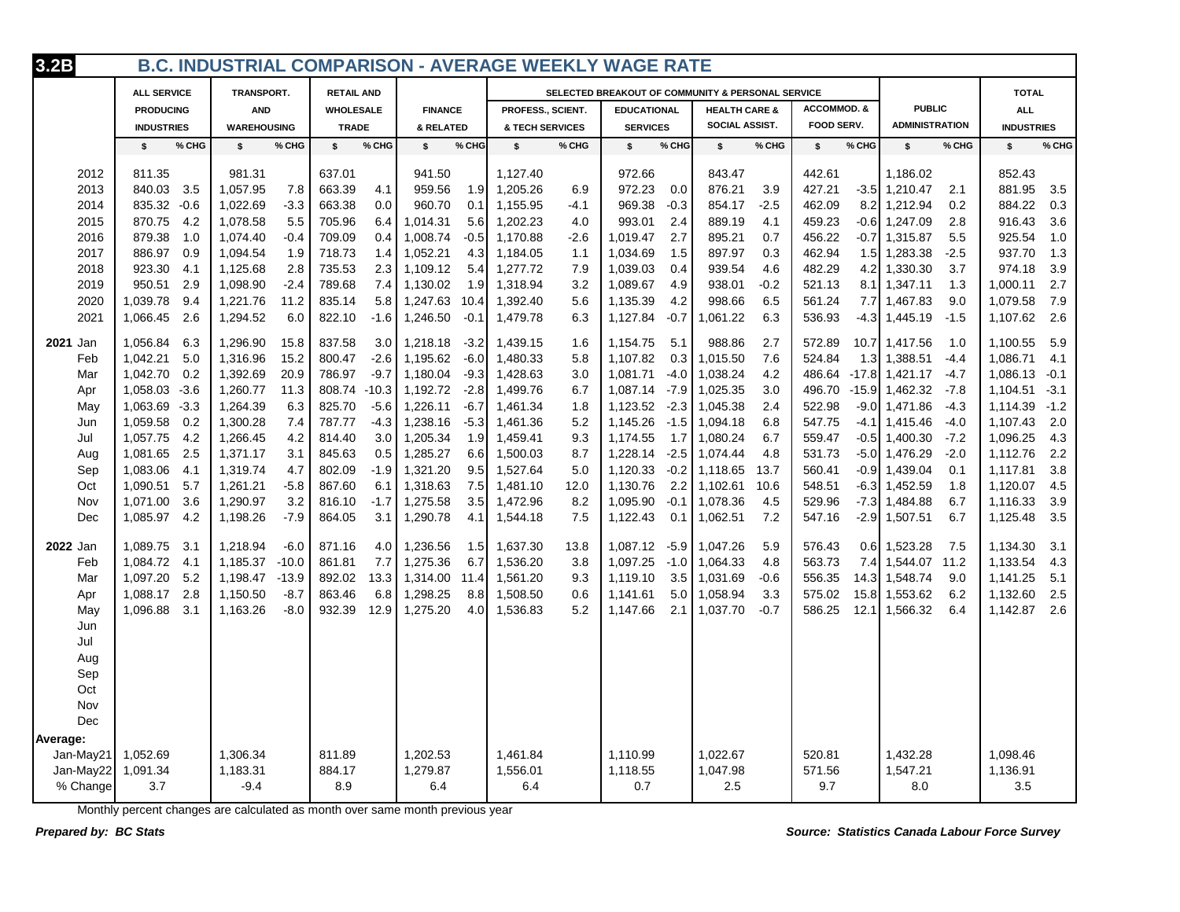| 3.2B      |                    |                     |                   |                    | <b>B.C. INDUSTRIAL COMPARISON - AVERAGE WEEKLY WAGE RATE</b> |                    |                                                   |                        |                            |                    |
|-----------|--------------------|---------------------|-------------------|--------------------|--------------------------------------------------------------|--------------------|---------------------------------------------------|------------------------|----------------------------|--------------------|
|           | <b>ALL SERVICE</b> | TRANSPORT.          | <b>RETAIL AND</b> |                    |                                                              |                    | SELECTED BREAKOUT OF COMMUNITY & PERSONAL SERVICE |                        |                            | <b>TOTAL</b>       |
|           | <b>PRODUCING</b>   | <b>AND</b>          | <b>WHOLESALE</b>  | <b>FINANCE</b>     | PROFESS., SCIENT.                                            | <b>EDUCATIONAL</b> | <b>HEALTH CARE &amp;</b>                          | <b>ACCOMMOD. &amp;</b> | <b>PUBLIC</b>              | <b>ALL</b>         |
|           | <b>INDUSTRIES</b>  | <b>WAREHOUSING</b>  | <b>TRADE</b>      | & RELATED          | <b>&amp; TECH SERVICES</b>                                   | <b>SERVICES</b>    | SOCIAL ASSIST.                                    | FOOD SERV.             | <b>ADMINISTRATION</b>      | <b>INDUSTRIES</b>  |
|           | % CHG<br>s.        | % CHG<br>\$         | % CHG<br>\$       | % CHG<br>\$        | % CHG<br>\$                                                  | % CHG<br>\$        | % CHG<br>\$                                       | % CHG<br>s.            | % CHG<br>\$                | % CHG<br>\$        |
| 2012      | 811.35             | 981.31              | 637.01            | 941.50             | 1,127.40                                                     | 972.66             | 843.47                                            | 442.61                 | 1,186.02                   | 852.43             |
| 2013      | 840.03<br>3.5      | 1,057.95<br>7.8     | 663.39<br>4.1     | 959.56<br>1.9      | 1,205.26<br>6.9                                              | 972.23<br>0.0      | 876.21<br>3.9                                     | 427.21                 | $-3.5$ 1,210.47<br>2.1     | 881.95<br>3.5      |
| 2014      | 835.32<br>$-0.6$   | 1,022.69<br>$-3.3$  | 663.38<br>0.0     | 960.70<br>0.1      | 1,155.95<br>-4.1                                             | 969.38<br>$-0.3$   | 854.17<br>$-2.5$                                  | 8.2<br>462.09          | 0.2<br>1,212.94            | 884.22<br>0.3      |
| 2015      | 870.75<br>4.2      | 1,078.58<br>5.5     | 705.96<br>6.4     | 1,014.31<br>5.6    | 1,202.23<br>4.0                                              | 993.01<br>2.4      | 889.19<br>4.1                                     | 459.23                 | $-0.6$ 1,247.09<br>2.8     | 916.43<br>3.6      |
| 2016      | 879.38<br>1.0      | 1,074.40<br>$-0.4$  | 709.09<br>0.4     | 1,008.74<br>$-0.5$ | 1,170.88<br>$-2.6$                                           | 1,019.47<br>2.7    | 895.21<br>0.7                                     | 456.22                 | $-0.7$ 1,315.87<br>5.5     | 925.54<br>1.0      |
| 2017      | 886.97<br>0.9      | 1,094.54<br>1.9     | 718.73<br>1.4     | 1,052.21<br>4.3    | 1,184.05<br>1.1                                              | 1,034.69<br>1.5    | 897.97<br>0.3                                     | 462.94                 | $1.5$ 1,283.38<br>$-2.5$   | 1.3<br>937.70      |
| 2018      | 923.30<br>4.1      | 1,125.68<br>2.8     | 735.53<br>2.3     | 1,109.12<br>5.4    | 7.9<br>1,277.72                                              | 1,039.03<br>0.4    | 939.54<br>4.6                                     | 482.29                 | 4.2 1,330.30<br>3.7        | 3.9<br>974.18      |
| 2019      | 950.51<br>2.9      | 1,098.90<br>$-2.4$  | 789.68<br>7.4     | 1,130.02<br>1.9    | 1,318.94<br>3.2                                              | 1,089.67<br>4.9    | 938.01<br>$-0.2$                                  | 521.13                 | 1.3<br>8.1 1.347.11        | 2.7<br>1,000.11    |
| 2020      | 1,039.78<br>9.4    | 1,221.76<br>11.2    | 835.14<br>5.8     | 1,247.63<br>10.4   | 1,392.40<br>5.6                                              | 4.2<br>1,135.39    | 998.66<br>6.5                                     | 561.24                 | 9.0<br>7.7 1.467.83        | 1,079.58<br>7.9    |
| 2021      | 1,066.45<br>2.6    | 1,294.52<br>6.0     | 822.10<br>$-1.6$  | 1,246.50<br>$-0.1$ | 1,479.78<br>6.3                                              | $-0.7$<br>1,127.84 | 6.3<br>1,061.22                                   | 536.93                 | $-4.3$ 1,445.19<br>$-1.5$  | 1,107.62<br>2.6    |
| 2021 Jan  | 1,056.84<br>6.3    | 1,296.90<br>15.8    | 837.58<br>3.0     | 1,218.18<br>$-3.2$ | 1,439.15<br>1.6                                              | 5.1<br>1,154.75    | 988.86<br>2.7                                     | 572.89                 | 10.7 1.417.56<br>1.0       | 1,100.55<br>5.9    |
| Feb       | 1,042.21<br>5.0    | 1,316.96<br>15.2    | 800.47<br>$-2.6$  | 1,195.62<br>$-6.0$ | 1,480.33<br>5.8                                              | 1,107.82<br>0.3    | 1,015.50<br>7.6                                   | 524.84                 | 1.3 1,388.51<br>$-4.4$     | 1,086.71<br>4.1    |
| Mar       | 1,042.70<br>0.2    | 1,392.69<br>20.9    | 786.97<br>$-9.7$  | 1,180.04<br>$-9.3$ | 1,428.63<br>3.0                                              | $-4.0$<br>1,081.71 | 1,038.24<br>4.2                                   | 486.64                 | $-17.8$ 1,421.17<br>$-4.7$ | 1,086.13<br>$-0.1$ |
| Apr       | 1,058.03<br>$-3.6$ | 1,260.77<br>11.3    | 808.74 -10.3      | 1,192.72<br>$-2.8$ | 1,499.76<br>6.7                                              | $-7.9$<br>1,087.14 | 1,025.35<br>3.0                                   | 496.70                 | $-7.8$<br>$-15.9$ 1,462.32 | 1,104.51<br>$-3.1$ |
| May       | 1,063.69<br>$-3.3$ | 1,264.39<br>6.3     | 825.70<br>$-5.6$  | 1,226.11<br>$-6.7$ | 1,461.34<br>1.8                                              | $-2.3$<br>1,123.52 | 1,045.38<br>2.4                                   | 522.98                 | $-9.0$ 1,471.86<br>$-4.3$  | 1,114.39<br>$-1.2$ |
| Jun       | 1,059.58<br>0.2    | 1,300.28<br>7.4     | 787.77<br>$-4.3$  | 1,238.16<br>$-5.3$ | 1,461.36<br>5.2                                              | 1,145.26<br>$-1.5$ | 1,094.18<br>6.8                                   | 547.75                 | $-4.1$ 1.415.46<br>$-4.0$  | 1,107.43<br>2.0    |
| Jul       | 1,057.75<br>4.2    | 1,266.45<br>4.2     | 814.40<br>3.0     | 1,205.34<br>1.9    | 1,459.41<br>9.3                                              | 1,174.55<br>1.7    | 1,080.24<br>6.7                                   | 559.47                 | $-0.5$ 1,400.30<br>$-7.2$  | 1,096.25<br>4.3    |
| Aug       | 1,081.65<br>2.5    | 1,371.17<br>3.1     | 845.63<br>0.5     | 1,285.27<br>6.6    | 1,500.03<br>8.7                                              | 1,228.14<br>$-2.5$ | 1,074.44<br>4.8                                   | 531.73                 | $-5.0$ 1,476.29<br>$-2.0$  | 2.2<br>1,112.76    |
| Sep       | 1,083.06<br>4.1    | 1,319.74<br>4.7     | 802.09<br>$-1.9$  | 1,321.20<br>9.5    | 1,527.64<br>5.0                                              | 1,120.33<br>$-0.2$ | 1,118.65<br>13.7                                  | 560.41                 | $-0.9$ 1,439.04<br>0.1     | 1,117.81<br>3.8    |
| Oct       | 1,090.51<br>5.7    | 1,261.21<br>$-5.8$  | 867.60<br>6.1     | 1,318.63<br>7.5    | 1,481.10<br>12.0                                             | 1,130.76<br>2.2    | 1,102.61<br>10.6                                  | 548.51                 | $-6.3$ 1,452.59<br>1.8     | 4.5<br>1,120.07    |
| Nov       | 1,071.00<br>3.6    | 3.2<br>1,290.97     | 816.10<br>$-1.7$  | 1,275.58<br>3.5    | 1,472.96<br>8.2                                              | 1,095.90<br>$-0.1$ | 1,078.36<br>4.5                                   | 529.96                 | 6.7<br>$-7.3$ 1,484.88     | 3.9<br>1,116.33    |
| Dec       | 1,085.97<br>4.2    | 1,198.26<br>$-7.9$  | 864.05<br>3.1     | 1,290.78<br>4.1    | 1,544.18<br>7.5                                              | 1,122.43<br>0.1    | 1,062.51<br>7.2                                   | 547.16                 | $-2.9$ 1,507.51<br>6.7     | 1,125.48<br>3.5    |
| 2022 Jan  | 1,089.75<br>3.1    | 1,218.94<br>$-6.0$  | 871.16<br>4.0     | 1,236.56<br>1.5    | 1,637.30<br>13.8                                             | 1,087.12<br>$-5.9$ | 1,047.26<br>5.9                                   | 576.43                 | $0.6$ 1,523.28<br>7.5      | 1,134.30<br>3.1    |
| Feb       | 1,084.72<br>4.1    | 1,185.37<br>$-10.0$ | 7.7<br>861.81     | 1,275.36<br>6.7    | 1,536.20<br>3.8                                              | 1,097.25<br>$-1.0$ | 1,064.33<br>4.8                                   | 563.73                 | 7.4 1,544.07 11.2          | 1,133.54<br>4.3    |
| Mar       | 1,097.20<br>5.2    | 1,198.47<br>$-13.9$ | 892.02<br>13.3    | 1,314.00<br>11.4   | 1,561.20<br>9.3                                              | 1,119.10<br>3.5    | 1,031.69<br>$-0.6$                                | 556.35                 | 14.3 1,548.74<br>9.0       | 5.1<br>1,141.25    |
| Apr       | 1.088.17<br>2.8    | 1,150.50<br>$-8.7$  | 863.46<br>6.8     | 1.298.25<br>8.8    | 1,508.50<br>0.6                                              | 1,141.61<br>5.0    | 1,058.94<br>3.3                                   | 575.02                 | 15.8 1,553.62<br>6.2       | 2.5<br>1,132.60    |
| May       | 1,096.88<br>3.1    | 1,163.26<br>$-8.0$  | 932.39<br>12.9    | 1,275.20<br>4.0    | 1,536.83<br>5.2                                              | 1,147.66<br>2.1    | 1,037.70<br>$-0.7$                                | 586.25<br>12.1         | 1,566.32<br>6.4            | 2.6<br>1,142.87    |
| Jun       |                    |                     |                   |                    |                                                              |                    |                                                   |                        |                            |                    |
| Jul       |                    |                     |                   |                    |                                                              |                    |                                                   |                        |                            |                    |
| Aug       |                    |                     |                   |                    |                                                              |                    |                                                   |                        |                            |                    |
| Sep       |                    |                     |                   |                    |                                                              |                    |                                                   |                        |                            |                    |
| Oct       |                    |                     |                   |                    |                                                              |                    |                                                   |                        |                            |                    |
| Nov       |                    |                     |                   |                    |                                                              |                    |                                                   |                        |                            |                    |
| Dec       |                    |                     |                   |                    |                                                              |                    |                                                   |                        |                            |                    |
| Average:  |                    |                     |                   |                    |                                                              |                    |                                                   |                        |                            |                    |
| Jan-May21 | 1,052.69           | 1,306.34            | 811.89            | 1,202.53           | 1,461.84                                                     | 1,110.99           | 1,022.67                                          | 520.81                 | 1,432.28                   | 1,098.46           |
| Jan-May22 | 1,091.34           | 1,183.31            | 884.17            | 1,279.87           | 1,556.01                                                     | 1,118.55           | 1,047.98                                          | 571.56                 | 1,547.21                   | 1,136.91           |
| % Change  | 3.7                | $-9.4$              | 8.9               | 6.4                | 6.4                                                          | 0.7                | 2.5                                               | 9.7                    | 8.0                        | 3.5                |
|           |                    |                     |                   |                    |                                                              |                    |                                                   |                        |                            |                    |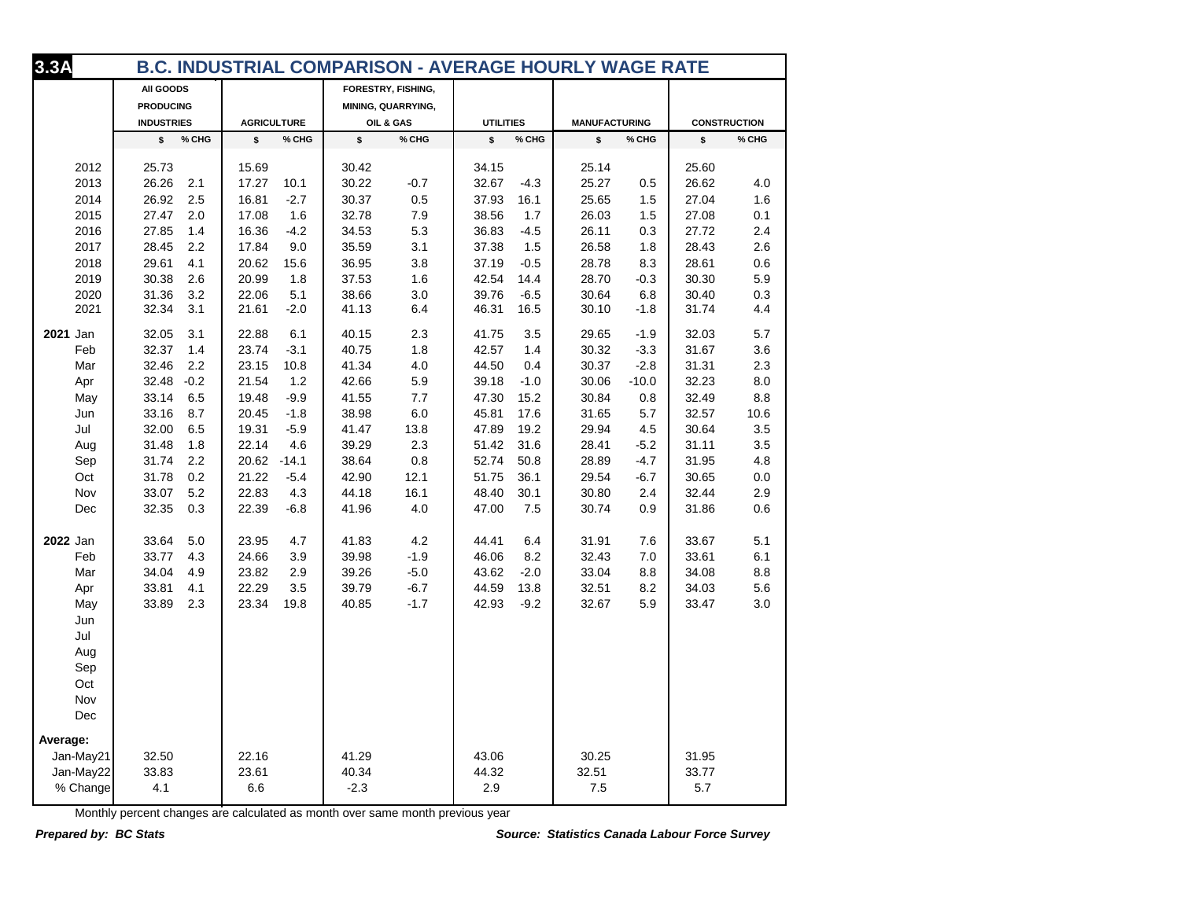| 3.3A       |                   |                    | <b>B.C. INDUSTRIAL COMPARISON - AVERAGE HOURLY WAGE RATE</b> |                  |                      |                     |
|------------|-------------------|--------------------|--------------------------------------------------------------|------------------|----------------------|---------------------|
|            | All GOODS         |                    | FORESTRY, FISHING,                                           |                  |                      |                     |
|            | <b>PRODUCING</b>  |                    | MINING, QUARRYING,                                           |                  |                      |                     |
|            | <b>INDUSTRIES</b> | <b>AGRICULTURE</b> | OIL & GAS                                                    | <b>UTILITIES</b> | <b>MANUFACTURING</b> | <b>CONSTRUCTION</b> |
|            | \$                | % CHG              | \$                                                           | \$               | % CHG                | % CHG               |
|            | % CHG             | \$                 | % CHG                                                        | % CHG            | \$                   | \$                  |
| 2012       | 25.73             | 15.69              | 30.42                                                        | 34.15            | 25.14                | 25.60               |
| 2013       | 26.26             | 17.27              | 30.22                                                        | 32.67            | 25.27                | 26.62               |
|            | 2.1               | 10.1               | $-0.7$                                                       | $-4.3$           | 0.5                  | 4.0                 |
| 2014       | 26.92             | 16.81              | 30.37                                                        | 37.93            | 25.65                | 27.04               |
|            | 2.5               | $-2.7$             | 0.5                                                          | 16.1             | 1.5                  | 1.6                 |
| 2015       | 27.47             | 17.08              | 32.78                                                        | 38.56            | 26.03                | 27.08               |
|            | 2.0               | 1.6                | 7.9                                                          | 1.7              | 1.5                  | 0.1                 |
| 2016       | 27.85             | $-4.2$             | 34.53                                                        | 36.83            | 26.11                | 27.72               |
|            | 1.4               | 16.36              | 5.3                                                          | $-4.5$           | 0.3                  | 2.4                 |
| 2017       | 28.45             | 17.84              | 35.59                                                        | 37.38            | 26.58                | 28.43               |
|            | 2.2               | 9.0                | 3.1                                                          | 1.5              | 1.8                  | 2.6                 |
| 2018       | 29.61             | 20.62              | 36.95                                                        | 37.19            | 28.78                | 28.61               |
|            | 4.1               | 15.6               | 3.8                                                          | $-0.5$           | 8.3                  | 0.6                 |
| 2019       | 30.38             | 1.8                | 37.53                                                        | 42.54            | 28.70                | 30.30               |
|            | 2.6               | 20.99              | 1.6                                                          | 14.4             | $-0.3$               | 5.9                 |
| 2020       | 31.36             | 22.06              | 3.0                                                          | 39.76            | 30.64                | 30.40               |
|            | 3.2               | 5.1                | 38.66                                                        | $-6.5$           | 6.8                  | 0.3                 |
| 2021       | 32.34             | 21.61              | 41.13                                                        | 46.31            | 30.10                | 31.74               |
|            | 3.1               | $-2.0$             | 6.4                                                          | 16.5             | $-1.8$               | 4.4                 |
| 2021 Jan   | 32.05             | 22.88              | 40.15                                                        | 41.75            | 29.65                | 32.03               |
|            | 3.1               | 6.1                | 2.3                                                          | 3.5              | $-1.9$               | 5.7                 |
| Feb        | 32.37             | 23.74              | 40.75                                                        | 42.57            | 30.32                | 31.67               |
|            | 1.4               | $-3.1$             | 1.8                                                          | 1.4              | $-3.3$               | 3.6                 |
| Mar        | 32.46             | 23.15              | 41.34                                                        | 44.50            | 30.37                | 31.31               |
|            | 2.2               | 10.8               | 4.0                                                          | 0.4              | $-2.8$               | 2.3                 |
| Apr        | 32.48 -0.2        | 21.54<br>1.2       | 42.66<br>5.9                                                 | 39.18<br>$-1.0$  | 30.06<br>$-10.0$     | 32.23<br>8.0        |
| May        | 33.14             | 19.48              | 41.55                                                        | 15.2             | 30.84                | 32.49               |
|            | 6.5               | $-9.9$             | 7.7                                                          | 47.30            | 0.8                  | 8.8                 |
| Jun        | 33.16             | 20.45              | 38.98                                                        | 45.81            | 31.65                | 32.57               |
|            | 8.7               | $-1.8$             | 6.0                                                          | 17.6             | 5.7                  | 10.6                |
| Jul        | 32.00             | 19.31              | 13.8                                                         | 47.89            | 29.94                | 30.64               |
|            | 6.5               | $-5.9$             | 41.47                                                        | 19.2             | 4.5                  | 3.5                 |
| Aug        | 31.48             | 22.14              | 39.29                                                        | 31.6             | 28.41                | 31.11               |
|            | 1.8               | 4.6                | 2.3                                                          | 51.42            | $-5.2$               | 3.5                 |
| Sep        | 31.74             | 20.62              | 0.8                                                          | 52.74            | 28.89                | 31.95               |
|            | 2.2               | $-14.1$            | 38.64                                                        | 50.8             | $-4.7$               | 4.8                 |
| Oct        | 31.78             | 21.22              | 42.90                                                        | 51.75            | 29.54                | 30.65               |
|            | 0.2               | $-5.4$             | 12.1                                                         | 36.1             | $-6.7$               | 0.0                 |
| Nov        | 33.07             | 22.83              | 44.18                                                        | 48.40            | 30.80                | 32.44               |
|            | 5.2               | 4.3                | 16.1                                                         | 30.1             | 2.4                  | 2.9                 |
| Dec        | 32.35             | 22.39              | 41.96                                                        | 47.00            | 30.74                | 31.86               |
|            | 0.3               | $-6.8$             | 4.0                                                          | 7.5              | 0.9                  | 0.6                 |
| 2022 Jan   | 33.64             | 23.95              | 41.83                                                        | 44.41            | 31.91                | 33.67               |
|            | 5.0               | 4.7                | $4.2\,$                                                      | 6.4              | 7.6                  | 5.1                 |
| Feb        | 33.77             | 24.66              | 39.98                                                        | 46.06            | 32.43                | 33.61               |
|            | 4.3               | 3.9                | $-1.9$                                                       | 8.2              | 7.0                  | 6.1                 |
| Mar        | 34.04             | 23.82              | 39.26                                                        | 43.62            | 33.04                | 34.08               |
|            | 4.9               | 2.9                | $-5.0$                                                       | $-2.0$           | 8.8                  | 8.8                 |
| Apr        | 33.81             | 22.29              | $-6.7$                                                       | 44.59            | 32.51                | 34.03               |
|            | 4.1               | 3.5                | 39.79                                                        | 13.8             | 8.2                  | 5.6                 |
| May        | 33.89             | 23.34              | $-1.7$                                                       | 42.93            | 32.67                | 33.47               |
|            | 2.3               | 19.8               | 40.85                                                        | $-9.2$           | 5.9                  | 3.0                 |
| Jun        |                   |                    |                                                              |                  |                      |                     |
| Jul        |                   |                    |                                                              |                  |                      |                     |
| Aug        |                   |                    |                                                              |                  |                      |                     |
| Sep        |                   |                    |                                                              |                  |                      |                     |
| Oct        |                   |                    |                                                              |                  |                      |                     |
|            |                   |                    |                                                              |                  |                      |                     |
| Nov<br>Dec |                   |                    |                                                              |                  |                      |                     |
| Average:   |                   |                    |                                                              |                  |                      |                     |
| Jan-May21  | 32.50             | 22.16              | 41.29                                                        | 43.06            | 30.25                | 31.95               |
| Jan-May22  | 33.83             | 23.61              | 40.34                                                        | 44.32            | 32.51                | 33.77               |
| % Change   | 4.1               | 6.6                | $-2.3$                                                       | 2.9              | 7.5                  | 5.7                 |
|            |                   |                    |                                                              |                  |                      |                     |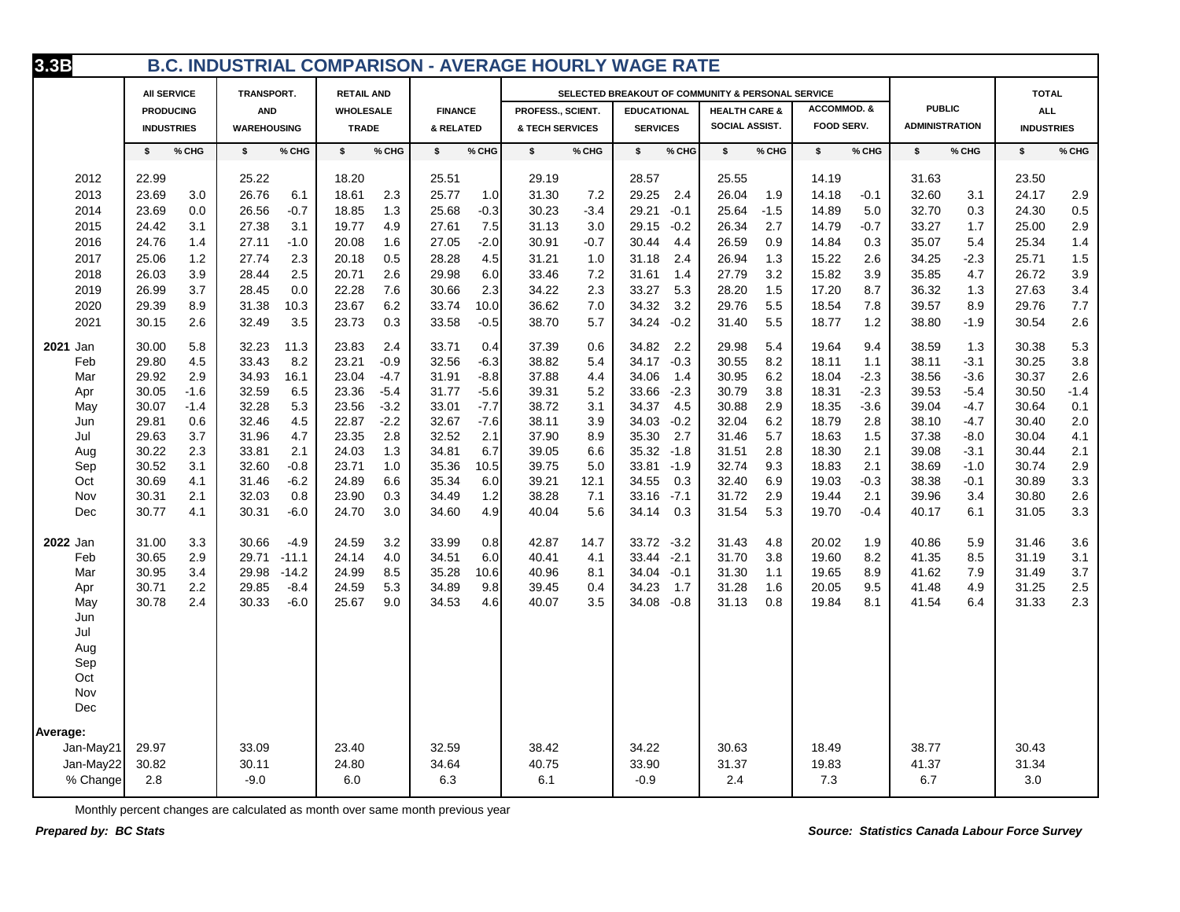| 3.3B      |                    |                    |                   |                | <b>B.C. INDUSTRIAL COMPARISON - AVERAGE HOURLY WAGE RATE</b> |                                                   |                          |                   |                       |                   |
|-----------|--------------------|--------------------|-------------------|----------------|--------------------------------------------------------------|---------------------------------------------------|--------------------------|-------------------|-----------------------|-------------------|
|           | <b>AII SERVICE</b> | TRANSPORT.         | <b>RETAIL AND</b> |                |                                                              | SELECTED BREAKOUT OF COMMUNITY & PERSONAL SERVICE |                          |                   |                       | <b>TOTAL</b>      |
|           | <b>PRODUCING</b>   | <b>AND</b>         | <b>WHOLESALE</b>  | <b>FINANCE</b> | PROFESS., SCIENT.                                            | <b>EDUCATIONAL</b>                                | <b>HEALTH CARE &amp;</b> | ACCOMMOD. &       | <b>PUBLIC</b>         | <b>ALL</b>        |
|           | <b>INDUSTRIES</b>  | <b>WAREHOUSING</b> | <b>TRADE</b>      | & RELATED      | & TECH SERVICES                                              | <b>SERVICES</b>                                   | SOCIAL ASSIST.           | <b>FOOD SERV.</b> | <b>ADMINISTRATION</b> | <b>INDUSTRIES</b> |
|           | % CHG              | \$                 | \$                | % CHG          | \$                                                           | \$                                                | \$                       | \$                | % CHG                 | \$                |
|           | s.                 | % CHG              | % CHG             | \$             | % CHG                                                        | % CHG                                             | % CHG                    | % CHG             | \$                    | % CHG             |
| 2012      | 22.99              | 25.22              | 18.20             | 25.51          | 29.19                                                        | 28.57                                             | 25.55                    | 14.19             | 31.63                 | 23.50             |
| 2013      | 23.69              | 26.76              | 2.3               | 25.77          | 31.30                                                        | 29.25                                             | 26.04                    | 14.18             | 32.60                 | 2.9               |
|           | 3.0                | 6.1                | 18.61             | 1.0            | 7.2                                                          | 2.4                                               | 1.9                      | $-0.1$            | 3.1                   | 24.17             |
| 2014      | 23.69              | 26.56              | 1.3               | 25.68          | 30.23                                                        | 29.21                                             | 25.64                    | 14.89             | 32.70                 | 0.5               |
|           | 0.0                | $-0.7$             | 18.85             | $-0.3$         | $-3.4$                                                       | $-0.1$                                            | $-1.5$                   | 5.0               | 0.3                   | 24.30             |
| 2015      | 3.1                | 3.1                | 4.9               | 7.5            | 3.0                                                          | 29.15                                             | 2.7                      | $-0.7$            | 33.27                 | 2.9               |
|           | 24.42              | 27.38              | 19.77             | 27.61          | 31.13                                                        | $-0.2$                                            | 26.34                    | 14.79             | 1.7                   | 25.00             |
| 2016      | 24.76              | 27.11              | 20.08             | 27.05          | 30.91                                                        | 30.44                                             | 26.59                    | 14.84             | 35.07                 | 1.4               |
|           | 1.4                | $-1.0$             | 1.6               | $-2.0$         | $-0.7$                                                       | 4.4                                               | 0.9                      | 0.3               | 5.4                   | 25.34             |
| 2017      | 25.06              | 2.3                | 20.18             | 4.5            | 31.21                                                        | 31.18                                             | 26.94                    | 15.22             | $-2.3$                | 1.5               |
|           | 1.2                | 27.74              | 0.5               | 28.28          | 1.0                                                          | 2.4                                               | 1.3                      | 2.6               | 34.25                 | 25.71             |
| 2018      | 26.03              | 2.5                | 20.71             | 29.98          | 7.2                                                          | 31.61                                             | 3.2                      | 15.82             | 35.85                 | 26.72             |
|           | 3.9                | 28.44              | 2.6               | 6.0            | 33.46                                                        | 1.4                                               | 27.79                    | 3.9               | 4.7                   | 3.9               |
| 2019      | 3.7                | 0.0                | 7.6               | 2.3            | 34.22                                                        | 33.27                                             | 28.20                    | 17.20             | 36.32                 | 27.63             |
|           | 26.99              | 28.45              | 22.28             | 30.66          | 2.3                                                          | 5.3                                               | 1.5                      | 8.7               | 1.3                   | 3.4               |
| 2020      | 8.9                | 31.38              | 6.2               | 10.0           | 36.62                                                        | 34.32                                             | 29.76                    | 18.54             | 39.57                 | 7.7               |
|           | 29.39              | 10.3               | 23.67             | 33.74          | 7.0                                                          | 3.2                                               | 5.5                      | 7.8               | 8.9                   | 29.76             |
| 2021      | 2.6                | 3.5                | 0.3               | $-0.5$         | 5.7                                                          | 34.24                                             | 5.5                      | 1.2               | 38.80                 | 2.6               |
|           | 30.15              | 32.49              | 23.73             | 33.58          | 38.70                                                        | $-0.2$                                            | 31.40                    | 18.77             | $-1.9$                | 30.54             |
| 2021 Jan  | 30.00              | 32.23              | 23.83             | 33.71          | 37.39                                                        | 34.82                                             | 29.98                    | 19.64             | 38.59                 | 5.3               |
|           | 5.8                | 11.3               | 2.4               | 0.4            | 0.6                                                          | 2.2                                               | 5.4                      | 9.4               | 1.3                   | 30.38             |
| Feb       | 4.5                | 33.43              | 23.21             | 32.56          | 38.82                                                        | 34.17                                             | 30.55                    | 18.11             | 38.11                 | 30.25             |
|           | 29.80              | 8.2                | $-0.9$            | $-6.3$         | 5.4                                                          | $-0.3$                                            | 8.2                      | 1.1               | $-3.1$                | 3.8               |
| Mar       | 2.9                | 16.1               | $-4.7$            | 31.91          | 37.88                                                        | 34.06                                             | 30.95                    | $-2.3$            | $-3.6$                | 2.6               |
|           | 29.92              | 34.93              | 23.04             | $-8.8$         | 4.4                                                          | 1.4                                               | 6.2                      | 18.04             | 38.56                 | 30.37             |
| Apr       | $-1.6$             | 6.5                | $-5.4$            | $-5.6$         | 39.31                                                        | $-2.3$                                            | 3.8                      | $-2.3$            | $-5.4$                | 30.50             |
|           | 30.05              | 32.59              | 23.36             | 31.77          | 5.2                                                          | 33.66                                             | 30.79                    | 18.31             | 39.53                 | $-1.4$            |
| May       | 30.07              | 5.3                | $-3.2$            | $-7.7$         | 38.72                                                        | 4.5                                               | 2.9                      | $-3.6$            | $-4.7$                | 30.64             |
|           | $-1.4$             | 32.28              | 23.56             | 33.01          | 3.1                                                          | 34.37                                             | 30.88                    | 18.35             | 39.04                 | 0.1               |
| Jun       | 29.81              | 32.46              | $-2.2$            | $-7.6$         | 38.11                                                        | 34.03                                             | 32.04                    | 18.79             | 38.10                 | 30.40             |
|           | 0.6                | 4.5                | 22.87             | 32.67          | 3.9                                                          | $-0.2$                                            | 6.2                      | 2.8               | $-4.7$                | 2.0               |
| Jul       | 3.7                | 31.96              | 2.8               | 32.52          | 37.90                                                        | 35.30                                             | 5.7                      | 1.5               | $-8.0$                | 4.1               |
|           | 29.63              | 4.7                | 23.35             | 2.1            | 8.9                                                          | 2.7                                               | 31.46                    | 18.63             | 37.38                 | 30.04             |
| Aug       | 2.3                | 2.1                | 1.3               | 34.81          | 39.05                                                        | 35.32                                             | 31.51                    | 2.1               | 39.08                 | 2.1               |
|           | 30.22              | 33.81              | 24.03             | 6.7            | 6.6                                                          | $-1.8$                                            | 2.8                      | 18.30             | $-3.1$                | 30.44             |
| Sep       | 3.1                | 32.60              | 1.0               | 35.36          | 39.75                                                        | 33.81                                             | 9.3                      | 2.1               | 38.69                 | $2.9\,$           |
|           | 30.52              | $-0.8$             | 23.71             | 10.5           | 5.0                                                          | $-1.9$                                            | 32.74                    | 18.83             | $-1.0$                | 30.74             |
| Oct       | 4.1                | $-6.2$             | 6.6               | 35.34          | 39.21                                                        | 34.55                                             | 32.40                    | $-0.3$            | $-0.1$                | 3.3               |
|           | 30.69              | 31.46              | 24.89             | 6.0            | 12.1                                                         | 0.3                                               | 6.9                      | 19.03             | 38.38                 | 30.89             |
| Nov       | 2.1                | 0.8                | 0.3               | 1.2            | 7.1                                                          | $-7.1$                                            | 31.72                    | 2.1               | 3.4                   | 2.6               |
|           | 30.31              | 32.03              | 23.90             | 34.49          | 38.28                                                        | 33.16                                             | 2.9                      | 19.44             | 39.96                 | 30.80             |
| Dec       | 30.77              | 30.31              | 24.70             | 4.9            | 5.6                                                          | 34.14                                             | 31.54                    | 19.70             | 40.17                 | 3.3               |
|           | 4.1                | $-6.0$             | 3.0               | 34.60          | 40.04                                                        | 0.3                                               | 5.3                      | $-0.4$            | 6.1                   | 31.05             |
| 2022 Jan  | 31.00              | 30.66              | 24.59             | 33.99          | 42.87                                                        | 33.72                                             | 4.8                      | 20.02             | 5.9                   | 31.46             |
|           | 3.3                | $-4.9$             | 3.2               | 0.8            | 14.7                                                         | $-3.2$                                            | 31.43                    | 1.9               | 40.86                 | 3.6               |
| Feb       | 2.9                | $-11.1$            | 24.14             | 6.0            | 40.41                                                        | 33.44                                             | 3.8                      | 8.2               | 8.5                   | 31.19             |
|           | 30.65              | 29.71              | 4.0               | 34.51          | 4.1                                                          | $-2.1$                                            | 31.70                    | 19.60             | 41.35                 | 3.1               |
| Mar       | 30.95              | 29.98              | 24.99             | 35.28          | 40.96                                                        | 34.04                                             | 31.30                    | 19.65             | 41.62                 | 31.49             |
|           | 3.4                | $-14.2$            | 8.5               | 10.6           | 8.1                                                          | $-0.1$                                            | 1.1                      | 8.9               | 7.9                   | 3.7               |
| Apr       | 2.2                | 29.85              | 5.3               | 34.89          | 0.4                                                          | 34.23                                             | 31.28                    | 9.5               | 4.9                   | 2.5               |
|           | 30.71              | $-8.4$             | 24.59             | 9.8            | 39.45                                                        | 1.7                                               | 1.6                      | 20.05             | 41.48                 | 31.25             |
| May       | 30.78<br>2.4       | 30.33<br>$-6.0$    | 25.67<br>9.0      | 34.53<br>4.6   | 40.07<br>3.5                                                 | 34.08 -0.8                                        | 31.13<br>0.8             | 19.84<br>8.1      | 41.54<br>6.4          | 2.3<br>31.33      |
| Jun       |                    |                    |                   |                |                                                              |                                                   |                          |                   |                       |                   |
| Jul       |                    |                    |                   |                |                                                              |                                                   |                          |                   |                       |                   |
| Aug       |                    |                    |                   |                |                                                              |                                                   |                          |                   |                       |                   |
| Sep       |                    |                    |                   |                |                                                              |                                                   |                          |                   |                       |                   |
| Oct       |                    |                    |                   |                |                                                              |                                                   |                          |                   |                       |                   |
| Nov       |                    |                    |                   |                |                                                              |                                                   |                          |                   |                       |                   |
| Dec       |                    |                    |                   |                |                                                              |                                                   |                          |                   |                       |                   |
| Average:  |                    |                    |                   |                |                                                              |                                                   |                          |                   |                       |                   |
| Jan-May21 | 29.97              | 33.09              | 23.40             | 32.59          | 38.42                                                        | 34.22                                             | 30.63                    | 18.49             | 38.77                 | 30.43             |
| Jan-May22 | 30.82              | 30.11              | 24.80             | 34.64          | 40.75                                                        | 33.90                                             | 31.37                    | 19.83             | 41.37                 | 31.34             |
| % Change  | 2.8                | $-9.0$             | 6.0               | 6.3            | 6.1                                                          | $-0.9$                                            | 2.4                      | 7.3               | 6.7                   | 3.0               |
|           |                    |                    |                   |                |                                                              |                                                   |                          |                   |                       |                   |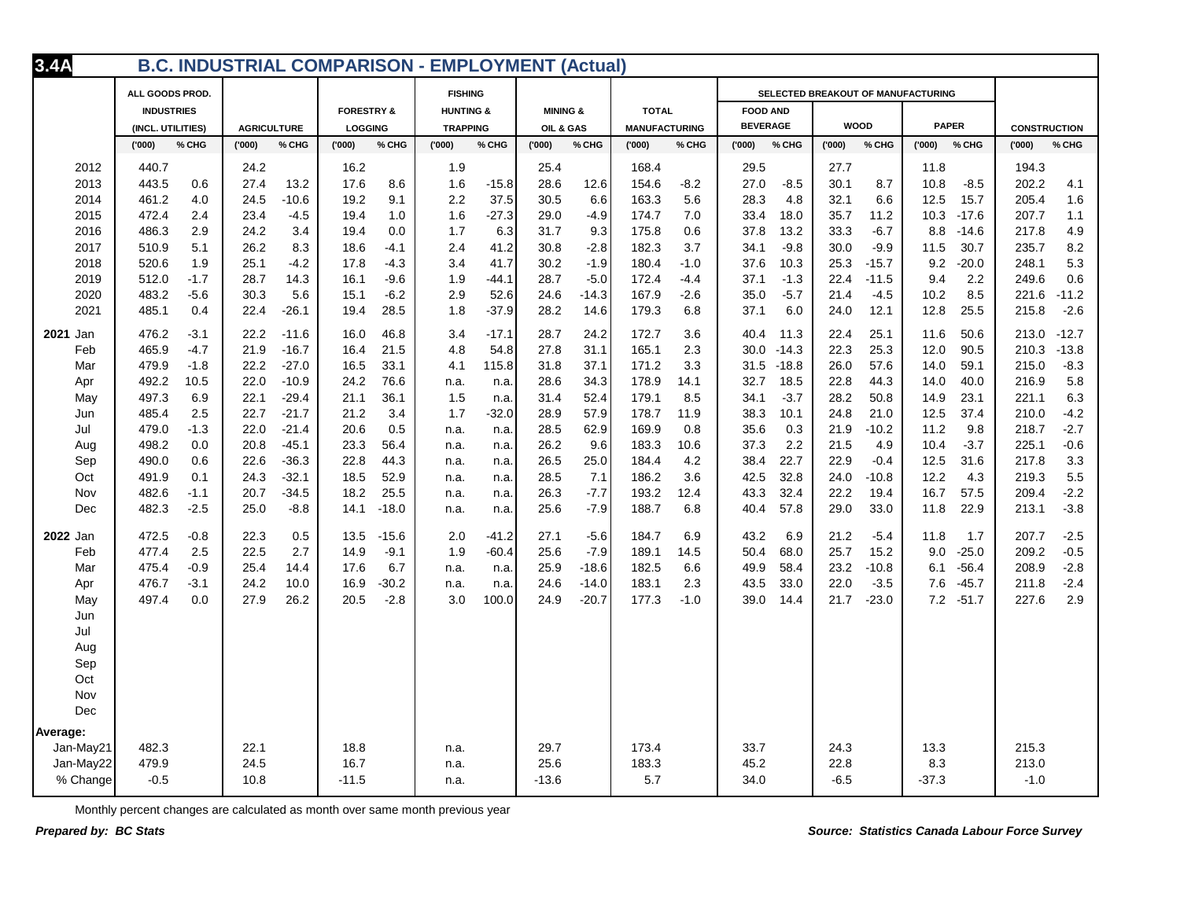| 3.4A      |                   |                    |                       | <b>B.C. INDUSTRIAL COMPARISON - EMPLOYMENT (Actual)</b> |                     |                      |                 |                                    |              |                     |
|-----------|-------------------|--------------------|-----------------------|---------------------------------------------------------|---------------------|----------------------|-----------------|------------------------------------|--------------|---------------------|
|           | ALL GOODS PROD.   |                    |                       | <b>FISHING</b>                                          |                     |                      |                 | SELECTED BREAKOUT OF MANUFACTURING |              |                     |
|           | <b>INDUSTRIES</b> |                    | <b>FORESTRY &amp;</b> | <b>HUNTING &amp;</b>                                    | <b>MINING &amp;</b> | <b>TOTAL</b>         | <b>FOOD AND</b> |                                    |              |                     |
|           | (INCL. UTILITIES) | <b>AGRICULTURE</b> | <b>LOGGING</b>        | <b>TRAPPING</b>                                         | OIL & GAS           | <b>MANUFACTURING</b> | <b>BEVERAGE</b> | <b>WOOD</b>                        | <b>PAPER</b> | <b>CONSTRUCTION</b> |
|           | (000)             | (000)              | (000)                 | (000)                                                   | (000)               | % CHG                | ('000')         | (000)                              | (000)        | ('000)              |
|           | % CHG             | % CHG              | % CHG                 | % CHG                                                   | % CHG               | (000)                | % CHG           | % CHG                              | % CHG        | % CHG               |
| 2012      | 440.7             | 24.2               | 16.2                  | 1.9                                                     | 25.4                | 168.4                | 29.5            | 27.7                               | 11.8         | 194.3               |
| 2013      | 443.5             | 27.4               | 17.6                  | 1.6                                                     | 28.6                | 154.6                | 27.0            | 30.1                               | 10.8         | 202.2               |
|           | 0.6               | 13.2               | 8.6                   | $-15.8$                                                 | 12.6                | $-8.2$               | $-8.5$          | 8.7                                | $-8.5$       | 4.1                 |
| 2014      | 461.2             | 24.5               | 19.2                  | 2.2                                                     | 30.5                | 163.3                | 28.3            | 32.1                               | 12.5         | 205.4               |
|           | 4.0               | $-10.6$            | 9.1                   | 37.5                                                    | 6.6                 | 5.6                  | 4.8             | 6.6                                | 15.7         | 1.6                 |
| 2015      | 472.4             | 23.4               | 19.4                  | $-27.3$                                                 | 29.0                | 174.7                | 33.4            | 35.7                               | 10.3         | 207.7               |
|           | 2.4               | $-4.5$             | 1.0                   | 1.6                                                     | $-4.9$              | 7.0                  | 18.0            | 11.2                               | $-17.6$      | 1.1                 |
| 2016      | 486.3             | 24.2               | 19.4                  | 1.7                                                     | 9.3                 | 175.8                | 37.8            | 33.3                               | 8.8          | 217.8               |
|           | 2.9               | 3.4                | 0.0                   | 6.3                                                     | 31.7                | 0.6                  | 13.2            | $-6.7$                             | $-14.6$      | 4.9                 |
| 2017      | 510.9             | 26.2               | 18.6                  | 2.4                                                     | $-2.8$              | 182.3                | $-9.8$          | $-9.9$                             | 11.5         | 235.7               |
|           | 5.1               | 8.3                | $-4.1$                | 41.2                                                    | 30.8                | 3.7                  | 34.1            | 30.0                               | 30.7         | 8.2                 |
| 2018      | 1.9               | 25.1               | $-4.3$                | 41.7                                                    | $-1.9$              | 180.4                | 10.3            | $-15.7$                            | 9.2          | 5.3                 |
|           | 520.6             | $-4.2$             | 17.8                  | 3.4                                                     | 30.2                | $-1.0$               | 37.6            | 25.3                               | $-20.0$      | 248.1               |
| 2019      | 512.0             | 28.7               | 16.1                  | 1.9                                                     | 28.7                | 172.4                | 37.1            | 22.4                               | 2.2          | 249.6               |
|           | $-1.7$            | 14.3               | $-9.6$                | $-44.1$                                                 | $-5.0$              | $-4.4$               | $-1.3$          | $-11.5$                            | 9.4          | 0.6                 |
| 2020      | 483.2             | 30.3               | $-6.2$                | 2.9                                                     | $-14.3$             | 167.9                | 35.0            | 21.4                               | 10.2         | 221.6               |
|           | $-5.6$            | 5.6                | 15.1                  | 52.6                                                    | 24.6                | $-2.6$               | $-5.7$          | $-4.5$                             | 8.5          | $-11.2$             |
| 2021      | 485.1             | 22.4               | 28.5                  | 1.8                                                     | 28.2                | 179.3                | 6.0             | 24.0                               | 25.5         | 215.8               |
|           | 0.4               | $-26.1$            | 19.4                  | $-37.9$                                                 | 14.6                | 6.8                  | 37.1            | 12.1                               | 12.8         | $-2.6$              |
| 2021 Jan  | 476.2             | 22.2               | 16.0                  | $-17.1$                                                 | 28.7                | 172.7                | 40.4            | 22.4                               | 11.6         | 213.0               |
|           | $-3.1$            | $-11.6$            | 46.8                  | 3.4                                                     | 24.2                | 3.6                  | 11.3            | 25.1                               | 50.6         | $-12.7$             |
| Feb       | 465.9             | 21.9               | 16.4                  | 54.8                                                    | 27.8                | 2.3                  | 30.0            | 25.3                               | 12.0         | 210.3               |
|           | $-4.7$            | $-16.7$            | 21.5                  | 4.8                                                     | 31.1                | 165.1                | $-14.3$         | 22.3                               | 90.5         | $-13.8$             |
| Mar       | 479.9             | 22.2               | 33.1                  | 4.1                                                     | 31.8                | 171.2                | 31.5            | 26.0                               | 59.1         | 215.0               |
|           | $-1.8$            | $-27.0$            | 16.5                  | 115.8                                                   | 37.1                | 3.3                  | $-18.8$         | 57.6                               | 14.0         | $-8.3$              |
| Apr       | 492.2             | 22.0               | 76.6                  | n.a.                                                    | 28.6                | 178.9                | 32.7            | 22.8                               | 14.0         | 5.8                 |
|           | 10.5              | $-10.9$            | 24.2                  | n.a.                                                    | 34.3                | 14.1                 | 18.5            | 44.3                               | 40.0         | 216.9               |
| May       | 497.3             | 22.1               | 21.1                  | 1.5                                                     | 31.4                | 179.1                | 34.1            | 28.2                               | 14.9         | 221.1               |
|           | 6.9               | $-29.4$            | 36.1                  | n.a.                                                    | 52.4                | 8.5                  | $-3.7$          | 50.8                               | 23.1         | 6.3                 |
| Jun       | 2.5               | 22.7               | 3.4                   | $-32.0$                                                 | 28.9                | 178.7                | 38.3            | 24.8                               | 37.4         | 210.0               |
|           | 485.4             | $-21.7$            | 21.2                  | 1.7                                                     | 57.9                | 11.9                 | 10.1            | 21.0                               | 12.5         | $-4.2$              |
| Jul       | 479.0             | $-21.4$            | 0.5                   | n.a.                                                    | 62.9                | 169.9                | 0.3             | $-10.2$                            | 11.2         | $-2.7$              |
|           | $-1.3$            | 22.0               | 20.6                  | n.a.                                                    | 28.5                | 0.8                  | 35.6            | 21.9                               | 9.8          | 218.7               |
| Aug       | 498.2             | 20.8               | 56.4                  | n.a.                                                    | 26.2                | 183.3                | 37.3            | 4.9                                | 10.4         | 225.1               |
|           | 0.0               | $-45.1$            | 23.3                  | n.a.                                                    | 9.6                 | 10.6                 | 2.2             | 21.5                               | $-3.7$       | $-0.6$              |
| Sep       | 490.0             | 22.6               | 22.8                  | n.a.                                                    | 25.0                | 184.4                | 22.7            | 22.9                               | 12.5         | 3.3                 |
|           | 0.6               | $-36.3$            | 44.3                  | n.a.                                                    | 26.5                | 4.2                  | 38.4            | $-0.4$                             | 31.6         | 217.8               |
| Oct       | 491.9             | $-32.1$            | 18.5                  | n.a.                                                    | 28.5                | 186.2                | 32.8            | 24.0                               | 12.2         | 219.3               |
|           | 0.1               | 24.3               | 52.9                  | n.a.                                                    | 7.1                 | 3.6                  | 42.5            | $-10.8$                            | 4.3          | 5.5                 |
| Nov       | 482.6             | 20.7               | 18.2                  | n.a.                                                    | $-7.7$              | 193.2                | 43.3            | 22.2                               | 16.7         | 209.4               |
|           | $-1.1$            | $-34.5$            | 25.5                  | n.a.                                                    | 26.3                | 12.4                 | 32.4            | 19.4                               | 57.5         | $-2.2$              |
| Dec       | $-2.5$            | $-8.8$             | $-18.0$               | n.a.                                                    | $-7.9$              | 6.8                  | 40.4            | 33.0                               | 22.9         | $-3.8$              |
|           | 482.3             | 25.0               | 14.1                  | n.a.                                                    | 25.6                | 188.7                | 57.8            | 29.0                               | 11.8         | 213.1               |
| 2022 Jan  | 472.5             | 0.5                | 13.5                  | $-41.2$                                                 | 27.1                | 184.7                | 43.2            | 21.2                               | 11.8         | 207.7               |
|           | -0.8              | 22.3               | $-15.6$               | 2.0                                                     | $-5.6$              | 6.9                  | 6.9             | $-5.4$                             | 1.7          | $-2.5$              |
| Feb       | 477.4             | 2.7                | $-9.1$                | 1.9                                                     | 25.6                | 189.1                | 68.0            | 25.7                               | 9.0          | 209.2               |
|           | 2.5               | 22.5               | 14.9                  | $-60.4$                                                 | $-7.9$              | 14.5                 | 50.4            | 15.2                               | $-25.0$      | $-0.5$              |
| Mar       | 475.4             | 25.4               | 6.7                   | n.a.                                                    | 25.9                | 182.5                | 49.9            | 23.2                               | $-56.4$      | 208.9               |
|           | $-0.9$            | 14.4               | 17.6                  | n.a.                                                    | $-18.6$             | 6.6                  | 58.4            | $-10.8$                            | 6.1          | $-2.8$              |
| Apr       | 476.7             | 10.0               | $-30.2$               | n.a.                                                    | $-14.0$             | 183.1                | 33.0            | $-3.5$                             | $-45.7$      | $-2.4$              |
|           | $-3.1$            | 24.2               | 16.9                  | n.a.                                                    | 24.6                | 2.3                  | 43.5            | 22.0                               | 7.6          | 211.8               |
| May       | 497.4             | 27.9               | $-2.8$                | 3.0                                                     | $-20.7$             | 177.3                | 39.0            | $-23.0$                            | $-51.7$      | 2.9                 |
|           | 0.0               | 26.2               | 20.5                  | 100.0                                                   | 24.9                | $-1.0$               | 14.4            | 21.7                               | 7.2          | 227.6               |
| Jun       |                   |                    |                       |                                                         |                     |                      |                 |                                    |              |                     |
| Jul       |                   |                    |                       |                                                         |                     |                      |                 |                                    |              |                     |
| Aug       |                   |                    |                       |                                                         |                     |                      |                 |                                    |              |                     |
| Sep       |                   |                    |                       |                                                         |                     |                      |                 |                                    |              |                     |
| Oct       |                   |                    |                       |                                                         |                     |                      |                 |                                    |              |                     |
| Nov       |                   |                    |                       |                                                         |                     |                      |                 |                                    |              |                     |
| Dec       |                   |                    |                       |                                                         |                     |                      |                 |                                    |              |                     |
| Average:  |                   |                    |                       |                                                         |                     |                      |                 |                                    |              |                     |
| Jan-May21 | 482.3             | 22.1               | 18.8                  | n.a.                                                    | 29.7                | 173.4                | 33.7            | 24.3                               | 13.3         | 215.3               |
| Jan-May22 | 479.9             | 24.5               | 16.7                  | n.a.                                                    | 25.6                | 183.3                | 45.2            | 22.8                               | 8.3          | 213.0               |
| % Change  | $-0.5$            | 10.8               | $-11.5$               | n.a.                                                    | $-13.6$             | 5.7                  | 34.0            | $-6.5$                             | $-37.3$      | $-1.0$              |
|           |                   |                    |                       |                                                         |                     |                      |                 |                                    |              |                     |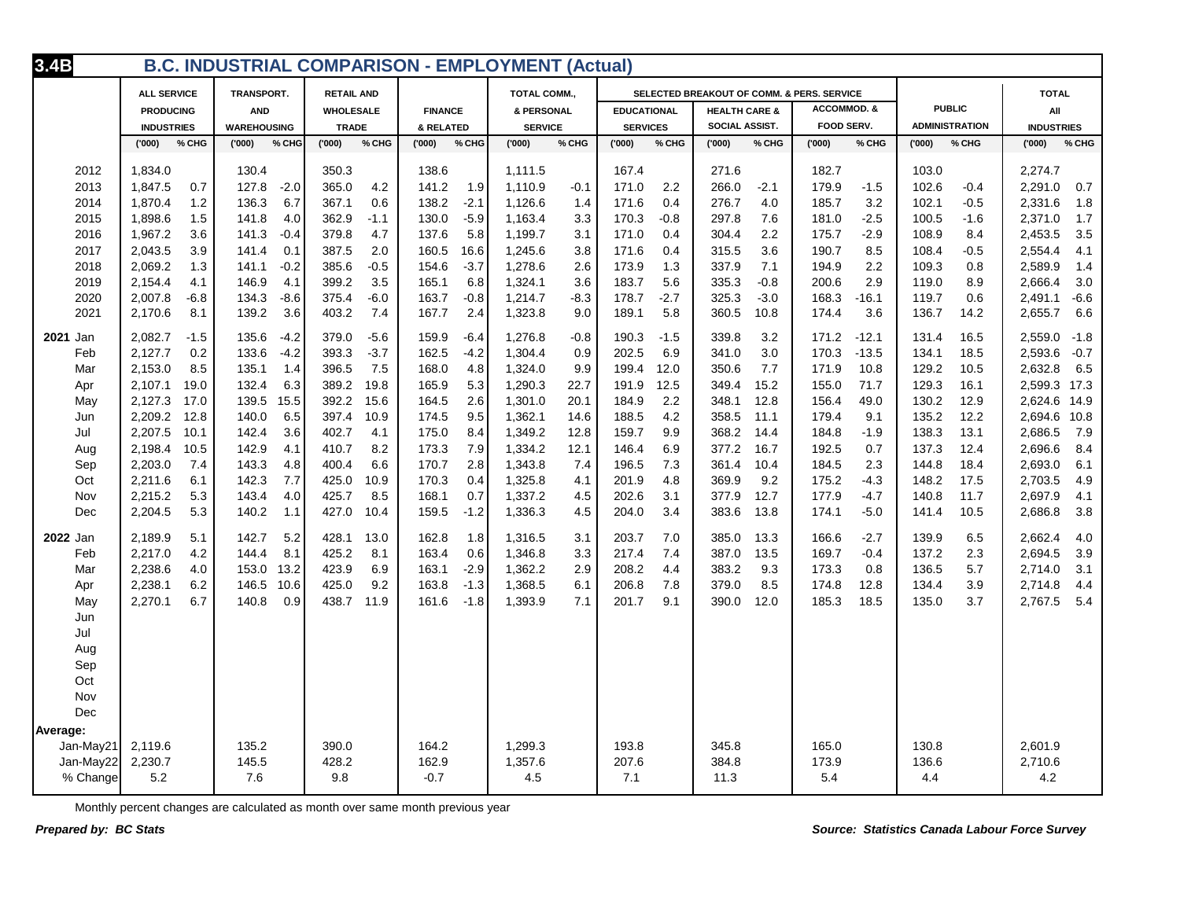| 3.4B      | <b>B.C. INDUSTRIAL COMPARISON - EMPLOYMENT (Actual)</b><br><b>ALL SERVICE</b><br>TRANSPORT.<br><b>RETAIL AND</b><br>SELECTED BREAKOUT OF COMM. & PERS. SERVICE<br><b>TOTAL COMM.</b> |        |                    |        |                  |        |                |        |                |        |                    |        |                          |        |                        |         |       |                       |                   |        |
|-----------|--------------------------------------------------------------------------------------------------------------------------------------------------------------------------------------|--------|--------------------|--------|------------------|--------|----------------|--------|----------------|--------|--------------------|--------|--------------------------|--------|------------------------|---------|-------|-----------------------|-------------------|--------|
|           |                                                                                                                                                                                      |        |                    |        |                  |        |                |        |                |        |                    |        |                          |        |                        |         |       |                       | <b>TOTAL</b>      |        |
|           | <b>PRODUCING</b>                                                                                                                                                                     |        | <b>AND</b>         |        | <b>WHOLESALE</b> |        | <b>FINANCE</b> |        | & PERSONAL     |        | <b>EDUCATIONAL</b> |        | <b>HEALTH CARE &amp;</b> |        | <b>ACCOMMOD. &amp;</b> |         |       | <b>PUBLIC</b>         | All               |        |
|           | <b>INDUSTRIES</b>                                                                                                                                                                    |        | <b>WAREHOUSING</b> |        | <b>TRADE</b>     |        | & RELATED      |        | <b>SERVICE</b> |        | <b>SERVICES</b>    |        | SOCIAL ASSIST.           |        | <b>FOOD SERV.</b>      |         |       | <b>ADMINISTRATION</b> | <b>INDUSTRIES</b> |        |
|           | (000)'                                                                                                                                                                               | % CHG  | (000)              | % CHG  | (000)            | % CHG  | (000)'         | % CHG  | (000)          | % CHG  | (000)              | % CHG  | (000)                    | % CHG  | (000)                  | % CHG   | (000) | % CHG                 | (000)             | % CHG  |
| 2012      | 1,834.0                                                                                                                                                                              |        | 130.4              |        | 350.3            |        | 138.6          |        | 1,111.5        |        | 167.4              |        | 271.6                    |        | 182.7                  |         | 103.0 |                       | 2,274.7           |        |
| 2013      | 1,847.5                                                                                                                                                                              | 0.7    | 127.8              | $-2.0$ | 365.0            | 4.2    | 141.2          | 1.9    | 1,110.9        | $-0.1$ | 171.0              | 2.2    | 266.0                    | $-2.1$ | 179.9                  | $-1.5$  | 102.6 | $-0.4$                | 2,291.0           | 0.7    |
| 2014      | 1,870.4                                                                                                                                                                              | 1.2    | 136.3              | 6.7    | 367.1            | 0.6    | 138.2          | $-2.1$ | 1,126.6        | 1.4    | 171.6              | 0.4    | 276.7                    | 4.0    | 185.7                  | 3.2     | 102.1 | $-0.5$                | 2,331.6           | 1.8    |
| 2015      | 1,898.6                                                                                                                                                                              | 1.5    | 141.8              | 4.0    | 362.9            | $-1.1$ | 130.0          | $-5.9$ | 1,163.4        | 3.3    | 170.3              | $-0.8$ | 297.8                    | 7.6    | 181.0                  | $-2.5$  | 100.5 | $-1.6$                | 2,371.0           | 1.7    |
| 2016      | 1,967.2                                                                                                                                                                              | 3.6    | 141.3              | $-0.4$ | 379.8            | 4.7    | 137.6          | 5.8    | 1,199.7        | 3.1    | 171.0              | 0.4    | 304.4                    | 2.2    | 175.7                  | $-2.9$  | 108.9 | 8.4                   | 2,453.5           | 3.5    |
| 2017      | 2,043.5                                                                                                                                                                              | 3.9    | 141.4              | 0.1    | 387.5            | 2.0    | 160.5          | 16.6   | 1,245.6        | 3.8    | 171.6              | 0.4    | 315.5                    | 3.6    | 190.7                  | 8.5     | 108.4 | $-0.5$                | 2,554.4           | 4.1    |
| 2018      | 2,069.2                                                                                                                                                                              | 1.3    | 141.1              | $-0.2$ | 385.6            | $-0.5$ | 154.6          | $-3.7$ | 1,278.6        | 2.6    | 173.9              | 1.3    | 337.9                    | 7.1    | 194.9                  | 2.2     | 109.3 | 0.8                   | 2,589.9           | 1.4    |
| 2019      | 2,154.4                                                                                                                                                                              | 4.1    | 146.9              | 4.1    | 399.2            | 3.5    | 165.1          | 6.8    | 1,324.1        | 3.6    | 183.7              | 5.6    | 335.3                    | $-0.8$ | 200.6                  | 2.9     | 119.0 | 8.9                   | 2,666.4           | 3.0    |
| 2020      | 2,007.8                                                                                                                                                                              | $-6.8$ | 134.3              | $-8.6$ | 375.4            | $-6.0$ | 163.7          | $-0.8$ | 1,214.7        | $-8.3$ | 178.7              | $-2.7$ | 325.3                    | $-3.0$ | 168.3                  | $-16.1$ | 119.7 | 0.6                   | 2,491.1           | $-6.6$ |
| 2021      | 2,170.6                                                                                                                                                                              | 8.1    | 139.2              | 3.6    | 403.2            | 7.4    | 167.7          | 2.4    | 1,323.8        | 9.0    | 189.1              | 5.8    | 360.5                    | 10.8   | 174.4                  | 3.6     | 136.7 | 14.2                  | 2,655.7           | 6.6    |
| 2021 Jan  | 2,082.7                                                                                                                                                                              | $-1.5$ | 135.6              | $-4.2$ | 379.0            | $-5.6$ | 159.9          | $-6.4$ | 1,276.8        | $-0.8$ | 190.3              | $-1.5$ | 339.8                    | 3.2    | 171.2                  | $-12.1$ | 131.4 | 16.5                  | 2,559.0           | $-1.8$ |
| Feb       | 2,127.7                                                                                                                                                                              | 0.2    | 133.6              | $-4.2$ | 393.3            | $-3.7$ | 162.5          | $-4.2$ | 1,304.4        | 0.9    | 202.5              | 6.9    | 341.0                    | 3.0    | 170.3                  | $-13.5$ | 134.1 | 18.5                  | 2,593.6           | $-0.7$ |
| Mar       | 2,153.0                                                                                                                                                                              | 8.5    | 135.1              | 1.4    | 396.5            | 7.5    | 168.0          | 4.8    | 1,324.0        | 9.9    | 199.4              | 12.0   | 350.6                    | 7.7    | 171.9                  | 10.8    | 129.2 | 10.5                  | 2,632.8           | 6.5    |
| Apr       | 2,107.1                                                                                                                                                                              | 19.0   | 132.4              | 6.3    | 389.2            | 19.8   | 165.9          | 5.3    | 1,290.3        | 22.7   | 191.9              | 12.5   | 349.4                    | 15.2   | 155.0                  | 71.7    | 129.3 | 16.1                  | 2,599.3 17.3      |        |
| May       | 2,127.3                                                                                                                                                                              | 17.0   | 139.5              | 15.5   | 392.2            | 15.6   | 164.5          | 2.6    | 1,301.0        | 20.1   | 184.9              | 2.2    | 348.1                    | 12.8   | 156.4                  | 49.0    | 130.2 | 12.9                  | 2,624.6 14.9      |        |
| Jun       | 2,209.2                                                                                                                                                                              | 12.8   | 140.0              | 6.5    | 397.4            | 10.9   | 174.5          | 9.5    | 1,362.1        | 14.6   | 188.5              | 4.2    | 358.5                    | 11.1   | 179.4                  | 9.1     | 135.2 | 12.2                  | 2,694.6           | 10.8   |
| Jul       | 2,207.5                                                                                                                                                                              | 10.1   | 142.4              | 3.6    | 402.7            | 4.1    | 175.0          | 8.4    | 1,349.2        | 12.8   | 159.7              | 9.9    | 368.2                    | 14.4   | 184.8                  | $-1.9$  | 138.3 | 13.1                  | 2,686.5           | 7.9    |
| Aug       | 2,198.4                                                                                                                                                                              | 10.5   | 142.9              | 4.1    | 410.7            | 8.2    | 173.3          | 7.9    | 1,334.2        | 12.1   | 146.4              | 6.9    | 377.2                    | 16.7   | 192.5                  | 0.7     | 137.3 | 12.4                  | 2,696.6           | 8.4    |
| Sep       | 2,203.0                                                                                                                                                                              | 7.4    | 143.3              | 4.8    | 400.4            | 6.6    | 170.7          | 2.8    | 1,343.8        | 7.4    | 196.5              | 7.3    | 361.4                    | 10.4   | 184.5                  | 2.3     | 144.8 | 18.4                  | 2,693.0           | 6.1    |
| Oct       | 2,211.6                                                                                                                                                                              | 6.1    | 142.3              | 7.7    | 425.0            | 10.9   | 170.3          | 0.4    | 1,325.8        | 4.1    | 201.9              | 4.8    | 369.9                    | 9.2    | 175.2                  | $-4.3$  | 148.2 | 17.5                  | 2,703.5           | 4.9    |
| Nov       | 2,215.2                                                                                                                                                                              | 5.3    | 143.4              | 4.0    | 425.7            | 8.5    | 168.1          | 0.7    | 1,337.2        | 4.5    | 202.6              | 3.1    | 377.9                    | 12.7   | 177.9                  | $-4.7$  | 140.8 | 11.7                  | 2,697.9           | 4.1    |
| Dec       | 2,204.5                                                                                                                                                                              | 5.3    | 140.2              | 1.1    | 427.0            | 10.4   | 159.5          | $-1.2$ | 1,336.3        | 4.5    | 204.0              | 3.4    | 383.6                    | 13.8   | 174.1                  | $-5.0$  | 141.4 | 10.5                  | 2,686.8           | 3.8    |
| 2022 Jan  | 2,189.9                                                                                                                                                                              | 5.1    | 142.7              | 5.2    | 428.1            | 13.0   | 162.8          | 1.8    | 1,316.5        | 3.1    | 203.7              | 7.0    | 385.0                    | 13.3   | 166.6                  | $-2.7$  | 139.9 | 6.5                   | 2,662.4           | 4.0    |
| Feb       | 2,217.0                                                                                                                                                                              | 4.2    | 144.4              | 8.1    | 425.2            | 8.1    | 163.4          | 0.6    | 1,346.8        | 3.3    | 217.4              | 7.4    | 387.0                    | 13.5   | 169.7                  | $-0.4$  | 137.2 | 2.3                   | 2,694.5           | 3.9    |
| Mar       | 2,238.6                                                                                                                                                                              | 4.0    | 153.0              | 13.2   | 423.9            | 6.9    | 163.1          | $-2.9$ | 1,362.2        | 2.9    | 208.2              | 4.4    | 383.2                    | 9.3    | 173.3                  | 0.8     | 136.5 | 5.7                   | 2,714.0           | 3.1    |
| Apr       | 2,238.1                                                                                                                                                                              | 6.2    | 146.5              | 10.6   | 425.0            | 9.2    | 163.8          | $-1.3$ | 1,368.5        | 6.1    | 206.8              | 7.8    | 379.0                    | 8.5    | 174.8                  | 12.8    | 134.4 | 3.9                   | 2,714.8           | 4.4    |
| May       | 2,270.1                                                                                                                                                                              | 6.7    | 140.8              | 0.9    | 438.7            | 11.9   | 161.6          | $-1.8$ | 1,393.9        | 7.1    | 201.7              | 9.1    | 390.0                    | 12.0   | 185.3                  | 18.5    | 135.0 | 3.7                   | 2,767.5           | 5.4    |
| Jun       |                                                                                                                                                                                      |        |                    |        |                  |        |                |        |                |        |                    |        |                          |        |                        |         |       |                       |                   |        |
| Jul       |                                                                                                                                                                                      |        |                    |        |                  |        |                |        |                |        |                    |        |                          |        |                        |         |       |                       |                   |        |
| Aug       |                                                                                                                                                                                      |        |                    |        |                  |        |                |        |                |        |                    |        |                          |        |                        |         |       |                       |                   |        |
| Sep       |                                                                                                                                                                                      |        |                    |        |                  |        |                |        |                |        |                    |        |                          |        |                        |         |       |                       |                   |        |
| Oct       |                                                                                                                                                                                      |        |                    |        |                  |        |                |        |                |        |                    |        |                          |        |                        |         |       |                       |                   |        |
| Nov       |                                                                                                                                                                                      |        |                    |        |                  |        |                |        |                |        |                    |        |                          |        |                        |         |       |                       |                   |        |
| Dec       |                                                                                                                                                                                      |        |                    |        |                  |        |                |        |                |        |                    |        |                          |        |                        |         |       |                       |                   |        |
| Average:  |                                                                                                                                                                                      |        |                    |        |                  |        |                |        |                |        |                    |        |                          |        |                        |         |       |                       |                   |        |
| Jan-May21 | 2,119.6                                                                                                                                                                              |        | 135.2              |        | 390.0            |        | 164.2          |        | 1,299.3        |        | 193.8              |        | 345.8                    |        | 165.0                  |         | 130.8 |                       | 2,601.9           |        |
| Jan-May22 | 2,230.7                                                                                                                                                                              |        | 145.5              |        | 428.2            |        | 162.9          |        | 1,357.6        |        | 207.6              |        | 384.8                    |        | 173.9                  |         | 136.6 |                       | 2,710.6           |        |
| % Change  | 5.2                                                                                                                                                                                  |        | 7.6                |        | 9.8              |        | $-0.7$         |        | 4.5            |        | 7.1                |        | 11.3                     |        | 5.4                    |         | 4.4   |                       | 4.2               |        |
|           |                                                                                                                                                                                      |        |                    |        |                  |        |                |        |                |        |                    |        |                          |        |                        |         |       |                       |                   |        |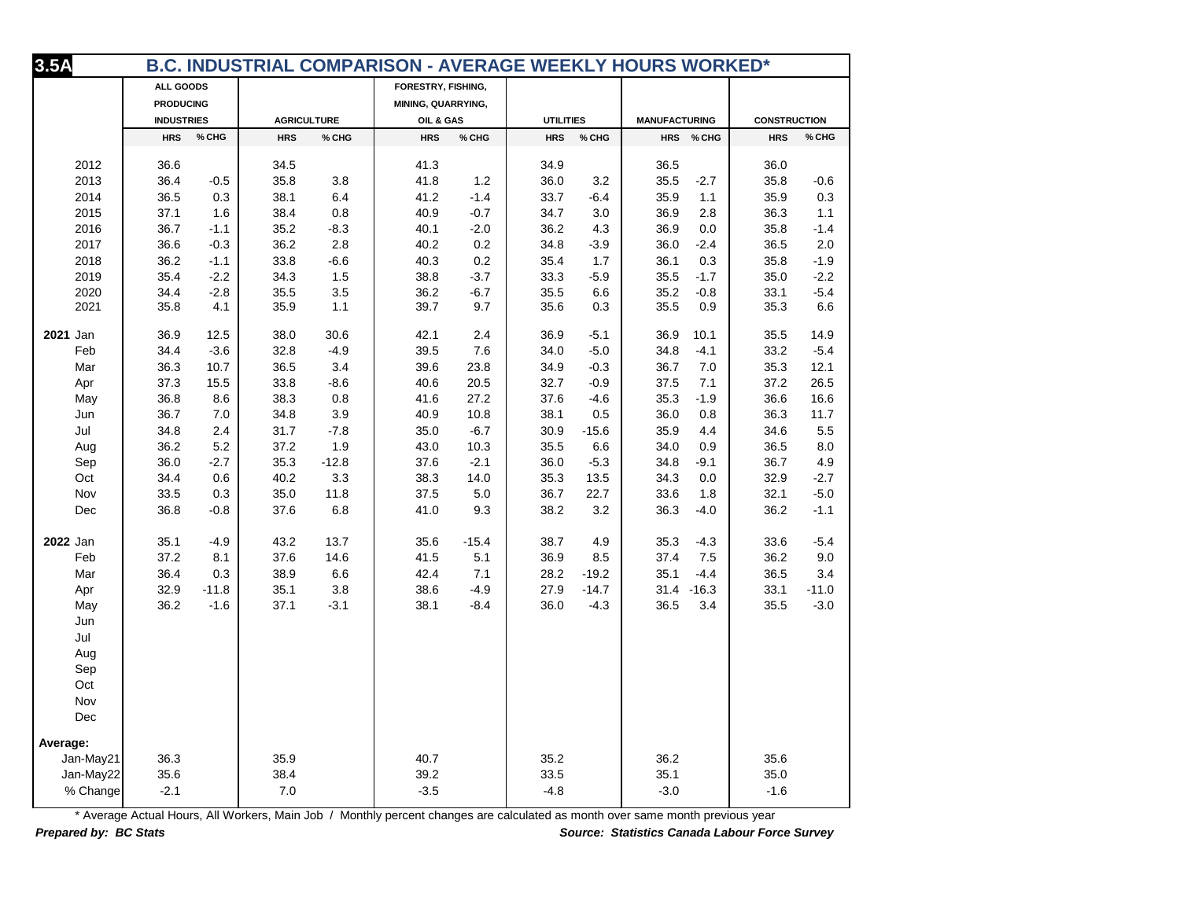| 3.5A<br>B.C. INDUSTRIAL COMPARISON - AVERAGE WEEKLY HOURS WORKED* |                   |         |                    |         |                    |         |                  |         |                      |            |                     |         |
|-------------------------------------------------------------------|-------------------|---------|--------------------|---------|--------------------|---------|------------------|---------|----------------------|------------|---------------------|---------|
|                                                                   | ALL GOODS         |         |                    |         | FORESTRY, FISHING, |         |                  |         |                      |            |                     |         |
|                                                                   | <b>PRODUCING</b>  |         |                    |         | MINING, QUARRYING, |         |                  |         |                      |            |                     |         |
|                                                                   | <b>INDUSTRIES</b> |         | <b>AGRICULTURE</b> |         | OIL & GAS          |         | <b>UTILITIES</b> |         | <b>MANUFACTURING</b> |            | <b>CONSTRUCTION</b> |         |
|                                                                   | <b>HRS</b>        | % CHG   | <b>HRS</b>         | % CHG   | <b>HRS</b>         | % CHG   | <b>HRS</b>       | % CHG   |                      | HRS % CHG  | <b>HRS</b>          | % CHG   |
| 2012                                                              | 36.6              |         | 34.5               |         | 41.3               |         | 34.9             |         | 36.5                 |            | 36.0                |         |
| 2013                                                              | 36.4              | $-0.5$  | 35.8               | 3.8     | 41.8               | 1.2     | 36.0             | 3.2     | 35.5                 | $-2.7$     | 35.8                | $-0.6$  |
| 2014                                                              | 36.5              | 0.3     | 38.1               | 6.4     | 41.2               | $-1.4$  | 33.7             | $-6.4$  | 35.9                 | 1.1        | 35.9                | 0.3     |
| 2015                                                              | 37.1              | 1.6     | 38.4               | 0.8     | 40.9               | $-0.7$  | 34.7             | 3.0     | 36.9                 | 2.8        | 36.3                | 1.1     |
| 2016                                                              | 36.7              | $-1.1$  | 35.2               | $-8.3$  | 40.1               | $-2.0$  | 36.2             | 4.3     | 36.9                 | 0.0        | 35.8                | $-1.4$  |
| 2017                                                              | 36.6              | $-0.3$  | 36.2               | 2.8     | 40.2               | 0.2     | 34.8             | $-3.9$  | 36.0                 | $-2.4$     | 36.5                | 2.0     |
| 2018                                                              | 36.2              | $-1.1$  | 33.8               | $-6.6$  | 40.3               | 0.2     | 35.4             | 1.7     | 36.1                 | 0.3        | 35.8                | $-1.9$  |
| 2019                                                              | 35.4              | $-2.2$  | 34.3               | 1.5     | 38.8               | $-3.7$  | 33.3             | $-5.9$  | 35.5                 | $-1.7$     | 35.0                | $-2.2$  |
| 2020                                                              | 34.4              | $-2.8$  | 35.5               | 3.5     | 36.2               | $-6.7$  | 35.5             | 6.6     | 35.2                 | $-0.8$     | 33.1                | $-5.4$  |
| 2021                                                              | 35.8              | 4.1     | 35.9               | 1.1     | 39.7               | 9.7     | 35.6             | 0.3     | 35.5                 | 0.9        | 35.3                | 6.6     |
| 2021 Jan                                                          | 36.9              | 12.5    | 38.0               | 30.6    | 42.1               | 2.4     | 36.9             | $-5.1$  | 36.9                 | 10.1       | 35.5                | 14.9    |
| Feb                                                               | 34.4              | $-3.6$  | 32.8               | $-4.9$  | 39.5               | 7.6     | 34.0             | $-5.0$  | 34.8                 | $-4.1$     | 33.2                | $-5.4$  |
| Mar                                                               | 36.3              | 10.7    | 36.5               | 3.4     | 39.6               | 23.8    | 34.9             | $-0.3$  | 36.7                 | 7.0        | 35.3                | 12.1    |
| Apr                                                               | 37.3              | 15.5    | 33.8               | $-8.6$  | 40.6               | 20.5    | 32.7             | $-0.9$  | 37.5                 | 7.1        | 37.2                | 26.5    |
| May                                                               | 36.8              | 8.6     | 38.3               | 0.8     | 41.6               | 27.2    | 37.6             | $-4.6$  | 35.3                 | $-1.9$     | 36.6                | 16.6    |
| Jun                                                               | 36.7              | 7.0     | 34.8               | 3.9     | 40.9               | 10.8    | 38.1             | 0.5     | 36.0                 | 0.8        | 36.3                | 11.7    |
| Jul                                                               | 34.8              | 2.4     | 31.7               | $-7.8$  | 35.0               | $-6.7$  | 30.9             | $-15.6$ | 35.9                 | 4.4        | 34.6                | 5.5     |
| Aug                                                               | 36.2              | 5.2     | 37.2               | 1.9     | 43.0               | 10.3    | 35.5             | 6.6     | 34.0                 | 0.9        | 36.5                | 8.0     |
| Sep                                                               | 36.0              | $-2.7$  | 35.3               | $-12.8$ | 37.6               | $-2.1$  | 36.0             | $-5.3$  | 34.8                 | $-9.1$     | 36.7                | 4.9     |
| Oct                                                               | 34.4              | 0.6     | 40.2               | 3.3     | 38.3               | 14.0    | 35.3             | 13.5    | 34.3                 | 0.0        | 32.9                | $-2.7$  |
| Nov                                                               | 33.5              | 0.3     | 35.0               | 11.8    | 37.5               | 5.0     | 36.7             | 22.7    | 33.6                 | 1.8        | 32.1                | $-5.0$  |
| Dec                                                               | 36.8              | $-0.8$  | 37.6               | 6.8     | 41.0               | 9.3     | 38.2             | 3.2     | 36.3                 | $-4.0$     | 36.2                | $-1.1$  |
| 2022 Jan                                                          | 35.1              | $-4.9$  | 43.2               | 13.7    | 35.6               | $-15.4$ | 38.7             | 4.9     | 35.3                 | $-4.3$     | 33.6                | $-5.4$  |
| Feb                                                               | 37.2              | 8.1     | 37.6               | 14.6    | 41.5               | 5.1     | 36.9             | 8.5     | 37.4                 | 7.5        | 36.2                | 9.0     |
| Mar                                                               | 36.4              | 0.3     | 38.9               | $6.6\,$ | 42.4               | 7.1     | 28.2             | $-19.2$ | 35.1                 | $-4.4$     | 36.5                | 3.4     |
| Apr                                                               | 32.9              | $-11.8$ | 35.1               | $3.8\,$ | 38.6               | $-4.9$  | 27.9             | $-14.7$ |                      | 31.4 -16.3 | 33.1                | $-11.0$ |
| May                                                               | 36.2              | $-1.6$  | 37.1               | $-3.1$  | 38.1               | $-8.4$  | 36.0             | $-4.3$  | 36.5                 | 3.4        | 35.5                | $-3.0$  |
| Jun                                                               |                   |         |                    |         |                    |         |                  |         |                      |            |                     |         |
| Jul                                                               |                   |         |                    |         |                    |         |                  |         |                      |            |                     |         |
| Aug                                                               |                   |         |                    |         |                    |         |                  |         |                      |            |                     |         |
| Sep                                                               |                   |         |                    |         |                    |         |                  |         |                      |            |                     |         |
| Oct                                                               |                   |         |                    |         |                    |         |                  |         |                      |            |                     |         |
| Nov                                                               |                   |         |                    |         |                    |         |                  |         |                      |            |                     |         |
| Dec                                                               |                   |         |                    |         |                    |         |                  |         |                      |            |                     |         |
| Average:                                                          |                   |         |                    |         |                    |         |                  |         |                      |            |                     |         |
| Jan-May21                                                         | 36.3              |         | 35.9               |         | 40.7               |         | 35.2             |         | 36.2                 |            | 35.6                |         |
| Jan-May22                                                         | 35.6              |         | 38.4               |         | 39.2               |         | 33.5             |         | 35.1                 |            | 35.0                |         |
| % Change                                                          | $-2.1$            |         | 7.0                |         | $-3.5$             |         | $-4.8$           |         | $-3.0$               |            | $-1.6$              |         |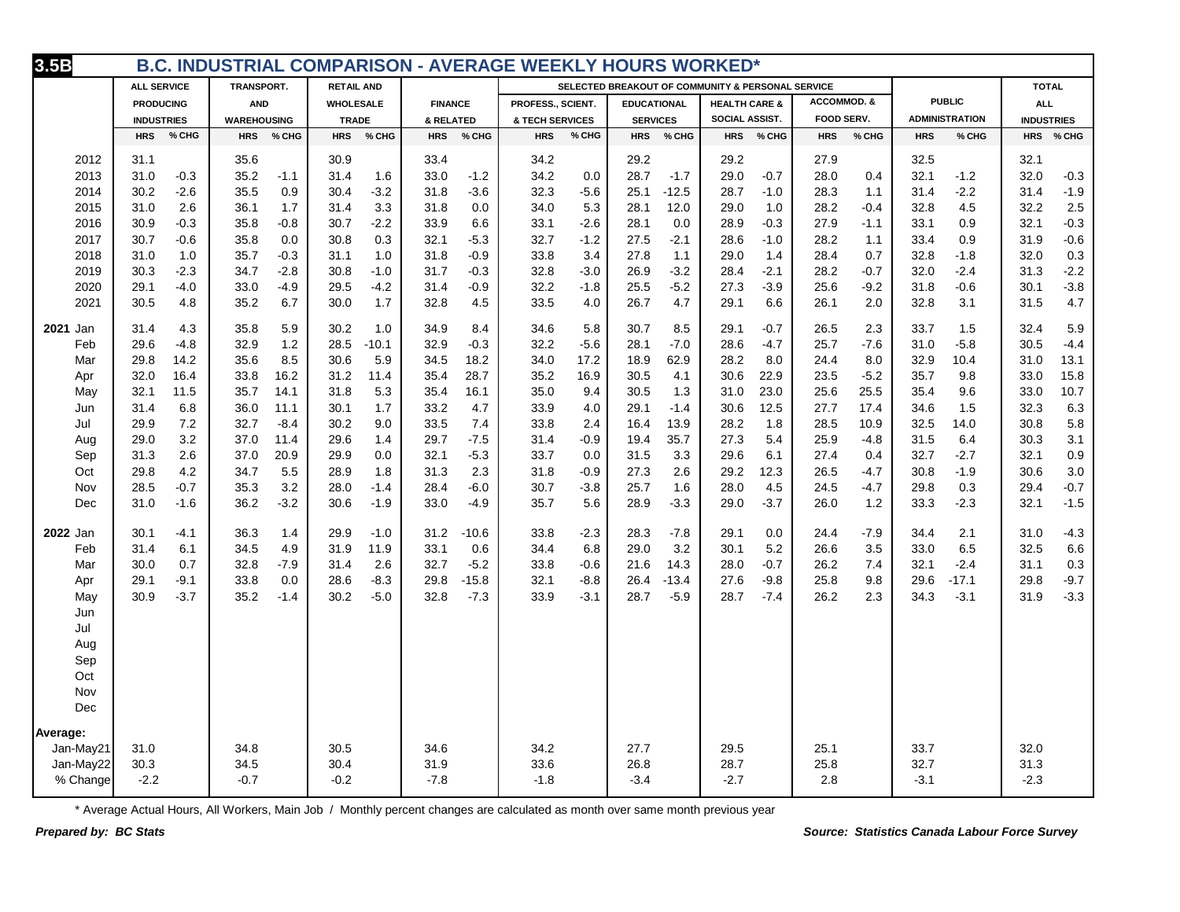| 3.5B<br><b>B.C. INDUSTRIAL COMPARISON - AVERAGE WEEKLY HOURS WORKED*</b> |                               |                                |                               |                               |                               |                                                   |                               |                                |                               |                               |  |
|--------------------------------------------------------------------------|-------------------------------|--------------------------------|-------------------------------|-------------------------------|-------------------------------|---------------------------------------------------|-------------------------------|--------------------------------|-------------------------------|-------------------------------|--|
|                                                                          | <b>ALL SERVICE</b>            | TRANSPORT.                     | <b>RETAIL AND</b>             |                               |                               | SELECTED BREAKOUT OF COMMUNITY & PERSONAL SERVICE |                               |                                |                               | <b>TOTAL</b>                  |  |
|                                                                          | <b>PRODUCING</b>              | <b>AND</b>                     | <b>WHOLESALE</b>              | <b>FINANCE</b>                | PROFESS., SCIENT.             | <b>EDUCATIONAL</b>                                | <b>HEALTH CARE &amp;</b>      | <b>ACCOMMOD. &amp;</b>         | <b>PUBLIC</b>                 | <b>ALL</b>                    |  |
|                                                                          | <b>INDUSTRIES</b>             | <b>WAREHOUSING</b>             | <b>TRADE</b>                  | & RELATED                     | & TECH SERVICES               | <b>SERVICES</b>                                   | SOCIAL ASSIST.                | FOOD SERV.                     | <b>ADMINISTRATION</b>         | <b>INDUSTRIES</b>             |  |
|                                                                          | <b>HRS</b>                    | <b>HRS</b>                     | <b>HRS</b>                    | <b>HRS</b>                    | <b>HRS</b>                    | <b>HRS</b>                                        | <b>HRS</b>                    | <b>HRS</b>                     | <b>HRS</b>                    | <b>HRS</b>                    |  |
|                                                                          | % CHG                         | % CHG                          | % CHG                         | % CHG                         | % CHG                         | % CHG                                             | % CHG                         | % CHG                          | % CHG                         | % CHG                         |  |
| 2012                                                                     | 31.1                          | 35.6                           | 30.9                          | 33.4                          | 34.2                          | 29.2                                              | 29.2                          | 27.9                           | 32.5                          | 32.1                          |  |
| 2013                                                                     | 31.0                          | 35.2                           | 31.4                          | 33.0                          | 34.2                          | 28.7                                              | 29.0                          | 28.0                           | 32.1                          | 32.0                          |  |
|                                                                          | $-0.3$                        | $-1.1$                         | 1.6                           | $-1.2$                        | 0.0                           | $-1.7$                                            | $-0.7$                        | 0.4                            | $-1.2$                        | $-0.3$                        |  |
| 2014                                                                     | 30.2                          | 35.5                           | $-3.2$                        | $-3.6$                        | 32.3                          | $-12.5$                                           | 28.7                          | 28.3                           | $-2.2$                        | $-1.9$                        |  |
|                                                                          | $-2.6$                        | 0.9                            | 30.4                          | 31.8                          | $-5.6$                        | 25.1                                              | $-1.0$                        | 1.1                            | 31.4                          | 31.4                          |  |
| 2015                                                                     | 31.0                          | 36.1                           | 31.4                          | 0.0                           | 34.0                          | 28.1                                              | 29.0                          | 28.2                           | 32.8                          | 32.2                          |  |
|                                                                          | 2.6                           | 1.7                            | 3.3                           | 31.8                          | 5.3                           | 12.0                                              | 1.0                           | $-0.4$                         | 4.5                           | 2.5                           |  |
| 2016                                                                     | 30.9                          | 35.8                           | 30.7                          | 33.9                          | 33.1                          | 28.1                                              | 28.9                          | 27.9                           | 33.1                          | 32.1                          |  |
|                                                                          | $-0.3$                        | $-0.8$                         | $-2.2$                        | 6.6                           | $-2.6$                        | 0.0                                               | $-0.3$                        | $-1.1$                         | 0.9                           | $-0.3$                        |  |
| 2017                                                                     | 30.7                          | 35.8                           | 0.3                           | 32.1                          | 32.7                          | $-2.1$                                            | 28.6                          | 28.2                           | 33.4                          | $-0.6$                        |  |
|                                                                          | $-0.6$                        | 0.0                            | 30.8                          | $-5.3$                        | $-1.2$                        | 27.5                                              | $-1.0$                        | 1.1                            | 0.9                           | 31.9                          |  |
| 2018                                                                     | 31.0                          | 35.7                           | 31.1                          | 31.8                          | 33.8                          | 27.8                                              | 29.0                          | 28.4                           | 32.8                          | 32.0                          |  |
|                                                                          | 1.0                           | $-0.3$                         | 1.0                           | $-0.9$                        | 3.4                           | 1.1                                               | 1.4                           | 0.7                            | $-1.8$                        | 0.3                           |  |
| 2019                                                                     | $-2.3$                        | $-2.8$                         | 30.8                          | $-0.3$                        | 32.8                          | $-3.2$                                            | 28.4                          | 28.2                           | $-2.4$                        | $-2.2$                        |  |
|                                                                          | 30.3                          | 34.7                           | $-1.0$                        | 31.7                          | $-3.0$                        | 26.9                                              | $-2.1$                        | $-0.7$                         | 32.0                          | 31.3                          |  |
| 2020<br>2021                                                             | 29.1<br>$-4.0$<br>30.5<br>4.8 | 33.0<br>$-4.9$<br>35.2<br>6.7  | 29.5<br>$-4.2$<br>30.0<br>1.7 | 31.4<br>$-0.9$<br>4.5<br>32.8 | 32.2<br>$-1.8$<br>33.5<br>4.0 | 25.5<br>$-5.2$<br>4.7<br>26.7                     | 27.3<br>$-3.9$<br>29.1<br>6.6 | 25.6<br>$-9.2$<br>26.1<br>2.0  | 31.8<br>$-0.6$<br>3.1<br>32.8 | $-3.8$<br>30.1<br>31.5<br>4.7 |  |
|                                                                          |                               |                                |                               |                               |                               |                                                   |                               |                                |                               |                               |  |
| 2021 Jan                                                                 | 31.4                          | 35.8                           | 30.2                          | 34.9                          | 34.6                          | 30.7                                              | $-0.7$                        | 26.5                           | 33.7                          | 32.4                          |  |
|                                                                          | 4.3                           | 5.9                            | 1.0                           | 8.4                           | 5.8                           | 8.5                                               | 29.1                          | 2.3                            | 1.5                           | 5.9                           |  |
| Feb                                                                      | 29.6                          | 1.2                            | 28.5                          | 32.9                          | 32.2                          | $-7.0$                                            | 28.6                          | 25.7                           | $-5.8$                        | 30.5                          |  |
|                                                                          | $-4.8$                        | 32.9                           | $-10.1$                       | $-0.3$                        | $-5.6$                        | 28.1                                              | $-4.7$                        | $-7.6$                         | 31.0                          | $-4.4$                        |  |
| Mar                                                                      | 29.8                          | 35.6                           | 30.6                          | 34.5                          | 17.2                          | 62.9                                              | 28.2                          | 24.4                           | 32.9                          | 31.0                          |  |
|                                                                          | 14.2                          | 8.5                            | 5.9                           | 18.2                          | 34.0                          | 18.9                                              | 8.0                           | 8.0                            | 10.4                          | 13.1                          |  |
| Apr                                                                      | 32.0                          | 33.8                           | 31.2                          | 28.7                          | 35.2                          | 30.5                                              | 30.6                          | 23.5                           | 35.7                          | 33.0                          |  |
|                                                                          | 16.4                          | 16.2                           | 11.4                          | 35.4                          | 16.9                          | 4.1                                               | 22.9                          | $-5.2$                         | 9.8                           | 15.8                          |  |
| May                                                                      | 32.1                          | 35.7                           | 31.8                          | 16.1                          | 35.0                          | 30.5                                              | 23.0                          | 25.6                           | 9.6                           | 33.0                          |  |
|                                                                          | 11.5                          | 14.1                           | 5.3                           | 35.4                          | 9.4                           | 1.3                                               | 31.0                          | 25.5                           | 35.4                          | 10.7                          |  |
| Jun                                                                      | 31.4<br>6.8<br>29.9<br>7.2    | 36.0<br>11.1<br>32.7<br>$-8.4$ | 30.1<br>1.7<br>30.2<br>9.0    | 4.7<br>33.2<br>33.5<br>7.4    | 33.9<br>4.0<br>2.4            | 29.1<br>$-1.4$                                    | 30.6<br>12.5<br>28.2<br>1.8   | 27.7<br>17.4                   | 34.6<br>1.5<br>32.5           | 32.3<br>6.3<br>5.8<br>30.8    |  |
| Jul<br>Aug                                                               | 29.0<br>3.2                   | 37.0<br>11.4                   | 29.6<br>1.4                   | $-7.5$<br>29.7                | 33.8<br>31.4<br>$-0.9$        | 13.9<br>16.4<br>19.4<br>35.7                      | 5.4<br>27.3                   | 28.5<br>10.9<br>25.9<br>$-4.8$ | 14.0<br>31.5<br>6.4           | 30.3<br>3.1                   |  |
| Sep                                                                      | 31.3                          | 37.0                           | 0.0                           | 32.1                          | 33.7                          | 3.3                                               | 29.6                          | 27.4                           | 32.7                          | 32.1                          |  |
|                                                                          | 2.6                           | 20.9                           | 29.9                          | $-5.3$                        | 0.0                           | 31.5                                              | 6.1                           | 0.4                            | $-2.7$                        | 0.9                           |  |
| Oct                                                                      | 4.2                           | 5.5                            | 28.9                          | 31.3                          | 31.8                          | 27.3                                              | 29.2                          | 26.5                           | 30.8                          | 3.0                           |  |
|                                                                          | 29.8                          | 34.7                           | 1.8                           | 2.3                           | $-0.9$                        | 2.6                                               | 12.3                          | $-4.7$                         | $-1.9$                        | 30.6                          |  |
| Nov                                                                      | 28.5                          | 35.3                           | 28.0                          | 28.4                          | 30.7                          | 25.7                                              | 28.0                          | 24.5                           | 29.8                          | $-0.7$                        |  |
|                                                                          | $-0.7$                        | 3.2                            | $-1.4$                        | $-6.0$                        | $-3.8$                        | 1.6                                               | 4.5                           | -4.7                           | 0.3                           | 29.4                          |  |
| Dec                                                                      | 31.0                          | $-3.2$                         | 30.6                          | $-4.9$                        | 35.7                          | $-3.3$                                            | $-3.7$                        | 26.0                           | $-2.3$                        | 32.1                          |  |
|                                                                          | $-1.6$                        | 36.2                           | $-1.9$                        | 33.0                          | 5.6                           | 28.9                                              | 29.0                          | 1.2                            | 33.3                          | $-1.5$                        |  |
|                                                                          |                               |                                |                               |                               |                               |                                                   |                               |                                |                               |                               |  |
| 2022 Jan                                                                 | 30.1                          | 36.3                           | 29.9                          | 31.2                          | 33.8                          | 28.3                                              | 29.1                          | 24.4                           | 2.1                           | $-4.3$                        |  |
|                                                                          | $-4.1$                        | 1.4                            | $-1.0$                        | $-10.6$                       | $-2.3$                        | $-7.8$                                            | 0.0                           | $-7.9$                         | 34.4                          | 31.0                          |  |
| Feb                                                                      | 31.4                          | 34.5                           | 31.9                          | 0.6                           | 34.4                          | 29.0                                              | 5.2                           | 26.6                           | 6.5                           | 32.5                          |  |
|                                                                          | 6.1                           | 4.9                            | 11.9                          | 33.1                          | 6.8                           | 3.2                                               | 30.1                          | 3.5                            | 33.0                          | 6.6                           |  |
| Mar                                                                      | 30.0                          | 32.8                           | 2.6                           | 32.7                          | 33.8                          | 14.3                                              | 28.0                          | 26.2                           | $-2.4$                        | 0.3                           |  |
|                                                                          | 0.7                           | $-7.9$                         | 31.4                          | $-5.2$                        | $-0.6$                        | 21.6                                              | $-0.7$                        | 7.4                            | 32.1                          | 31.1                          |  |
| Apr                                                                      | 29.1                          | 33.8                           | 28.6                          | $-15.8$                       | 32.1                          | 26.4                                              | $-9.8$                        | 25.8                           | $-17.1$                       | 29.8                          |  |
|                                                                          | $-9.1$                        | 0.0                            | $-8.3$                        | 29.8                          | $-8.8$                        | $-13.4$                                           | 27.6                          | 9.8                            | 29.6                          | $-9.7$                        |  |
| May                                                                      | 30.9                          | 35.2                           | 30.2                          | 32.8                          | 33.9                          | 28.7                                              | 28.7                          | 26.2                           | 34.3                          | $-3.3$                        |  |
| Jun                                                                      | $-3.7$                        | $-1.4$                         | $-5.0$                        | $-7.3$                        | $-3.1$                        | $-5.9$                                            | $-7.4$                        | 2.3                            | $-3.1$                        | 31.9                          |  |
| Jul                                                                      |                               |                                |                               |                               |                               |                                                   |                               |                                |                               |                               |  |
| Aug                                                                      |                               |                                |                               |                               |                               |                                                   |                               |                                |                               |                               |  |
| Sep                                                                      |                               |                                |                               |                               |                               |                                                   |                               |                                |                               |                               |  |
| Oct                                                                      |                               |                                |                               |                               |                               |                                                   |                               |                                |                               |                               |  |
| Nov                                                                      |                               |                                |                               |                               |                               |                                                   |                               |                                |                               |                               |  |
| Dec                                                                      |                               |                                |                               |                               |                               |                                                   |                               |                                |                               |                               |  |
| Average:                                                                 |                               |                                |                               |                               |                               |                                                   |                               |                                |                               |                               |  |
| Jan-May21                                                                | 31.0                          | 34.8                           | 30.5                          | 34.6                          | 34.2                          | 27.7                                              | 29.5                          | 25.1                           | 33.7                          | 32.0                          |  |
| Jan-May22                                                                | 30.3                          | 34.5                           | 30.4                          | 31.9                          | 33.6                          | 26.8                                              | 28.7                          | 25.8                           | 32.7                          | 31.3                          |  |
| % Change                                                                 | $-2.2$                        | $-0.7$                         | $-0.2$                        | $-7.8$                        | $-1.8$                        | $-3.4$                                            | $-2.7$                        | 2.8                            | $-3.1$                        | $-2.3$                        |  |
|                                                                          |                               |                                |                               |                               |                               |                                                   |                               |                                |                               |                               |  |